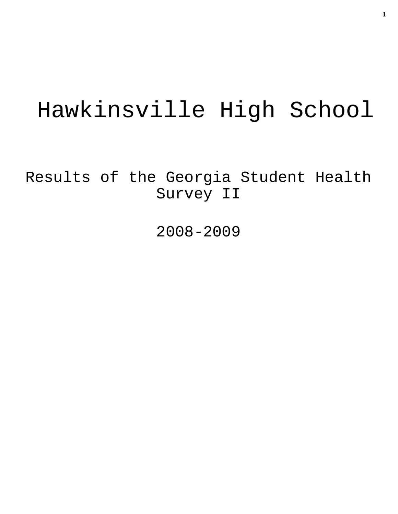# Hawkinsville High School

Results of the Georgia Student Health Survey II

2008-2009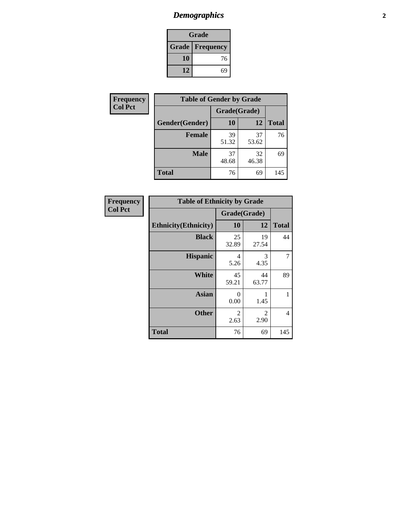# *Demographics* **2**

| Grade                    |    |  |  |  |
|--------------------------|----|--|--|--|
| <b>Grade   Frequency</b> |    |  |  |  |
| 10                       | 76 |  |  |  |
| 12                       | 69 |  |  |  |

| <b>Frequency</b> | <b>Table of Gender by Grade</b> |              |             |              |  |  |
|------------------|---------------------------------|--------------|-------------|--------------|--|--|
| <b>Col Pct</b>   |                                 | Grade(Grade) |             |              |  |  |
|                  | Gender(Gender)                  | 10           | 12          | <b>Total</b> |  |  |
|                  | <b>Female</b>                   | 39<br>51.32  | 37<br>53.62 | 76           |  |  |
|                  | <b>Male</b>                     | 37<br>48.68  | 32<br>46.38 | 69           |  |  |
|                  | <b>Total</b>                    | 76           | 69          | 145          |  |  |

| <b>Frequency</b><br>Col Pct |
|-----------------------------|
|                             |

| <b>Table of Ethnicity by Grade</b> |                        |             |              |  |  |  |
|------------------------------------|------------------------|-------------|--------------|--|--|--|
|                                    | Grade(Grade)           |             |              |  |  |  |
| <b>Ethnicity</b> (Ethnicity)       | 10                     | 12          | <b>Total</b> |  |  |  |
| <b>Black</b>                       | 25<br>32.89            | 19<br>27.54 | 44           |  |  |  |
| <b>Hispanic</b>                    | 4<br>5.26              | 3<br>4.35   |              |  |  |  |
| White                              | 45<br>59.21            | 44<br>63.77 | 89           |  |  |  |
| <b>Asian</b>                       | 0<br>0.00              | 1.45        | 1            |  |  |  |
| <b>Other</b>                       | $\overline{2}$<br>2.63 | 2<br>2.90   | 4            |  |  |  |
| <b>Total</b>                       | 76                     | 69          | 145          |  |  |  |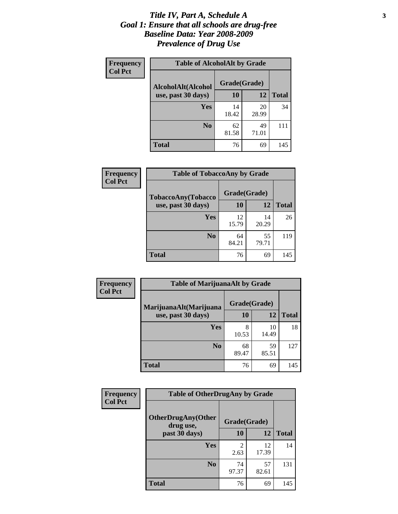#### *Title IV, Part A, Schedule A* **3** *Goal 1: Ensure that all schools are drug-free Baseline Data: Year 2008-2009 Prevalence of Drug Use*

| Frequency<br><b>Col Pct</b> | <b>Table of AlcoholAlt by Grade</b> |              |             |              |  |  |
|-----------------------------|-------------------------------------|--------------|-------------|--------------|--|--|
|                             | AlcoholAlt(Alcohol                  | Grade(Grade) |             |              |  |  |
|                             | use, past 30 days)                  | <b>10</b>    | 12          | <b>Total</b> |  |  |
|                             | Yes                                 | 14<br>18.42  | 20<br>28.99 | 34           |  |  |
|                             | N <sub>0</sub>                      | 62<br>81.58  | 49<br>71.01 | 111          |  |  |
|                             | <b>Total</b>                        | 76           | 69          | 145          |  |  |

| Frequency<br><b>Col Pct</b> | <b>Table of TobaccoAny by Grade</b> |              |             |              |  |
|-----------------------------|-------------------------------------|--------------|-------------|--------------|--|
|                             | <b>TobaccoAny(Tobacco</b>           | Grade(Grade) |             |              |  |
|                             | use, past 30 days)                  | 10           | 12          | <b>Total</b> |  |
|                             | Yes                                 | 12<br>15.79  | 14<br>20.29 | 26           |  |
|                             | N <sub>0</sub>                      | 64<br>84.21  | 55<br>79.71 | 119          |  |
|                             | <b>Total</b>                        | 76           | 69          | 145          |  |

| Frequency<br><b>Col Pct</b> | <b>Table of MarijuanaAlt by Grade</b> |              |             |              |  |
|-----------------------------|---------------------------------------|--------------|-------------|--------------|--|
|                             | MarijuanaAlt(Marijuana                | Grade(Grade) |             |              |  |
|                             | use, past 30 days)                    | <b>10</b>    | 12          | <b>Total</b> |  |
|                             | <b>Yes</b>                            | 8<br>10.53   | 10<br>14.49 | 18           |  |
|                             | N <sub>0</sub>                        | 68<br>89.47  | 59<br>85.51 | 127          |  |
|                             | <b>Total</b>                          | 76           | 69          | 145          |  |

| <b>Frequency</b> | <b>Table of OtherDrugAny by Grade</b>  |                       |             |              |  |  |
|------------------|----------------------------------------|-----------------------|-------------|--------------|--|--|
| <b>Col Pct</b>   | <b>OtherDrugAny(Other</b><br>drug use, | Grade(Grade)          |             |              |  |  |
|                  | past 30 days)                          | 10                    | 12          | <b>Total</b> |  |  |
|                  | Yes                                    | $\mathcal{D}$<br>2.63 | 12<br>17.39 | 14           |  |  |
|                  | N <sub>0</sub>                         | 74<br>97.37           | 57<br>82.61 | 131          |  |  |
|                  | <b>Total</b>                           | 76                    | 69          | 145          |  |  |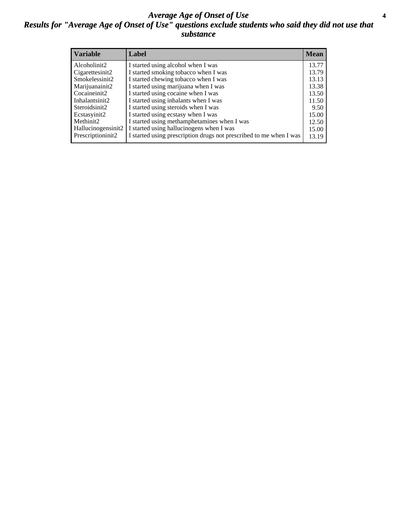#### *Average Age of Onset of Use* **4** *Results for "Average Age of Onset of Use" questions exclude students who said they did not use that substance*

| <b>Variable</b>                 | Label                                                              | <b>Mean</b> |
|---------------------------------|--------------------------------------------------------------------|-------------|
| Alcoholinit2                    | I started using alcohol when I was                                 | 13.77       |
| Cigarettesinit2                 | I started smoking tobacco when I was                               | 13.79       |
| Smokelessinit2                  | I started chewing tobacco when I was                               | 13.13       |
| Marijuanainit2                  | I started using marijuana when I was                               | 13.38       |
| Cocaineinit2                    | I started using cocaine when I was                                 | 13.50       |
| Inhalantsinit2                  | I started using inhalants when I was                               | 11.50       |
| Steroidsinit2                   | I started using steroids when I was                                | 9.50        |
| Ecstasyinit2                    | I started using ecstasy when I was                                 | 15.00       |
| Methinit2                       | I started using methamphetamines when I was                        | 12.50       |
| Hallucinogensinit2              | I started using hallucinogens when I was                           | 15.00       |
| Prescription in it <sub>2</sub> | I started using prescription drugs not prescribed to me when I was | 13.19       |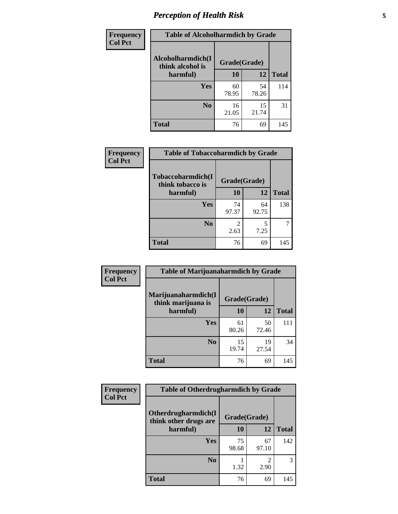# *Perception of Health Risk* **5**

| <b>Frequency</b> | <b>Table of Alcoholharmdich by Grade</b> |              |             |              |  |
|------------------|------------------------------------------|--------------|-------------|--------------|--|
| <b>Col Pct</b>   | Alcoholharmdich(I<br>think alcohol is    | Grade(Grade) |             |              |  |
|                  | harmful)                                 | 10           | 12          | <b>Total</b> |  |
|                  | Yes                                      | 60<br>78.95  | 54<br>78.26 | 114          |  |
|                  | N <sub>0</sub>                           | 16<br>21.05  | 15<br>21.74 | 31           |  |
|                  | <b>Total</b>                             | 76           | 69          | 145          |  |

| Frequency      | <b>Table of Tobaccoharmdich by Grade</b> |              |             |              |  |
|----------------|------------------------------------------|--------------|-------------|--------------|--|
| <b>Col Pct</b> | Tobaccoharmdich(I<br>think tobacco is    | Grade(Grade) |             |              |  |
|                | harmful)                                 | 10           | 12          | <b>Total</b> |  |
|                | <b>Yes</b>                               | 74<br>97.37  | 64<br>92.75 | 138          |  |
|                | N <sub>0</sub>                           | 2.63         | 5<br>7.25   |              |  |
|                | <b>Total</b>                             | 76           | 69          | 145          |  |

| Frequency      | <b>Table of Marijuanaharmdich by Grade</b> |              |             |              |  |  |
|----------------|--------------------------------------------|--------------|-------------|--------------|--|--|
| <b>Col Pct</b> | Marijuanaharmdich(I<br>think marijuana is  | Grade(Grade) |             |              |  |  |
|                | harmful)                                   | <b>10</b>    | 12          | <b>Total</b> |  |  |
|                | Yes                                        | 61<br>80.26  | 50<br>72.46 | 111          |  |  |
|                | N <sub>0</sub>                             | 15<br>19.74  | 19<br>27.54 | 34           |  |  |
|                | <b>Total</b>                               | 76           | 69          | 145          |  |  |

| <b>Frequency</b> | <b>Table of Otherdrugharmdich by Grade</b>   |             |              |              |  |  |  |
|------------------|----------------------------------------------|-------------|--------------|--------------|--|--|--|
| <b>Col Pct</b>   | Otherdrugharmdich(I<br>think other drugs are |             | Grade(Grade) |              |  |  |  |
|                  | harmful)                                     | 10          | 12           | <b>Total</b> |  |  |  |
|                  | Yes                                          | 75<br>98.68 | 67<br>97.10  | 142          |  |  |  |
|                  | N <sub>0</sub>                               | 1.32        | 2.90         | 3            |  |  |  |
|                  | <b>Total</b>                                 | 76          | 69           | 145          |  |  |  |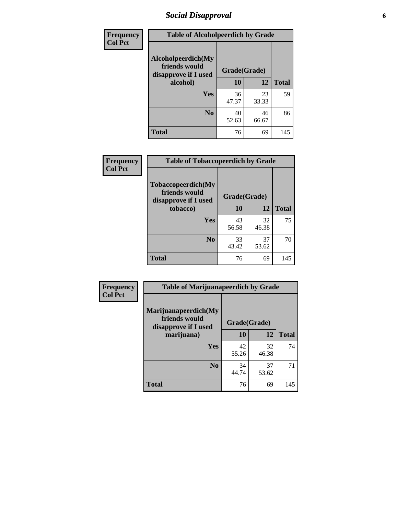## *Social Disapproval* **6**

| Frequency      | <b>Table of Alcoholpeerdich by Grade</b>                    |              |             |              |
|----------------|-------------------------------------------------------------|--------------|-------------|--------------|
| <b>Col Pct</b> | Alcoholpeerdich(My<br>friends would<br>disapprove if I used | Grade(Grade) |             |              |
|                | alcohol)                                                    | 10           | 12          | <b>Total</b> |
|                | <b>Yes</b>                                                  | 36<br>47.37  | 23<br>33.33 | 59           |
|                | N <sub>0</sub>                                              | 40<br>52.63  | 46<br>66.67 | 86           |
|                | <b>Total</b>                                                | 76           | 69          | 145          |

| <b>Frequency</b> |
|------------------|
| <b>Col Pct</b>   |

| <b>Table of Tobaccopeerdich by Grade</b>                    |              |             |              |  |  |  |
|-------------------------------------------------------------|--------------|-------------|--------------|--|--|--|
| Tobaccopeerdich(My<br>friends would<br>disapprove if I used | Grade(Grade) |             |              |  |  |  |
| tobacco)                                                    | 10           | 12          | <b>Total</b> |  |  |  |
| Yes                                                         | 43<br>56.58  | 32<br>46.38 | 75           |  |  |  |
| N <sub>0</sub>                                              | 33<br>43.42  | 37<br>53.62 | 70           |  |  |  |
| <b>Total</b>                                                | 76           | 69          | 145          |  |  |  |

| Frequency      | <b>Table of Marijuanapeerdich by Grade</b>                    |              |             |              |  |  |  |
|----------------|---------------------------------------------------------------|--------------|-------------|--------------|--|--|--|
| <b>Col Pct</b> | Marijuanapeerdich(My<br>friends would<br>disapprove if I used | Grade(Grade) |             |              |  |  |  |
|                | marijuana)                                                    | 10           | 12          | <b>Total</b> |  |  |  |
|                | <b>Yes</b>                                                    | 42<br>55.26  | 32<br>46.38 | 74           |  |  |  |
|                | N <sub>0</sub>                                                | 34<br>44.74  | 37<br>53.62 | 71           |  |  |  |
|                | <b>Total</b>                                                  | 76           | 69          | 145          |  |  |  |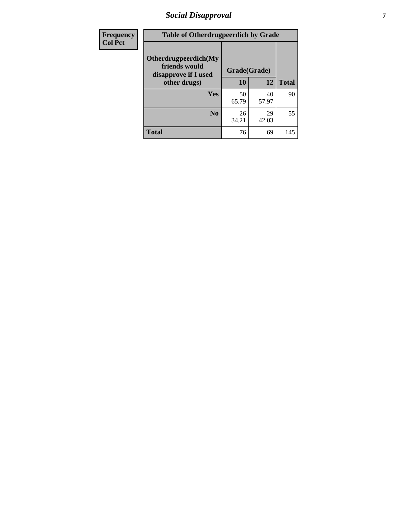# *Social Disapproval* **7**

| Frequency      | <b>Table of Otherdrugpeerdich by Grade</b>                    |              |             |              |  |  |  |
|----------------|---------------------------------------------------------------|--------------|-------------|--------------|--|--|--|
| <b>Col Pct</b> | Otherdrugpeerdich(My<br>friends would<br>disapprove if I used | Grade(Grade) |             |              |  |  |  |
|                | other drugs)                                                  | 10           | 12          | <b>Total</b> |  |  |  |
|                | <b>Yes</b>                                                    | 50<br>65.79  | 40<br>57.97 | 90           |  |  |  |
|                | N <sub>0</sub>                                                | 26<br>34.21  | 29<br>42.03 | 55           |  |  |  |
|                | <b>Total</b>                                                  | 76           | 69          | 145          |  |  |  |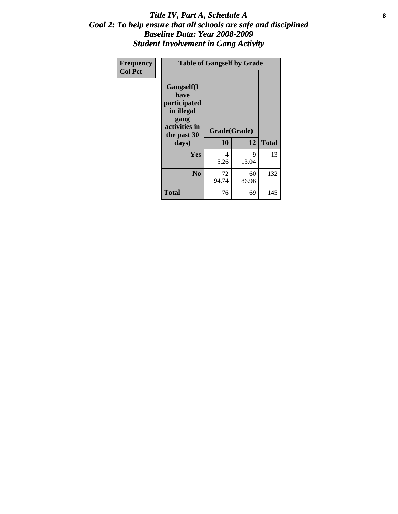#### Title IV, Part A, Schedule A **8** *Goal 2: To help ensure that all schools are safe and disciplined Baseline Data: Year 2008-2009 Student Involvement in Gang Activity*

| Frequency      |                                                                                                   | <b>Table of Gangself by Grade</b> |             |              |
|----------------|---------------------------------------------------------------------------------------------------|-----------------------------------|-------------|--------------|
| <b>Col Pct</b> | Gangself(I<br>have<br>participated<br>in illegal<br>gang<br>activities in<br>the past 30<br>days) | Grade(Grade)<br>10                | 12          | <b>Total</b> |
|                | Yes                                                                                               | 4<br>5.26                         | 9<br>13.04  | 13           |
|                | N <sub>0</sub>                                                                                    | 72<br>94.74                       | 60<br>86.96 | 132          |
|                | <b>Total</b>                                                                                      | 76                                | 69          | 145          |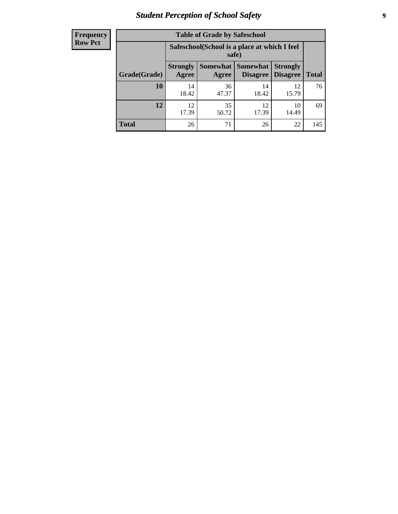# *Student Perception of School Safety* **9**

| <b>Frequency</b><br>Row Pct |
|-----------------------------|
|                             |

| <b>Table of Grade by Safeschool</b> |                          |                                                        |                                        |                                    |              |  |  |
|-------------------------------------|--------------------------|--------------------------------------------------------|----------------------------------------|------------------------------------|--------------|--|--|
|                                     |                          | Safeschool (School is a place at which I feel<br>safe) |                                        |                                    |              |  |  |
| Grade(Grade)                        | <b>Strongly</b><br>Agree | Agree                                                  | <b>Somewhat   Somewhat</b><br>Disagree | <b>Strongly</b><br><b>Disagree</b> | <b>Total</b> |  |  |
| 10                                  | 14<br>18.42              | 36<br>47.37                                            | 14<br>18.42                            | 12<br>15.79                        | 76           |  |  |
| 12                                  | 12.<br>17.39             | 35<br>50.72                                            | 12<br>17.39                            | 10<br>14.49                        | 69           |  |  |
| <b>Total</b>                        | 26                       | 71                                                     | 26                                     | 22                                 | 145          |  |  |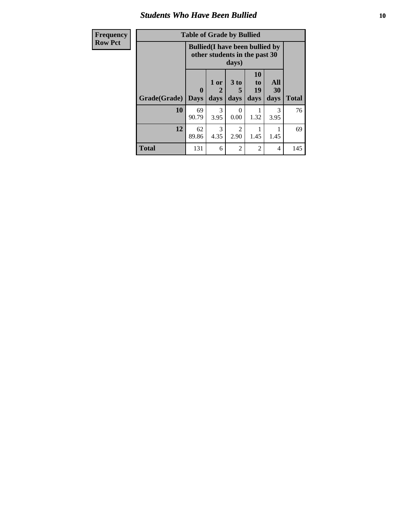#### *Students Who Have Been Bullied* **10**

| Frequency      |  |
|----------------|--|
| <b>Row Pct</b> |  |

# **Table of Grade by Bullied**

|              |                         | <b>Bullied</b> (I have been bullied by<br>other students in the past 30<br>days) |                   |                        |                   |              |
|--------------|-------------------------|----------------------------------------------------------------------------------|-------------------|------------------------|-------------------|--------------|
| Grade(Grade) | $\bf{0}$<br><b>Days</b> | 1 or<br>2<br>days                                                                | 3 to<br>5<br>days | 10<br>to<br>19<br>days | All<br>30<br>days | <b>Total</b> |
| 10           | 69<br>90.79             | 3<br>3.95                                                                        | 0<br>0.00         | 1.32                   | 3<br>3.95         | 76           |
| 12           | 62<br>89.86             | 3<br>4.35                                                                        | 2<br>2.90         | 1.45                   | 1.45              | 69           |
| <b>Total</b> | 131                     | 6                                                                                | $\overline{2}$    | $\overline{2}$         | 4                 | 145          |

٦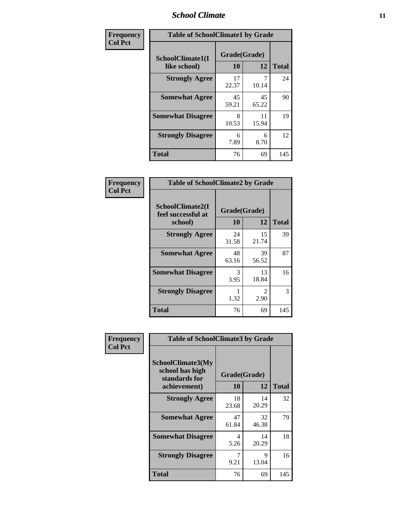#### *School Climate* **11**

| Frequency      | <b>Table of SchoolClimate1 by Grade</b> |                    |             |              |  |  |
|----------------|-----------------------------------------|--------------------|-------------|--------------|--|--|
| <b>Col Pct</b> | SchoolClimate1(I<br>like school)        | Grade(Grade)<br>10 | 12          | <b>Total</b> |  |  |
|                | <b>Strongly Agree</b>                   | 17<br>22.37        | 10.14       | 24           |  |  |
|                | <b>Somewhat Agree</b>                   | 45<br>59.21        | 45<br>65.22 | 90           |  |  |
|                | <b>Somewhat Disagree</b>                | 8<br>10.53         | 11<br>15.94 | 19           |  |  |
|                | <b>Strongly Disagree</b>                | 6<br>7.89          | 6<br>8.70   | 12           |  |  |
|                | <b>Total</b>                            | 76                 | 69          | 145          |  |  |

| <b>Frequency</b> |
|------------------|
| <b>Col Pct</b>   |

| <b>Table of SchoolClimate2 by Grade</b>           |                    |                        |              |  |  |
|---------------------------------------------------|--------------------|------------------------|--------------|--|--|
| SchoolClimate2(I<br>feel successful at<br>school) | Grade(Grade)<br>10 | 12                     | <b>Total</b> |  |  |
| <b>Strongly Agree</b>                             | 24<br>31.58        | 15<br>21.74            | 39           |  |  |
| <b>Somewhat Agree</b>                             | 48<br>63.16        | 39<br>56.52            | 87           |  |  |
| <b>Somewhat Disagree</b>                          | 3<br>3.95          | 13<br>18.84            | 16           |  |  |
| <b>Strongly Disagree</b>                          | 1.32               | $\mathfrak{D}$<br>2.90 | 3            |  |  |
| <b>Total</b>                                      | 76                 | 69                     | 145          |  |  |

| Frequency      | <b>Table of SchoolClimate3 by Grade</b>                                      |                          |             |              |
|----------------|------------------------------------------------------------------------------|--------------------------|-------------|--------------|
| <b>Col Pct</b> | <b>SchoolClimate3(My</b><br>school has high<br>standards for<br>achievement) | Grade(Grade)<br>10<br>12 |             | <b>Total</b> |
|                | <b>Strongly Agree</b>                                                        | 18<br>23.68              | 14<br>20.29 | 32           |
|                | <b>Somewhat Agree</b>                                                        | 47<br>61.84              | 32<br>46.38 | 79           |
|                | <b>Somewhat Disagree</b>                                                     | 4<br>5.26                | 14<br>20.29 | 18           |
|                | <b>Strongly Disagree</b>                                                     | 9.21                     | 9<br>13.04  | 16           |
|                | Total                                                                        | 76                       | 69          | 145          |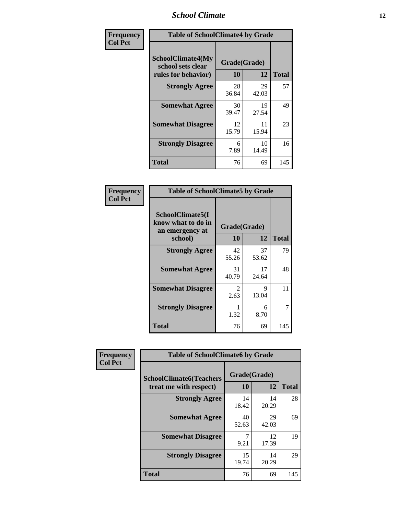#### *School Climate* **12**

| Frequency      | <b>Table of SchoolClimate4 by Grade</b>                       |                    |             |              |  |
|----------------|---------------------------------------------------------------|--------------------|-------------|--------------|--|
| <b>Col Pct</b> | SchoolClimate4(My<br>school sets clear<br>rules for behavior) | Grade(Grade)<br>10 | 12          | <b>Total</b> |  |
|                | <b>Strongly Agree</b>                                         | 28<br>36.84        | 29<br>42.03 | 57           |  |
|                | <b>Somewhat Agree</b>                                         | 30<br>39.47        | 19<br>27.54 | 49           |  |
|                | <b>Somewhat Disagree</b>                                      | 12<br>15.79        | 11<br>15.94 | 23           |  |
|                | <b>Strongly Disagree</b>                                      | 6<br>7.89          | 10<br>14.49 | 16           |  |
|                | Total                                                         | 76                 | 69          | 145          |  |

| <b>Table of SchoolClimate5 by Grade</b>                              |                        |             |              |  |  |
|----------------------------------------------------------------------|------------------------|-------------|--------------|--|--|
| SchoolClimate5(I<br>know what to do in<br>an emergency at<br>school) | Grade(Grade)<br>10     | 12          | <b>Total</b> |  |  |
|                                                                      | 42                     | 37          | 79           |  |  |
| <b>Strongly Agree</b>                                                | 55.26                  | 53.62       |              |  |  |
| <b>Somewhat Agree</b>                                                | 31<br>40.79            | 17<br>24.64 | 48           |  |  |
| <b>Somewhat Disagree</b>                                             | $\mathfrak{D}$<br>2.63 | 9<br>13.04  | 11           |  |  |
| <b>Strongly Disagree</b>                                             | 1.32                   | 6<br>8.70   | 7            |  |  |
| Total                                                                | 76                     | 69          | 145          |  |  |

| Frequency      | <b>Table of SchoolClimate6 by Grade</b>                  |                    |             |              |  |
|----------------|----------------------------------------------------------|--------------------|-------------|--------------|--|
| <b>Col Pct</b> | <b>SchoolClimate6(Teachers</b><br>treat me with respect) | Grade(Grade)<br>10 | 12          | <b>Total</b> |  |
|                | <b>Strongly Agree</b>                                    | 14<br>18.42        | 14<br>20.29 | 28           |  |
|                | <b>Somewhat Agree</b>                                    | 40<br>52.63        | 29<br>42.03 | 69           |  |
|                | <b>Somewhat Disagree</b>                                 | 7<br>9.21          | 12<br>17.39 | 19           |  |
|                | <b>Strongly Disagree</b>                                 | 15<br>19.74        | 14<br>20.29 | 29           |  |
|                | <b>Total</b>                                             | 76                 | 69          | 145          |  |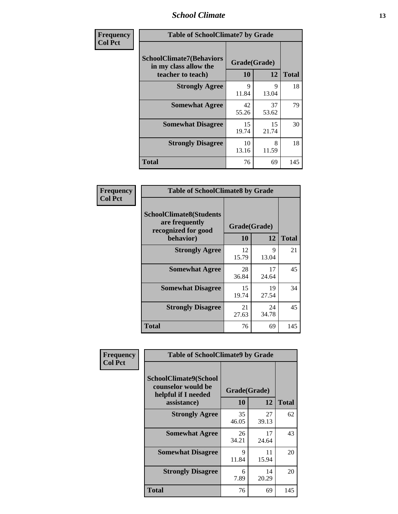#### *School Climate* **13**

| Frequency      | <b>Table of SchoolClimate7 by Grade</b>                                       |                    |             |              |  |
|----------------|-------------------------------------------------------------------------------|--------------------|-------------|--------------|--|
| <b>Col Pct</b> | <b>SchoolClimate7(Behaviors</b><br>in my class allow the<br>teacher to teach) | Grade(Grade)<br>10 | 12          | <b>Total</b> |  |
|                | <b>Strongly Agree</b>                                                         | 9<br>11.84         | 9<br>13.04  | 18           |  |
|                | <b>Somewhat Agree</b>                                                         | 42<br>55.26        | 37<br>53.62 | 79           |  |
|                | <b>Somewhat Disagree</b>                                                      | 15<br>19.74        | 15<br>21.74 | 30           |  |
|                | <b>Strongly Disagree</b>                                                      | 10<br>13.16        | 8<br>11.59  | 18           |  |
|                | <b>Total</b>                                                                  | 76                 | 69          | 145          |  |

| Frequency      | <b>Table of SchoolClimate8 by Grade</b>                                              |                    |             |              |  |  |
|----------------|--------------------------------------------------------------------------------------|--------------------|-------------|--------------|--|--|
| <b>Col Pct</b> | <b>SchoolClimate8(Students</b><br>are frequently<br>recognized for good<br>behavior) | Grade(Grade)<br>10 | 12          | <b>Total</b> |  |  |
|                | <b>Strongly Agree</b>                                                                | 12<br>15.79        | 9<br>13.04  | 21           |  |  |
|                | <b>Somewhat Agree</b>                                                                | 28<br>36.84        | 17<br>24.64 | 45           |  |  |
|                | <b>Somewhat Disagree</b>                                                             | 15<br>19.74        | 19<br>27.54 | 34           |  |  |
|                | <b>Strongly Disagree</b>                                                             | 21<br>27.63        | 24<br>34.78 | 45           |  |  |
|                | <b>Total</b>                                                                         | 76                 | 69          | 145          |  |  |

| Frequency      | <b>Table of SchoolClimate9 by Grade</b>                                           |                    |             |              |  |
|----------------|-----------------------------------------------------------------------------------|--------------------|-------------|--------------|--|
| <b>Col Pct</b> | SchoolClimate9(School<br>counselor would be<br>helpful if I needed<br>assistance) | Grade(Grade)<br>10 | 12          | <b>Total</b> |  |
|                | <b>Strongly Agree</b>                                                             | 35<br>46.05        | 27<br>39.13 | 62           |  |
|                | <b>Somewhat Agree</b>                                                             | 26<br>34.21        | 17<br>24.64 | 43           |  |
|                | <b>Somewhat Disagree</b>                                                          | 9<br>11.84         | 11<br>15.94 | 20           |  |
|                | <b>Strongly Disagree</b>                                                          | 6<br>7.89          | 14<br>20.29 | 20           |  |
|                | Total                                                                             | 76                 | 69          | 145          |  |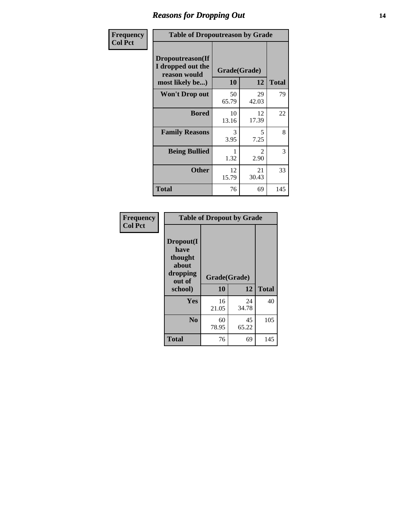### *Reasons for Dropping Out* **14**

| Frequency      | <b>Table of Dropoutreason by Grade</b>                                   |             |                    |              |
|----------------|--------------------------------------------------------------------------|-------------|--------------------|--------------|
| <b>Col Pct</b> | Dropoutreason(If<br>I dropped out the<br>reason would<br>most likely be) | 10          | Grade(Grade)<br>12 | <b>Total</b> |
|                | Won't Drop out                                                           | 50<br>65.79 | 29<br>42.03        | 79           |
|                | <b>Bored</b>                                                             | 10<br>13.16 | 12<br>17.39        | 22           |
|                | <b>Family Reasons</b>                                                    | 3<br>3.95   | 5<br>7.25          | 8            |
|                | <b>Being Bullied</b>                                                     | 1.32        | 2<br>2.90          | 3            |
|                | <b>Other</b>                                                             | 12<br>15.79 | 21<br>30.43        | 33           |
|                | Total                                                                    | 76          | 69                 | 145          |

| Frequency      | <b>Table of Dropout by Grade</b>                                       |                    |              |     |
|----------------|------------------------------------------------------------------------|--------------------|--------------|-----|
| <b>Col Pct</b> | Dropout(I<br>have<br>thought<br>about<br>dropping<br>out of<br>school) | Grade(Grade)<br>10 | <b>Total</b> |     |
|                |                                                                        |                    | 12           |     |
|                | Yes                                                                    | 16<br>21.05        | 24<br>34.78  | 40  |
|                | N <sub>0</sub>                                                         | 60<br>78.95        | 45<br>65.22  | 105 |
|                | <b>Total</b>                                                           | 76                 | 69           | 145 |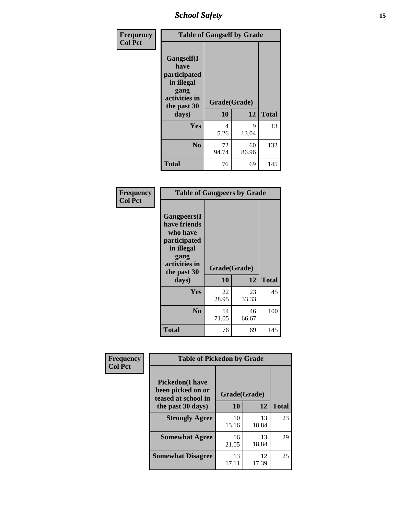*School Safety* **15**

| Frequency      | <b>Table of Gangself by Grade</b>                                                                 |                    |             |              |
|----------------|---------------------------------------------------------------------------------------------------|--------------------|-------------|--------------|
| <b>Col Pct</b> | Gangself(I<br>have<br>participated<br>in illegal<br>gang<br>activities in<br>the past 30<br>days) | Grade(Grade)<br>10 | 12          | <b>Total</b> |
|                | Yes                                                                                               | 4<br>5.26          | 9<br>13.04  | 13           |
|                | N <sub>0</sub>                                                                                    | 72<br>94.74        | 60<br>86.96 | 132          |
|                | <b>Total</b>                                                                                      | 76                 | 69          | 145          |

| Frequency<br><b>Col Pct</b> | <b>Table of Gangpeers by Grade</b>                                                                                             |                    |             |              |  |
|-----------------------------|--------------------------------------------------------------------------------------------------------------------------------|--------------------|-------------|--------------|--|
|                             | <b>Gangpeers</b> (I<br>have friends<br>who have<br>participated<br>in illegal<br>gang<br>activities in<br>the past 30<br>days) | Grade(Grade)<br>10 | 12          | <b>Total</b> |  |
|                             | Yes                                                                                                                            | 22<br>28.95        | 23<br>33.33 | 45           |  |
|                             | N <sub>0</sub>                                                                                                                 | 54<br>71.05        | 46<br>66.67 | 100          |  |
|                             | <b>Total</b>                                                                                                                   | 76                 | 69          | 145          |  |

| Frequency      | <b>Table of Pickedon by Grade</b>                                  |              |             |              |
|----------------|--------------------------------------------------------------------|--------------|-------------|--------------|
| <b>Col Pct</b> | <b>Pickedon(I have</b><br>been picked on or<br>teased at school in | Grade(Grade) |             |              |
|                | the past 30 days)                                                  | 10           | 12          | <b>Total</b> |
|                | <b>Strongly Agree</b>                                              | 10<br>13.16  | 13<br>18.84 | 23           |
|                | <b>Somewhat Agree</b>                                              | 16<br>21.05  | 13<br>18.84 | 29           |
|                | <b>Somewhat Disagree</b>                                           | 13<br>17.11  | 12<br>17.39 | 25           |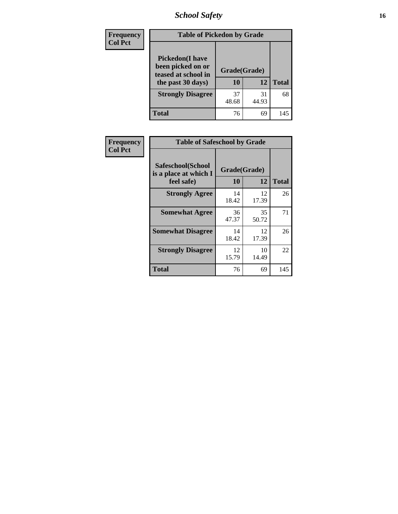# *School Safety* **16**

| <b>Frequency</b> | <b>Table of Pickedon by Grade</b>                                                        |                    |             |              |
|------------------|------------------------------------------------------------------------------------------|--------------------|-------------|--------------|
| <b>Col Pct</b>   | <b>Pickedon</b> (I have<br>been picked on or<br>teased at school in<br>the past 30 days) | Grade(Grade)<br>10 | 12          | <b>Total</b> |
|                  | <b>Strongly Disagree</b>                                                                 | 37<br>48.68        | 31<br>44.93 | 68           |
|                  | Total                                                                                    | 76                 | 69          | 145          |

| Frequency      | <b>Table of Safeschool by Grade</b>                      |                    |             |              |
|----------------|----------------------------------------------------------|--------------------|-------------|--------------|
| <b>Col Pct</b> | Safeschool(School<br>is a place at which I<br>feel safe) | Grade(Grade)<br>10 | 12          | <b>Total</b> |
|                | <b>Strongly Agree</b>                                    | 14<br>18.42        | 12<br>17.39 | 26           |
|                | <b>Somewhat Agree</b>                                    | 36<br>47.37        | 35<br>50.72 | 71           |
|                | <b>Somewhat Disagree</b>                                 | 14<br>18.42        | 12<br>17.39 | 26           |
|                | <b>Strongly Disagree</b>                                 | 12<br>15.79        | 10<br>14.49 | 22           |
|                | Total                                                    | 76                 | 69          | 145          |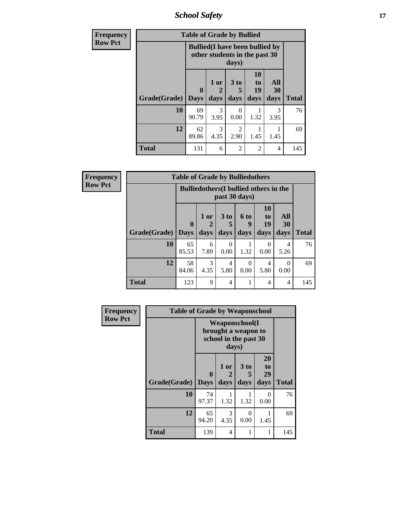*School Safety* **17**

| <b>Frequency</b> | <b>Table of Grade by Bullied</b>                                                 |                             |                   |                              |                        |                   |              |  |  |  |  |  |
|------------------|----------------------------------------------------------------------------------|-----------------------------|-------------------|------------------------------|------------------------|-------------------|--------------|--|--|--|--|--|
| <b>Row Pct</b>   | <b>Bullied</b> (I have been bullied by<br>other students in the past 30<br>days) |                             |                   |                              |                        |                   |              |  |  |  |  |  |
|                  | Grade(Grade)                                                                     | $\mathbf{0}$<br><b>Days</b> | 1 or<br>2<br>days | 3 <sub>to</sub><br>5<br>days | 10<br>to<br>19<br>days | All<br>30<br>days | <b>Total</b> |  |  |  |  |  |
|                  | 10                                                                               | 69<br>90.79                 | 3<br>3.95         | $\Omega$<br>0.00             | 1.32                   | 3<br>3.95         | 76           |  |  |  |  |  |
|                  | 12                                                                               | 62<br>89.86                 | 3<br>4.35         | 2<br>2.90                    | 1.45                   | 1.45              | 69           |  |  |  |  |  |
|                  | <b>Total</b>                                                                     | 131                         | 6                 | $\overline{2}$               | $\mathfrak{D}$         | $\overline{4}$    | 145          |  |  |  |  |  |

| <b>Frequency</b> | <b>Table of Grade by Bulliedothers</b> |             |                                               |                |                          |                                           |                   |              |
|------------------|----------------------------------------|-------------|-----------------------------------------------|----------------|--------------------------|-------------------------------------------|-------------------|--------------|
| <b>Row Pct</b>   |                                        |             | <b>Bulliedothers</b> (I bullied others in the |                | past 30 days)            |                                           |                   |              |
|                  | Grade(Grade)   Days                    | $\mathbf 0$ | 1 or<br>2<br>days                             | 3 to<br>days   | <b>6 to</b><br>9<br>days | <b>10</b><br>t <sub>0</sub><br>19<br>days | All<br>30<br>days | <b>Total</b> |
|                  | 10                                     | 65<br>85.53 | 6<br>7.89                                     | ∩<br>0.00      | 1.32                     | $\Omega$<br>0.00                          | 4<br>5.26         | 76           |
|                  | 12                                     | 58<br>84.06 | 3<br>4.35                                     | 4<br>5.80      | 0<br>0.00                | 4<br>5.80                                 | 0<br>0.00         | 69           |
|                  | <b>Total</b>                           | 123         | 9                                             | $\overline{4}$ |                          | 4                                         | 4                 | 145          |

| Frequency<br><b>Row Pct</b> |              | <b>Table of Grade by Weaponschool</b> |                   |                                                                |                        |              |
|-----------------------------|--------------|---------------------------------------|-------------------|----------------------------------------------------------------|------------------------|--------------|
|                             |              |                                       | days)             | Weaponschool(I<br>brought a weapon to<br>school in the past 30 |                        |              |
|                             | Grade(Grade) | $\mathbf{0}$<br><b>Days</b>           | 1 or<br>2<br>days | 3 to<br>5<br>days                                              | 20<br>to<br>29<br>days | <b>Total</b> |
|                             | 10           | 74<br>97.37                           | 1.32              | 1.32                                                           | 0<br>0.00              | 76           |
|                             | 12           | 65<br>94.20                           | 3<br>4.35         | $\theta$<br>0.00                                               | 1.45                   | 69           |
|                             | <b>Total</b> | 139                                   | 4                 | 1                                                              | 1                      | 145          |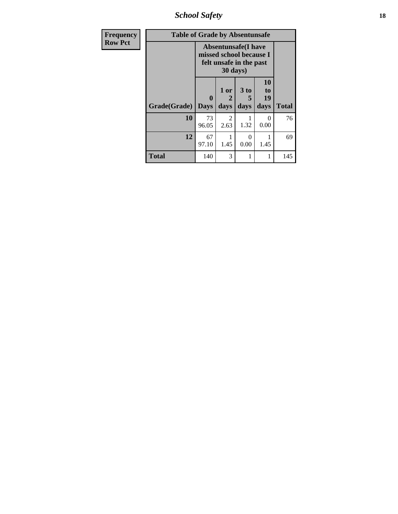*School Safety* **18**

| <b>Frequency</b> | <b>Table of Grade by Absentunsafe</b> |                  |                        |                                                                                   |                        |              |  |  |  |
|------------------|---------------------------------------|------------------|------------------------|-----------------------------------------------------------------------------------|------------------------|--------------|--|--|--|
| <b>Row Pct</b>   |                                       |                  | 30 days)               | <b>Absentunsafe</b> (I have<br>missed school because I<br>felt unsafe in the past |                        |              |  |  |  |
|                  | Grade(Grade)                          | 0<br><b>Days</b> | 1 or<br>2<br>days      | 3 <sub>to</sub><br>5<br>days                                                      | 10<br>to<br>19<br>days | <b>Total</b> |  |  |  |
|                  | 10                                    | 73<br>96.05      | $\mathfrak{D}$<br>2.63 | 1.32                                                                              | $\Omega$<br>0.00       | 76           |  |  |  |
|                  | 12                                    | 67<br>97.10      | 1.45                   | $\Omega$<br>0.00                                                                  | 1.45                   | 69           |  |  |  |
|                  | <b>Total</b>                          | 140              | 3                      |                                                                                   | 1                      | 145          |  |  |  |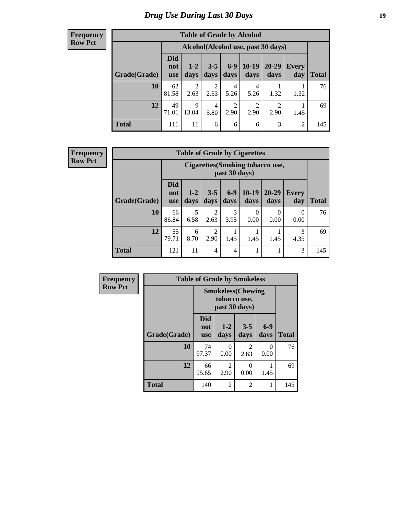## *Drug Use During Last 30 Days* **19**

#### **Frequency Row Pct**

| <b>Table of Grade by Alcohol</b> |                                 |                        |                        |                        |                 |                                    |              |              |
|----------------------------------|---------------------------------|------------------------|------------------------|------------------------|-----------------|------------------------------------|--------------|--------------|
|                                  |                                 |                        |                        |                        |                 | Alcohol(Alcohol use, past 30 days) |              |              |
| Grade(Grade)                     | <b>Did</b><br>not<br><b>use</b> | $1-2$<br>days          | $3 - 5$<br>days        | $6-9$<br>days          | $10-19$<br>days | $20 - 29$<br>days                  | Every<br>day | <b>Total</b> |
| 10                               | 62<br>81.58                     | $\overline{2}$<br>2.63 | $\overline{2}$<br>2.63 | 4<br>5.26              | 4<br>5.26       | 1.32                               | 1.32         | 76           |
| 12                               | 49<br>71.01                     | 9<br>13.04             | 4<br>5.80              | $\overline{2}$<br>2.90 | 2<br>2.90       | 2<br>2.90                          | 1.45         | 69           |
| <b>Total</b>                     | 111                             | 11                     | 6                      | 6                      | 6               | 3                                  | 2            | 145          |

#### **Frequency Row Pct**

| <b>Table of Grade by Cigarettes</b> |                          |                                                   |                        |               |                 |                   |              |       |
|-------------------------------------|--------------------------|---------------------------------------------------|------------------------|---------------|-----------------|-------------------|--------------|-------|
|                                     |                          | Cigarettes (Smoking tobacco use,<br>past 30 days) |                        |               |                 |                   |              |       |
| Grade(Grade)                        | Did<br>not<br><b>use</b> | $1-2$<br>days                                     | $3 - 5$<br>days        | $6-9$<br>days | $10-19$<br>days | $20 - 29$<br>days | Every<br>day | Total |
| 10                                  | 66<br>86.84              | 5<br>6.58                                         | $\overline{2}$<br>2.63 | 3<br>3.95     | 0<br>0.00       | $\Omega$<br>0.00  | 0<br>0.00    | 76    |
| 12                                  | 55<br>79.71              | 6<br>8.70                                         | $\overline{c}$<br>2.90 | 1.45          | 1.45            | 1.45              | 3<br>4.35    | 69    |
| <b>Total</b>                        | 121                      | 11                                                | $\overline{4}$         | 4             | 1               |                   | 3            | 145   |

| Frequency      |              | <b>Table of Grade by Smokeless</b> |                               |                           |                  |              |  |  |  |
|----------------|--------------|------------------------------------|-------------------------------|---------------------------|------------------|--------------|--|--|--|
| <b>Row Pct</b> |              |                                    | tobacco use,<br>past 30 days) | <b>Smokeless</b> (Chewing |                  |              |  |  |  |
|                | Grade(Grade) | <b>Did</b><br>not<br><b>use</b>    | $1 - 2$<br>days               | $3 - 5$<br>days           | $6-9$<br>days    | <b>Total</b> |  |  |  |
|                | 10           | 74<br>97.37                        | $\Omega$<br>0.00              | $\overline{2}$<br>2.63    | $\Omega$<br>0.00 | 76           |  |  |  |
|                | 12           | 66<br>95.65                        | $\overline{2}$<br>2.90        | $\Omega$<br>0.00          | 1.45             | 69           |  |  |  |
|                | <b>Total</b> | 140                                | $\overline{2}$                | $\overline{2}$            | 1                | 145          |  |  |  |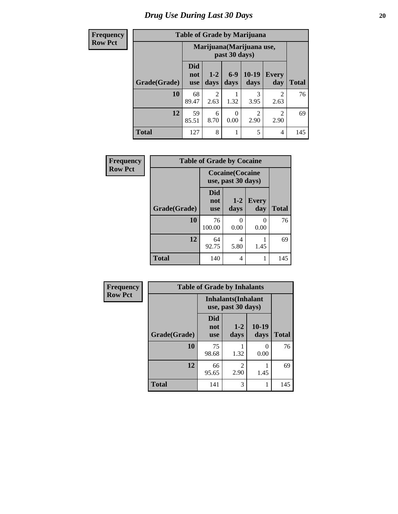## *Drug Use During Last 30 Days* 20

# **Row**

|  | <b>Table of Grade by Marijuana</b> |
|--|------------------------------------|
|  |                                    |

| <b>Frequency</b> |              |                                            | <b>Table of Grade by Marijuana</b> |                  |                 |                     |              |
|------------------|--------------|--------------------------------------------|------------------------------------|------------------|-----------------|---------------------|--------------|
| <b>Row Pct</b>   |              | Marijuana (Marijuana use,<br>past 30 days) |                                    |                  |                 |                     |              |
|                  | Grade(Grade) | <b>Did</b><br>not<br><b>use</b>            | $1 - 2$<br>days                    | $6 - 9$<br>days  | $10-19$<br>days | <b>Every</b><br>day | <b>Total</b> |
|                  | <b>10</b>    | 68<br>89.47                                | $\overline{2}$<br>2.63             | 1.32             | 3<br>3.95       | 2<br>2.63           | 76           |
|                  | 12           | 59<br>85.51                                | 6<br>8.70                          | $\theta$<br>0.00 | 2<br>2.90       | 2<br>2.90           | 69           |
|                  | <b>Total</b> | 127                                        | 8                                  |                  | 5               | 4                   | 145          |

| Frequency      | <b>Table of Grade by Cocaine</b> |                                               |               |                     |              |
|----------------|----------------------------------|-----------------------------------------------|---------------|---------------------|--------------|
| <b>Row Pct</b> |                                  | <b>Cocaine</b> (Cocaine<br>use, past 30 days) |               |                     |              |
|                | Grade(Grade)                     | <b>Did</b><br>not<br><b>use</b>               | $1-2$<br>days | <b>Every</b><br>day | <b>Total</b> |
|                | 10                               | 76<br>100.00                                  | 0.00          | 0<br>0.00           | 76           |
|                | 12                               | 64<br>92.75                                   | 4<br>5.80     | 1.45                | 69           |
|                | <b>Total</b>                     | 140                                           | 4             | 1                   | 145          |

| <b>Frequency</b> |
|------------------|
| <b>Row Pct</b>   |

| <b>Table of Grade by Inhalants</b> |                                                  |                        |                 |              |  |  |
|------------------------------------|--------------------------------------------------|------------------------|-----------------|--------------|--|--|
|                                    | <b>Inhalants</b> (Inhalant<br>use, past 30 days) |                        |                 |              |  |  |
| Grade(Grade)                       | Did<br>not<br><b>use</b>                         | $1 - 2$<br>days        | $10-19$<br>days | <b>Total</b> |  |  |
| 10                                 | 75<br>98.68                                      | 1.32                   | 0<br>0.00       | 76           |  |  |
| 12                                 | 66<br>95.65                                      | $\mathfrak{D}$<br>2.90 | 1.45            | 69           |  |  |
| Total                              | 141                                              | 3                      |                 | 145          |  |  |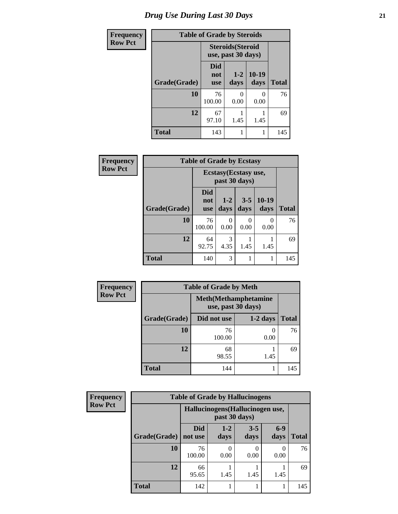| <b>Frequency</b> | <b>Table of Grade by Steroids</b> |                                                |                 |                 |              |  |
|------------------|-----------------------------------|------------------------------------------------|-----------------|-----------------|--------------|--|
| <b>Row Pct</b>   |                                   | <b>Steroids</b> (Steroid<br>use, past 30 days) |                 |                 |              |  |
|                  | Grade(Grade)                      | <b>Did</b><br>not<br><b>use</b>                | $1 - 2$<br>days | $10-19$<br>days | <b>Total</b> |  |
|                  | 10                                | 76<br>100.00                                   | O<br>0.00       | 0.00            | 76           |  |
|                  | 12                                | 67<br>97.10                                    | 1.45            | 1.45            | 69           |  |
|                  | <b>Total</b>                      | 143                                            | 1               |                 | 145          |  |

| <b>Frequency</b> | <b>Table of Grade by Ecstasy</b> |                                        |                 |                 |                  |              |
|------------------|----------------------------------|----------------------------------------|-----------------|-----------------|------------------|--------------|
| <b>Row Pct</b>   |                                  | Ecstasy (Ecstasy use,<br>past 30 days) |                 |                 |                  |              |
|                  | Grade(Grade)                     | <b>Did</b><br>not<br>use               | $1 - 2$<br>days | $3 - 5$<br>days | $10-19$<br>days  | <b>Total</b> |
|                  | 10                               | 76<br>100.00                           | 0<br>0.00       | 0.00            | $\Omega$<br>0.00 | 76           |
|                  | 12                               | 64<br>92.75                            | 3<br>4.35       | 1.45            | 1.45             | 69           |
|                  | <b>Total</b>                     | 140                                    | 3               | 1               | 1                | 145          |

| <b>Frequency</b> | <b>Table of Grade by Meth</b> |                                                    |            |              |  |
|------------------|-------------------------------|----------------------------------------------------|------------|--------------|--|
| <b>Row Pct</b>   |                               | <b>Meth</b> (Methamphetamine<br>use, past 30 days) |            |              |  |
|                  | Grade(Grade)                  | Did not use                                        | $1-2$ days | <b>Total</b> |  |
|                  | 10                            | 76<br>100.00                                       | 0.00       | 76           |  |
|                  | 12                            | 68<br>98.55                                        | 1.45       | 69           |  |
|                  | <b>Total</b>                  | 144                                                |            | 145          |  |

| <b>Frequency</b> | <b>Table of Grade by Hallucinogens</b> |                                  |                 |                 |               |              |
|------------------|----------------------------------------|----------------------------------|-----------------|-----------------|---------------|--------------|
| <b>Row Pct</b>   |                                        | Hallucinogens (Hallucinogen use, |                 |                 |               |              |
|                  | Grade(Grade)                           | <b>Did</b><br>not use            | $1 - 2$<br>days | $3 - 5$<br>days | $6-9$<br>days | <b>Total</b> |
|                  | 10                                     | 76<br>100.00                     | 0<br>0.00       | 0.00            | 0<br>0.00     | 76           |
|                  | 12                                     | 66<br>95.65                      | 1.45            | 1.45            | 1.45          | 69           |
|                  | <b>Total</b>                           | 142                              |                 |                 |               | 145          |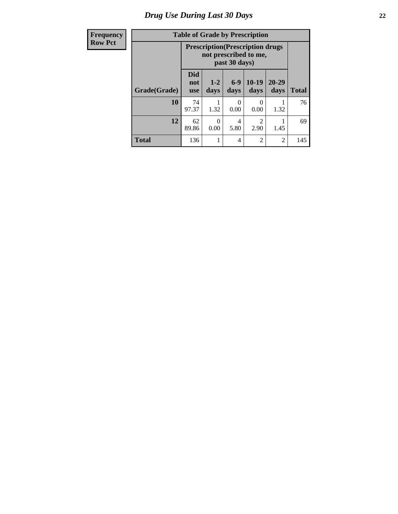# *Drug Use During Last 30 Days* **22**

| <b>Frequency</b> |  |
|------------------|--|
| <b>Row Pct</b>   |  |

# **Table of Grade by Prescription**

| IVIIVY |              | Table of Graue by Frescription                                    |                 |               |                        |                   |              |  |
|--------|--------------|-------------------------------------------------------------------|-----------------|---------------|------------------------|-------------------|--------------|--|
| Pct    |              | <b>Prescription</b> (Prescription drugs)<br>not prescribed to me, |                 |               |                        |                   |              |  |
|        | Grade(Grade) | <b>Did</b><br>not<br><b>use</b>                                   | $1 - 2$<br>days | $6-9$<br>days | $10-19$<br>days        | $20 - 29$<br>days | <b>Total</b> |  |
|        | 10           | 74<br>97.37                                                       | 1.32            | 0<br>0.00     | 0<br>0.00              | 1.32              | 76           |  |
|        | 12           | 62<br>89.86                                                       | 0<br>0.00       | 4<br>5.80     | $\overline{2}$<br>2.90 | 1.45              | 69           |  |
|        | <b>Total</b> | 136                                                               |                 | 4             | $\overline{2}$         | $\overline{2}$    | 145          |  |

П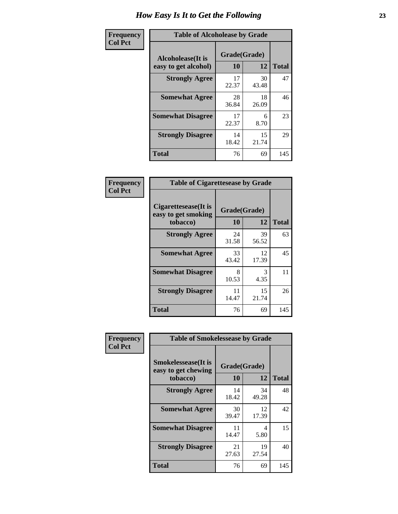| Frequency      | <b>Table of Alcoholease by Grade</b>              |                    |             |              |  |  |
|----------------|---------------------------------------------------|--------------------|-------------|--------------|--|--|
| <b>Col Pct</b> | <b>Alcoholease</b> (It is<br>easy to get alcohol) | Grade(Grade)<br>10 | 12          | <b>Total</b> |  |  |
|                | <b>Strongly Agree</b>                             | 17<br>22.37        | 30<br>43.48 | 47           |  |  |
|                | <b>Somewhat Agree</b>                             | 28<br>36.84        | 18<br>26.09 | 46           |  |  |
|                | <b>Somewhat Disagree</b>                          | 17<br>22.37        | 6<br>8.70   | 23           |  |  |
|                | <b>Strongly Disagree</b>                          | 14<br>18.42        | 15<br>21.74 | 29           |  |  |
|                | <b>Total</b>                                      | 76                 | 69          | 145          |  |  |

| Frequency      | <b>Table of Cigarettesease by Grade</b>                 |                    |             |              |  |  |
|----------------|---------------------------------------------------------|--------------------|-------------|--------------|--|--|
| <b>Col Pct</b> | Cigarettesease(It is<br>easy to get smoking<br>tobacco) | Grade(Grade)<br>10 | 12          | <b>Total</b> |  |  |
|                | <b>Strongly Agree</b>                                   | 24<br>31.58        | 39<br>56.52 | 63           |  |  |
|                | <b>Somewhat Agree</b>                                   | 33<br>43.42        | 12<br>17.39 | 45           |  |  |
|                | <b>Somewhat Disagree</b>                                | 8<br>10.53         | 3<br>4.35   | 11           |  |  |
|                | <b>Strongly Disagree</b>                                | 11<br>14.47        | 15<br>21.74 | 26           |  |  |
|                | <b>Total</b>                                            | 76                 | 69          | 145          |  |  |

| Frequency      | <b>Table of Smokelessease by Grade</b>             |              |             |              |  |  |  |  |  |
|----------------|----------------------------------------------------|--------------|-------------|--------------|--|--|--|--|--|
| <b>Col Pct</b> | <b>Smokelessease</b> (It is<br>easy to get chewing | Grade(Grade) |             |              |  |  |  |  |  |
|                | tobacco)                                           | 10           | 12          | <b>Total</b> |  |  |  |  |  |
|                | <b>Strongly Agree</b>                              | 14<br>18.42  | 34<br>49.28 | 48           |  |  |  |  |  |
|                | <b>Somewhat Agree</b>                              | 30<br>39.47  | 12<br>17.39 | 42           |  |  |  |  |  |
|                | <b>Somewhat Disagree</b>                           | 11<br>14.47  | 4<br>5.80   | 15           |  |  |  |  |  |
|                | <b>Strongly Disagree</b>                           | 21<br>27.63  | 19<br>27.54 | 40           |  |  |  |  |  |
|                | Total                                              | 76           | 69          | 145          |  |  |  |  |  |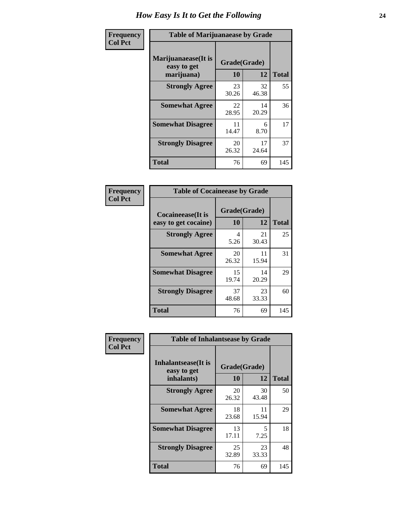| Frequency      | <b>Table of Marijuanaease by Grade</b>           |                           |              |     |  |  |  |  |
|----------------|--------------------------------------------------|---------------------------|--------------|-----|--|--|--|--|
| <b>Col Pct</b> | Marijuanaease(It is<br>easy to get<br>marijuana) | Grade(Grade)<br><b>10</b> | <b>Total</b> |     |  |  |  |  |
|                | <b>Strongly Agree</b>                            | 23<br>30.26               | 32<br>46.38  | 55  |  |  |  |  |
|                | <b>Somewhat Agree</b>                            | 22<br>28.95               | 14<br>20.29  | 36  |  |  |  |  |
|                | <b>Somewhat Disagree</b>                         | 11<br>14.47               | 6<br>8.70    | 17  |  |  |  |  |
|                | <b>Strongly Disagree</b>                         | 20<br>26.32               | 17<br>24.64  | 37  |  |  |  |  |
|                | <b>Total</b>                                     | 76                        | 69           | 145 |  |  |  |  |

| <b>Table of Cocaineease by Grade</b>              |             |                    |     |  |  |  |  |  |  |
|---------------------------------------------------|-------------|--------------------|-----|--|--|--|--|--|--|
| <b>Cocaineease</b> (It is<br>easy to get cocaine) | 10          | Grade(Grade)<br>12 |     |  |  |  |  |  |  |
| <b>Strongly Agree</b>                             | 4<br>5.26   | 21<br>30.43        | 25  |  |  |  |  |  |  |
| <b>Somewhat Agree</b>                             | 20<br>26.32 | 11<br>15.94        | 31  |  |  |  |  |  |  |
| <b>Somewhat Disagree</b>                          | 15<br>19.74 | 14<br>20.29        | 29  |  |  |  |  |  |  |
| <b>Strongly Disagree</b>                          | 37<br>48.68 | 23<br>33.33        | 60  |  |  |  |  |  |  |
| <b>Total</b>                                      | 76          | 69                 | 145 |  |  |  |  |  |  |

| Frequency      | <b>Table of Inhalantsease by Grade</b>     |              |             |              |  |  |  |  |  |
|----------------|--------------------------------------------|--------------|-------------|--------------|--|--|--|--|--|
| <b>Col Pct</b> | <b>Inhalantsease</b> (It is<br>easy to get | Grade(Grade) |             |              |  |  |  |  |  |
|                | inhalants)                                 | 10           | 12          | <b>Total</b> |  |  |  |  |  |
|                | <b>Strongly Agree</b>                      | 20<br>26.32  | 30<br>43.48 | 50           |  |  |  |  |  |
|                | <b>Somewhat Agree</b>                      | 18<br>23.68  | 11<br>15.94 | 29           |  |  |  |  |  |
|                | <b>Somewhat Disagree</b>                   | 13<br>17.11  | 5<br>7.25   | 18           |  |  |  |  |  |
|                | <b>Strongly Disagree</b>                   | 25<br>32.89  | 23<br>33.33 | 48           |  |  |  |  |  |
|                | <b>Total</b>                               | 76           | 69          | 145          |  |  |  |  |  |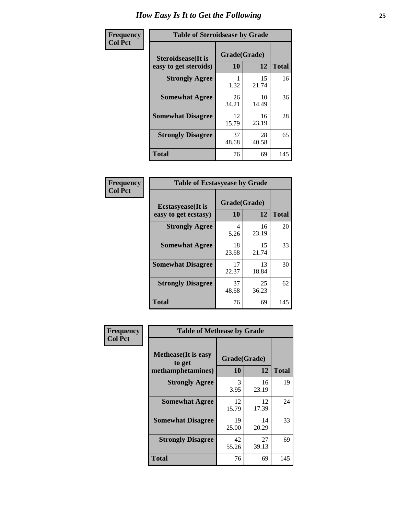| Frequency      | <b>Table of Steroidsease by Grade</b>               |                    |              |     |  |  |  |  |
|----------------|-----------------------------------------------------|--------------------|--------------|-----|--|--|--|--|
| <b>Col Pct</b> | <b>Steroidsease</b> (It is<br>easy to get steroids) | Grade(Grade)<br>10 | <b>Total</b> |     |  |  |  |  |
|                | <b>Strongly Agree</b>                               | 1.32               | 15<br>21.74  | 16  |  |  |  |  |
|                | <b>Somewhat Agree</b>                               | 26<br>34.21        | 10<br>14.49  | 36  |  |  |  |  |
|                | <b>Somewhat Disagree</b>                            | 12<br>15.79        | 16<br>23.19  | 28  |  |  |  |  |
|                | <b>Strongly Disagree</b>                            | 37<br>48.68        | 28<br>40.58  | 65  |  |  |  |  |
|                | <b>Total</b>                                        | 76                 | 69           | 145 |  |  |  |  |

| Frequency      | <b>Table of Ecstasyease by Grade</b>              |                    |              |     |  |  |  |  |
|----------------|---------------------------------------------------|--------------------|--------------|-----|--|--|--|--|
| <b>Col Pct</b> | <b>Ecstasyease</b> (It is<br>easy to get ecstasy) | Grade(Grade)<br>10 | <b>Total</b> |     |  |  |  |  |
|                | <b>Strongly Agree</b>                             | 4<br>5.26          | 16<br>23.19  | 20  |  |  |  |  |
|                | <b>Somewhat Agree</b>                             | 18<br>23.68        | 15<br>21.74  | 33  |  |  |  |  |
|                | <b>Somewhat Disagree</b>                          | 17<br>22.37        | 13<br>18.84  | 30  |  |  |  |  |
|                | <b>Strongly Disagree</b>                          | 37<br>48.68        | 25<br>36.23  | 62  |  |  |  |  |
|                | <b>Total</b>                                      | 76                 | 69           | 145 |  |  |  |  |

| Frequency      | <b>Table of Methease by Grade</b>                          |                    |              |     |
|----------------|------------------------------------------------------------|--------------------|--------------|-----|
| <b>Col Pct</b> | <b>Methease</b> (It is easy<br>to get<br>methamphetamines) | Grade(Grade)<br>10 | <b>Total</b> |     |
|                | <b>Strongly Agree</b>                                      | 3<br>3.95          | 16<br>23.19  | 19  |
|                | <b>Somewhat Agree</b>                                      | 12<br>15.79        | 12<br>17.39  | 24  |
|                | <b>Somewhat Disagree</b>                                   | 19<br>25.00        | 14<br>20.29  | 33  |
|                | <b>Strongly Disagree</b>                                   | 42<br>55.26        | 27<br>39.13  | 69  |
|                | <b>Total</b>                                               | 76                 | 69           | 145 |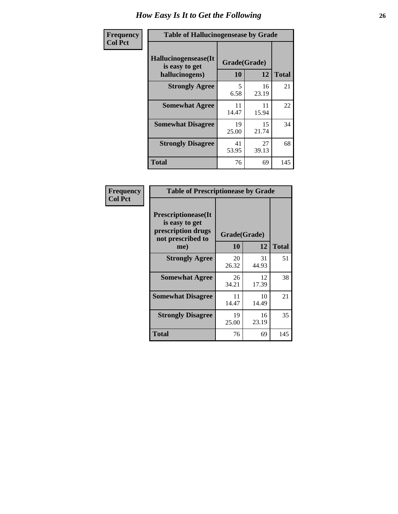| <b>Frequency</b> | <b>Table of Hallucinogensease by Grade</b>               |                    |             |              |  |  |  |  |
|------------------|----------------------------------------------------------|--------------------|-------------|--------------|--|--|--|--|
| <b>Col Pct</b>   | Hallucinogensease(It<br>is easy to get<br>hallucinogens) | Grade(Grade)<br>10 | 12          | <b>Total</b> |  |  |  |  |
|                  | <b>Strongly Agree</b>                                    | 5<br>6.58          | 16<br>23.19 | 21           |  |  |  |  |
|                  | <b>Somewhat Agree</b>                                    | 11<br>14.47        | 11<br>15.94 | 22           |  |  |  |  |
|                  | <b>Somewhat Disagree</b>                                 | 19<br>25.00        | 15<br>21.74 | 34           |  |  |  |  |
|                  | <b>Strongly Disagree</b>                                 | 41<br>53.95        | 27<br>39.13 | 68           |  |  |  |  |
|                  | <b>Total</b>                                             | 76                 | 69          | 145          |  |  |  |  |

| <b>Frequency</b><br>Col Pct |
|-----------------------------|
|                             |

| <b>Table of Prescriptionease by Grade</b>                                               |             |              |              |  |  |  |  |  |  |
|-----------------------------------------------------------------------------------------|-------------|--------------|--------------|--|--|--|--|--|--|
| <b>Prescriptionease(It</b><br>is easy to get<br>prescription drugs<br>not prescribed to |             | Grade(Grade) |              |  |  |  |  |  |  |
| me)                                                                                     | 10          | 12           | <b>Total</b> |  |  |  |  |  |  |
| <b>Strongly Agree</b>                                                                   | 20<br>26.32 | 31<br>44.93  | 51           |  |  |  |  |  |  |
| <b>Somewhat Agree</b>                                                                   | 26<br>34.21 | 12<br>17.39  | 38           |  |  |  |  |  |  |
| <b>Somewhat Disagree</b>                                                                | 11<br>14.47 | 10<br>14.49  | 21           |  |  |  |  |  |  |
| <b>Strongly Disagree</b>                                                                | 19<br>25.00 | 16<br>23.19  | 35           |  |  |  |  |  |  |
| Total                                                                                   | 76          | 69           | 145          |  |  |  |  |  |  |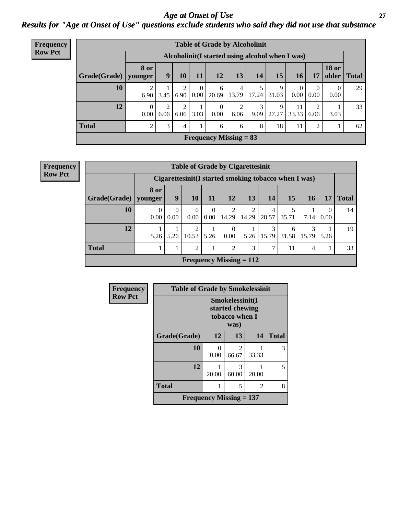#### *Age at Onset of Use* **27** *Results for "Age at Onset of Use" questions exclude students who said they did not use that substance*

| Frequency      | <b>Table of Grade by Alcoholinit</b> |                        |                                                  |           |                              |                  |                               |           |            |                        |                  |                       |              |
|----------------|--------------------------------------|------------------------|--------------------------------------------------|-----------|------------------------------|------------------|-------------------------------|-----------|------------|------------------------|------------------|-----------------------|--------------|
| <b>Row Pct</b> |                                      |                        | Alcoholinit (I started using alcohol when I was) |           |                              |                  |                               |           |            |                        |                  |                       |              |
|                | Grade(Grade)                         | <b>8 or</b><br>younger | 9                                                | 10        | <b>11</b>                    | 12               | 13                            | 14        | 15         | 16                     | 17               | <b>18 or</b><br>older | <b>Total</b> |
|                | 10                                   | 6.90                   | 3.45                                             |           | $\Omega$<br>$6.90 \mid 0.00$ | 6<br>20.69       | $\overline{4}$<br>13.79       | 17.24     | 9<br>31.03 | $\overline{0}$<br>0.00 | $\Omega$<br>0.00 | $\theta$<br>0.00      | 29           |
|                | 12                                   | $\Omega$<br>0.00       | 2<br>6.06                                        | 2<br>6.06 | 3.03                         | $\theta$<br>0.00 | 2<br>6.06                     | 3<br>9.09 | 9<br>27.27 | 11<br>33.33            | 2<br>6.06        | 3.03                  | 33           |
|                | <b>Total</b>                         | $\overline{c}$         | 3                                                | 4         |                              | 6                | 6                             | 8         | 18         | 11                     | 2                |                       | 62           |
|                |                                      |                        |                                                  |           |                              |                  | <b>Frequency Missing = 83</b> |           |            |                        |                  |                       |              |

**Frequency Row Pct**

| <b>Table of Grade by Cigarettesinit</b> |                  |                                                      |                  |                  |                           |            |            |            |           |      |              |
|-----------------------------------------|------------------|------------------------------------------------------|------------------|------------------|---------------------------|------------|------------|------------|-----------|------|--------------|
|                                         |                  | Cigarettesinit(I started smoking tobacco when I was) |                  |                  |                           |            |            |            |           |      |              |
| Grade(Grade)                            | 8 or<br>vounger  | 9                                                    | <b>10</b>        | 11               | 12                        | 13         | 14         | 15         | <b>16</b> | 17   | <b>Total</b> |
| 10                                      | $\left($<br>0.00 | $\Omega$<br>0.00                                     | $\Omega$<br>0.00 | $\Omega$<br>0.00 | 2<br>14.29                | 2<br>14.29 | 4<br>28.57 | 35.71      | 7.14      | 0.00 | 14           |
| 12                                      | 5.26             | 5.26                                                 | 2<br>10.53       | 5.26             | $\theta$<br>$0.00\,$      | 5.26       | 15.79      | 6<br>31.58 | 15.79     | 5.26 | 19           |
| <b>Total</b>                            |                  |                                                      | 2                |                  | $\overline{2}$            | 3          | 7          | 11         | 4         |      | 33           |
|                                         |                  |                                                      |                  |                  | Frequency Missing $= 112$ |            |            |            |           |      |              |

| Frequency      | <b>Table of Grade by Smokelessinit</b> |           |                                                              |       |              |  |
|----------------|----------------------------------------|-----------|--------------------------------------------------------------|-------|--------------|--|
| <b>Row Pct</b> |                                        |           | Smokelessinit(I<br>started chewing<br>tobacco when I<br>was) |       |              |  |
|                | Grade(Grade)                           | 12        | 13                                                           | 14    | <b>Total</b> |  |
|                | 10                                     | 0<br>0.00 | 2<br>66.67                                                   | 33.33 | 3            |  |
|                | 12                                     | 20.00     | 3<br>60.00                                                   | 20.00 | 5            |  |
|                | <b>Total</b>                           |           | 5                                                            | 2     | 8            |  |
|                | Frequency Missing $= 137$              |           |                                                              |       |              |  |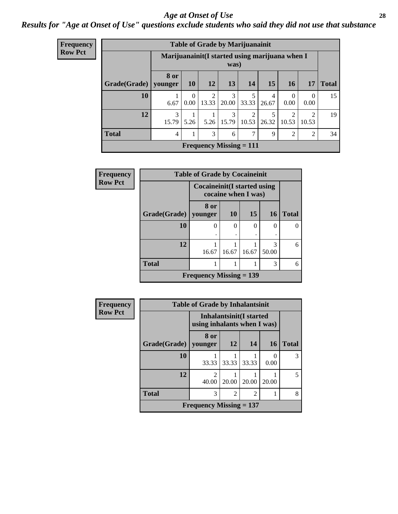#### *Age at Onset of Use* **28**

### *Results for "Age at Onset of Use" questions exclude students who said they did not use that substance*

| <b>Frequency</b>                                                          |              | <b>Table of Grade by Marijuanainit</b> |                  |                         |                                |                         |            |                         |                         |              |
|---------------------------------------------------------------------------|--------------|----------------------------------------|------------------|-------------------------|--------------------------------|-------------------------|------------|-------------------------|-------------------------|--------------|
| <b>Row Pct</b><br>Marijuanainit (I started using marijuana when I<br>was) |              |                                        |                  |                         |                                |                         |            |                         |                         |              |
|                                                                           | Grade(Grade) | 8 or<br>younger                        | <b>10</b>        | 12                      | 13                             | <b>14</b>               | 15         | <b>16</b>               | 17                      | <b>Total</b> |
|                                                                           | 10           | 6.67                                   | $\Omega$<br>0.00 | $\overline{2}$<br>13.33 | 3<br>20.00                     | 5<br>33.33              | 4<br>26.67 | $\Omega$<br>0.00        | $\theta$<br>0.00        | 15           |
|                                                                           | 12           | 3<br>15.79                             | 5.26             | 5.26                    | 3<br>15.79                     | $\mathfrak{D}$<br>10.53 | 26.32      | $\mathfrak{D}$<br>10.53 | $\mathfrak{D}$<br>10.53 | 19           |
|                                                                           | <b>Total</b> | $\overline{4}$                         |                  | 3                       | 6                              | 7                       | 9          | $\overline{2}$          | 2                       | 34           |
|                                                                           |              |                                        |                  |                         | <b>Frequency Missing = 111</b> |                         |            |                         |                         |              |

| <b>Frequency</b> |                        | <b>Table of Grade by Cocaineinit</b>        |                     |       |            |              |  |  |
|------------------|------------------------|---------------------------------------------|---------------------|-------|------------|--------------|--|--|
| <b>Row Pct</b>   |                        | <b>Cocaineinit</b> (I started using         | cocaine when I was) |       |            |              |  |  |
|                  | Grade(Grade)   younger | 8 or                                        | <b>10</b>           | 15    | <b>16</b>  | <b>Total</b> |  |  |
|                  | 10                     | $\left( \right)$                            | $\theta$            | 0     | 0          |              |  |  |
|                  | 12                     | 16.67                                       | 16.67               | 16.67 | 3<br>50.00 | 6            |  |  |
|                  | <b>Total</b>           |                                             |                     |       | 3          | 6            |  |  |
|                  |                        | <b>Frequency Missing <math>= 139</math></b> |                     |       |            |              |  |  |

| <b>Frequency</b> | <b>Table of Grade by Inhalantsinit</b> |                                                        |                |                             |           |              |  |
|------------------|----------------------------------------|--------------------------------------------------------|----------------|-----------------------------|-----------|--------------|--|
| <b>Row Pct</b>   |                                        | Inhalantsinit(I started<br>using inhalants when I was) |                |                             |           |              |  |
|                  | Grade(Grade)   younger                 | 8 or                                                   | 12             | 14                          | <b>16</b> | <b>Total</b> |  |
|                  | <b>10</b>                              | 33.33                                                  | 33.33          | 33.33                       | 0.00      | 3            |  |
|                  | 12                                     | $\mathfrak{D}$<br>40.00                                | 20.00          | 20.00                       | 20.00     | 5            |  |
|                  | <b>Total</b>                           | 3                                                      | $\mathfrak{D}$ | $\mathcal{D}_{\mathcal{L}}$ |           | 8            |  |
|                  |                                        | Frequency Missing $= 137$                              |                |                             |           |              |  |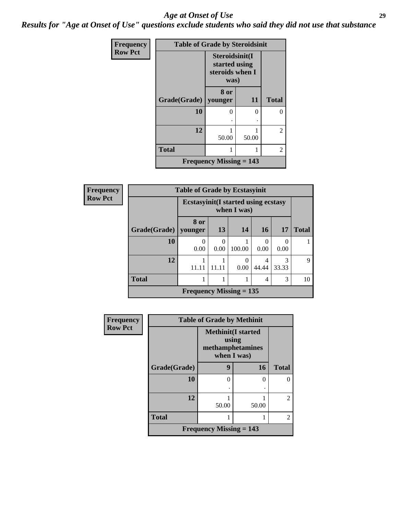#### *Age at Onset of Use* **29**

*Results for "Age at Onset of Use" questions exclude students who said they did not use that substance*

| Frequency      | <b>Table of Grade by Steroidsinit</b> |                                                            |       |              |  |  |  |
|----------------|---------------------------------------|------------------------------------------------------------|-------|--------------|--|--|--|
| <b>Row Pct</b> |                                       | Steroidsinit(I<br>started using<br>steroids when I<br>was) |       |              |  |  |  |
|                | Grade(Grade)                          | 8 or<br>younger                                            | 11    | <b>Total</b> |  |  |  |
|                | 10                                    | 0                                                          | ∩     | 0            |  |  |  |
|                | 12                                    | 50.00                                                      | 50.00 | 2            |  |  |  |
|                | <b>Total</b>                          |                                                            |       | 2            |  |  |  |
|                |                                       | Frequency Missing $= 143$                                  |       |              |  |  |  |

| <b>Frequency</b> | <b>Table of Grade by Ecstasyinit</b> |                                                           |                  |                  |                |            |              |  |
|------------------|--------------------------------------|-----------------------------------------------------------|------------------|------------------|----------------|------------|--------------|--|
| <b>Row Pct</b>   |                                      | <b>Ecstasyinit(I started using ecstasy</b><br>when I was) |                  |                  |                |            |              |  |
|                  | Grade(Grade)                         | <b>8 or</b><br>younger                                    | 13               | 14               | 16             | 17         | <b>Total</b> |  |
|                  | 10                                   | 0<br>0.00                                                 | $\Omega$<br>0.00 | 100.00           | 0.00           | 0<br>0.00  |              |  |
|                  | 12                                   | 1<br>11.11                                                | 11.11            | $\Omega$<br>0.00 | 4<br>44.44     | 3<br>33.33 | 9            |  |
|                  | <b>Total</b>                         | 1                                                         |                  |                  | $\overline{4}$ | 3          | 10           |  |
|                  |                                      | Frequency Missing $= 135$                                 |                  |                  |                |            |              |  |

| <b>Frequency</b> | <b>Table of Grade by Methinit</b> |                                                                        |       |                |  |
|------------------|-----------------------------------|------------------------------------------------------------------------|-------|----------------|--|
| <b>Row Pct</b>   |                                   | <b>Methinit</b> (I started<br>using<br>methamphetamines<br>when I was) |       |                |  |
|                  | Grade(Grade)                      | 9                                                                      | 16    | <b>Total</b>   |  |
|                  | 10                                | 0                                                                      | 0     | 0              |  |
|                  |                                   |                                                                        |       |                |  |
|                  | 12                                | 50.00                                                                  | 50.00 | $\mathfrak{D}$ |  |
|                  | <b>Total</b>                      | 1                                                                      |       | $\mathfrak{D}$ |  |
|                  |                                   | <b>Frequency Missing = 143</b>                                         |       |                |  |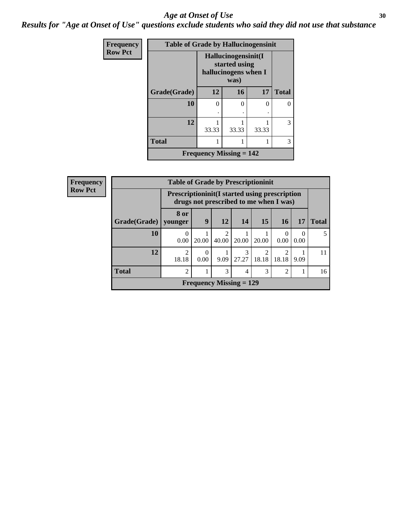#### Age at Onset of Use **30**

*Results for "Age at Onset of Use" questions exclude students who said they did not use that substance*

| Frequency      | <b>Table of Grade by Hallucinogensinit</b> |                                                                      |           |       |              |  |  |
|----------------|--------------------------------------------|----------------------------------------------------------------------|-----------|-------|--------------|--|--|
| <b>Row Pct</b> |                                            | Hallucinogensinit(I<br>started using<br>hallucinogens when I<br>was) |           |       |              |  |  |
|                | Grade(Grade)                               | 12                                                                   | <b>16</b> | 17    | <b>Total</b> |  |  |
|                | 10                                         | 0                                                                    | 0         | 0     |              |  |  |
|                | 12                                         | 33.33                                                                | 33.33     | 33.33 | 3            |  |  |
|                | <b>Total</b>                               |                                                                      |           |       | 3            |  |  |
|                |                                            | <b>Frequency Missing = 142</b>                                       |           |       |              |  |  |

| <b>Frequency</b> |              | <b>Table of Grade by Prescriptioninit</b> |                                                                                                 |                           |            |                         |                  |                  |              |
|------------------|--------------|-------------------------------------------|-------------------------------------------------------------------------------------------------|---------------------------|------------|-------------------------|------------------|------------------|--------------|
| <b>Row Pct</b>   |              |                                           | <b>Prescriptioninit (I started using prescription</b><br>drugs not prescribed to me when I was) |                           |            |                         |                  |                  |              |
|                  | Grade(Grade) | 8 or<br>younger                           | 9                                                                                               | 12                        | 14         | 15                      | <b>16</b>        | 17               | <b>Total</b> |
|                  | 10           | 0.00                                      | 20.00                                                                                           | 2<br>40.00                | 20.00      | 20.00                   | $\Omega$<br>0.00 | $\Omega$<br>0.00 | 5            |
|                  | 12           | $\mathfrak{D}$<br>18.18                   | 0<br>0.00                                                                                       | 9.09                      | 3<br>27.27 | $\mathfrak{D}$<br>18.18 | ↑<br>18.18       | 9.09             | 11           |
|                  | <b>Total</b> | $\overline{2}$                            |                                                                                                 | 3                         | 4          | 3                       | 2                |                  | 16           |
|                  |              |                                           |                                                                                                 | Frequency Missing $= 129$ |            |                         |                  |                  |              |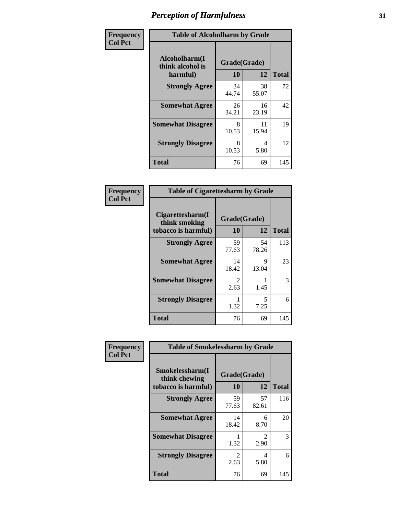| Frequency      | <b>Table of Alcoholharm by Grade</b>          |                    |             |              |  |  |  |
|----------------|-----------------------------------------------|--------------------|-------------|--------------|--|--|--|
| <b>Col Pct</b> | Alcoholharm(I<br>think alcohol is<br>harmful) | Grade(Grade)<br>10 | 12          | <b>Total</b> |  |  |  |
|                | <b>Strongly Agree</b>                         | 34<br>44.74        | 38<br>55.07 | 72           |  |  |  |
|                | <b>Somewhat Agree</b>                         | 26<br>34.21        | 16<br>23.19 | 42           |  |  |  |
|                | <b>Somewhat Disagree</b>                      | 8<br>10.53         | 11<br>15.94 | 19           |  |  |  |
|                | <b>Strongly Disagree</b>                      | 8<br>10.53         | 4<br>5.80   | 12           |  |  |  |
|                | <b>Total</b>                                  | 76                 | 69          | 145          |  |  |  |

| <b>Table of Cigarettesharm by Grade</b>                  |                    |             |              |  |  |  |  |
|----------------------------------------------------------|--------------------|-------------|--------------|--|--|--|--|
| Cigarettesharm(I<br>think smoking<br>tobacco is harmful) | Grade(Grade)<br>10 | 12          | <b>Total</b> |  |  |  |  |
| <b>Strongly Agree</b>                                    | 59<br>77.63        | 54<br>78.26 | 113          |  |  |  |  |
| <b>Somewhat Agree</b>                                    | 14<br>18.42        | 9<br>13.04  | 23           |  |  |  |  |
| <b>Somewhat Disagree</b>                                 | 2<br>2.63          | 1.45        | 3            |  |  |  |  |
| <b>Strongly Disagree</b>                                 | 1<br>1.32          | 5<br>7.25   | 6            |  |  |  |  |
| <b>Total</b>                                             | 76                 | 69          | 145          |  |  |  |  |

| Frequency      | <b>Table of Smokelessharm by Grade</b>                  |                    |             |              |
|----------------|---------------------------------------------------------|--------------------|-------------|--------------|
| <b>Col Pct</b> | Smokelessharm(I<br>think chewing<br>tobacco is harmful) | Grade(Grade)<br>10 | 12          | <b>Total</b> |
|                | <b>Strongly Agree</b>                                   | 59<br>77.63        | 57<br>82.61 | 116          |
|                | <b>Somewhat Agree</b>                                   | 14<br>18.42        | 6<br>8.70   | 20           |
|                | <b>Somewhat Disagree</b>                                | 1.32               | 2<br>2.90   | 3            |
|                | <b>Strongly Disagree</b>                                | 2<br>2.63          | 4<br>5.80   | 6            |
|                | <b>Total</b>                                            | 76                 | 69          | 145          |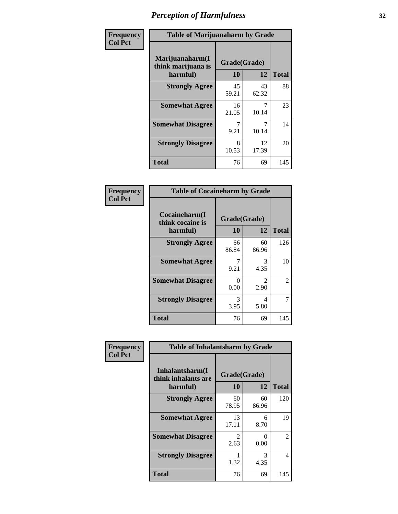| Frequency      | <b>Table of Marijuanaharm by Grade</b>            |                    |             |              |
|----------------|---------------------------------------------------|--------------------|-------------|--------------|
| <b>Col Pct</b> | Marijuanaharm(I<br>think marijuana is<br>harmful) | Grade(Grade)<br>10 | 12          | <b>Total</b> |
|                | <b>Strongly Agree</b>                             | 45<br>59.21        | 43<br>62.32 | 88           |
|                | <b>Somewhat Agree</b>                             | 16<br>21.05        | 10.14       | 23           |
|                | <b>Somewhat Disagree</b>                          | 7<br>9.21          | 10.14       | 14           |
|                | <b>Strongly Disagree</b>                          | 8<br>10.53         | 12<br>17.39 | 20           |
|                | <b>Total</b>                                      | 76                 | 69          | 145          |

| <b>Table of Cocaineharm by Grade</b>          |                    |                        |              |  |  |
|-----------------------------------------------|--------------------|------------------------|--------------|--|--|
| Cocaineharm(I<br>think cocaine is<br>harmful) | Grade(Grade)<br>10 | 12                     | <b>Total</b> |  |  |
| <b>Strongly Agree</b>                         | 66<br>86.84        | 60<br>86.96            | 126          |  |  |
| <b>Somewhat Agree</b>                         | 7<br>9.21          | 3<br>4.35              | 10           |  |  |
| <b>Somewhat Disagree</b>                      | 0<br>0.00          | $\mathfrak{D}$<br>2.90 | 2            |  |  |
| <b>Strongly Disagree</b>                      | 3<br>3.95          | 4<br>5.80              | 7            |  |  |
| <b>Total</b>                                  | 76                 | 69                     | 145          |  |  |

| Frequency      | <b>Table of Inhalantsharm by Grade</b>              |                    |                  |              |
|----------------|-----------------------------------------------------|--------------------|------------------|--------------|
| <b>Col Pct</b> | Inhalantsharm(I)<br>think inhalants are<br>harmful) | Grade(Grade)<br>10 | 12               | <b>Total</b> |
|                | <b>Strongly Agree</b>                               | 60<br>78.95        | 60<br>86.96      | 120          |
|                | <b>Somewhat Agree</b>                               | 13<br>17.11        | 6<br>8.70        | 19           |
|                | <b>Somewhat Disagree</b>                            | 2<br>2.63          | $\Omega$<br>0.00 | 2            |
|                | <b>Strongly Disagree</b>                            | 1.32               | 3<br>4.35        | 4            |
|                | <b>Total</b>                                        | 76                 | 69               | 145          |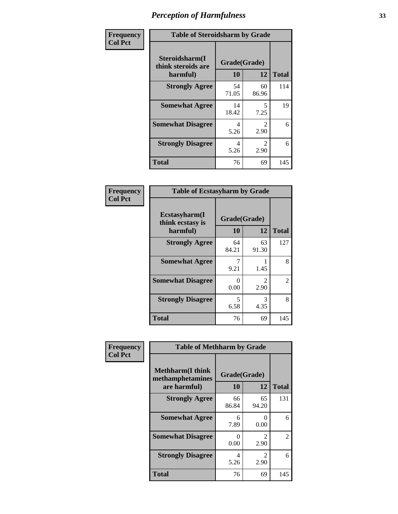| Frequency      | <b>Table of Steroidsharm by Grade</b>            |                    |                        |              |
|----------------|--------------------------------------------------|--------------------|------------------------|--------------|
| <b>Col Pct</b> | Steroidsharm(I<br>think steroids are<br>harmful) | Grade(Grade)<br>10 | 12                     | <b>Total</b> |
|                | <b>Strongly Agree</b>                            | 54<br>71.05        | 60<br>86.96            | 114          |
|                | <b>Somewhat Agree</b>                            | 14<br>18.42        | 5<br>7.25              | 19           |
|                | <b>Somewhat Disagree</b>                         | 4<br>5.26          | $\mathfrak{D}$<br>2.90 | 6            |
|                | <b>Strongly Disagree</b>                         | 4<br>5.26          | $\mathcal{L}$<br>2.90  | 6            |
|                | <b>Total</b>                                     | 76                 | 69                     | 145          |

| <b>Table of Ecstasyharm by Grade</b>          |                    |                        |     |  |  |
|-----------------------------------------------|--------------------|------------------------|-----|--|--|
| Ecstasyharm(I<br>think ecstasy is<br>harmful) | Grade(Grade)<br>10 | <b>Total</b>           |     |  |  |
| <b>Strongly Agree</b>                         | 64<br>84.21        | 63<br>91.30            | 127 |  |  |
| <b>Somewhat Agree</b>                         | 9.21               | 1.45                   | 8   |  |  |
| <b>Somewhat Disagree</b>                      | 0<br>0.00          | $\mathfrak{D}$<br>2.90 | 2   |  |  |
| <b>Strongly Disagree</b>                      | 5<br>6.58          | 3<br>4.35              | 8   |  |  |
| <b>Total</b>                                  | 76                 | 69                     | 145 |  |  |

| Frequency      | <b>Table of Methharm by Grade</b>                            |                           |                           |              |
|----------------|--------------------------------------------------------------|---------------------------|---------------------------|--------------|
| <b>Col Pct</b> | <b>Methharm</b> (I think<br>methamphetamines<br>are harmful) | Grade(Grade)<br><b>10</b> | 12                        | <b>Total</b> |
|                | <b>Strongly Agree</b>                                        | 66<br>86.84               | 65<br>94.20               | 131          |
|                | <b>Somewhat Agree</b>                                        | 6<br>7.89                 | $\mathbf{\Omega}$<br>0.00 | 6            |
|                | <b>Somewhat Disagree</b>                                     | 0<br>0.00                 | $\mathfrak{D}$<br>2.90    | 2            |
|                | <b>Strongly Disagree</b>                                     | 4<br>5.26                 | $\mathfrak{D}$<br>2.90    | 6            |
|                | <b>Total</b>                                                 | 76                        | 69                        | 145          |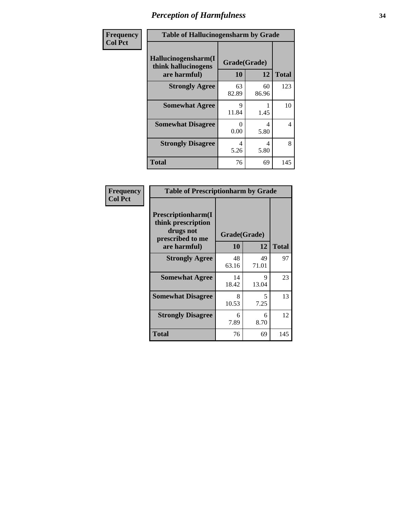| Frequency      | <b>Table of Hallucinogensharm by Grade</b>                 |                    |             |              |
|----------------|------------------------------------------------------------|--------------------|-------------|--------------|
| <b>Col Pct</b> | Hallucinogensharm(I<br>think hallucinogens<br>are harmful) | Grade(Grade)<br>10 | 12          | <b>Total</b> |
|                | <b>Strongly Agree</b>                                      | 63<br>82.89        | 60<br>86.96 | 123          |
|                | <b>Somewhat Agree</b>                                      | 9<br>11.84         | 1.45        | 10           |
|                | <b>Somewhat Disagree</b>                                   | 0<br>0.00          | 4<br>5.80   | 4            |
|                | <b>Strongly Disagree</b>                                   | 4<br>5.26          | 4<br>5.80   | 8            |
|                | <b>Total</b>                                               | 76                 | 69          | 145          |

| <b>Table of Prescriptionharm by Grade</b>                                         |              |             |              |  |
|-----------------------------------------------------------------------------------|--------------|-------------|--------------|--|
| <b>Prescriptionharm</b> (I<br>think prescription<br>drugs not<br>prescribed to me | Grade(Grade) |             |              |  |
| are harmful)                                                                      | 10           | 12          | <b>Total</b> |  |
| <b>Strongly Agree</b>                                                             | 48<br>63.16  | 49<br>71.01 | 97           |  |
| <b>Somewhat Agree</b>                                                             | 14<br>18.42  | 9<br>13.04  | 23           |  |
| <b>Somewhat Disagree</b>                                                          | 8<br>10.53   | 5<br>7.25   | 13           |  |
| <b>Strongly Disagree</b>                                                          | 6<br>7.89    | 6<br>8.70   | 12           |  |
| <b>Total</b>                                                                      | 76           | 69          | 145          |  |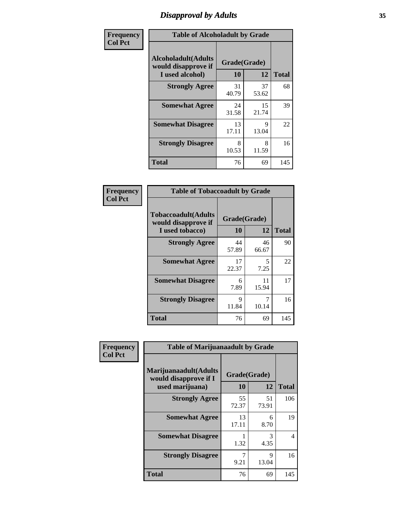## *Disapproval by Adults* **35**

| Frequency      | <b>Table of Alcoholadult by Grade</b>                                 |                    |             |              |
|----------------|-----------------------------------------------------------------------|--------------------|-------------|--------------|
| <b>Col Pct</b> | <b>Alcoholadult</b> (Adults<br>would disapprove if<br>I used alcohol) | Grade(Grade)<br>10 | 12          | <b>Total</b> |
|                | <b>Strongly Agree</b>                                                 | 31<br>40.79        | 37<br>53.62 | 68           |
|                | <b>Somewhat Agree</b>                                                 | 24<br>31.58        | 15<br>21.74 | 39           |
|                | <b>Somewhat Disagree</b>                                              | 13<br>17.11        | 9<br>13.04  | 22           |
|                | <b>Strongly Disagree</b>                                              | 8<br>10.53         | 8<br>11.59  | 16           |
|                | <b>Total</b>                                                          | 76                 | 69          | 145          |

| <b>Table of Tobaccoadult by Grade</b>                                 |                    |             |              |
|-----------------------------------------------------------------------|--------------------|-------------|--------------|
| <b>Tobaccoadult</b> (Adults<br>would disapprove if<br>I used tobacco) | Grade(Grade)<br>10 | 12          | <b>Total</b> |
| <b>Strongly Agree</b>                                                 | 44<br>57.89        | 46<br>66.67 | 90           |
| <b>Somewhat Agree</b>                                                 | 17<br>22.37        | 5<br>7.25   | 22           |
| <b>Somewhat Disagree</b>                                              | 6<br>7.89          | 11<br>15.94 | 17           |
| <b>Strongly Disagree</b>                                              | 9<br>11.84         | 7<br>10.14  | 16           |
| <b>Total</b>                                                          | 76                 | 69          | 145          |

| Frequency      | <b>Table of Marijuanaadult by Grade</b>                           |                    |             |                          |
|----------------|-------------------------------------------------------------------|--------------------|-------------|--------------------------|
| <b>Col Pct</b> | Marijuanaadult(Adults<br>would disapprove if I<br>used marijuana) | Grade(Grade)<br>10 | 12          | <b>Total</b>             |
|                | <b>Strongly Agree</b>                                             | 55<br>72.37        | 51<br>73.91 | 106                      |
|                | <b>Somewhat Agree</b>                                             | 13<br>17.11        | 6<br>8.70   | 19                       |
|                | <b>Somewhat Disagree</b>                                          | 1.32               | 3<br>4.35   | $\overline{\mathcal{A}}$ |
|                | <b>Strongly Disagree</b>                                          | 7<br>9.21          | 9<br>13.04  | 16                       |
|                | <b>Total</b>                                                      | 76                 | 69          | 145                      |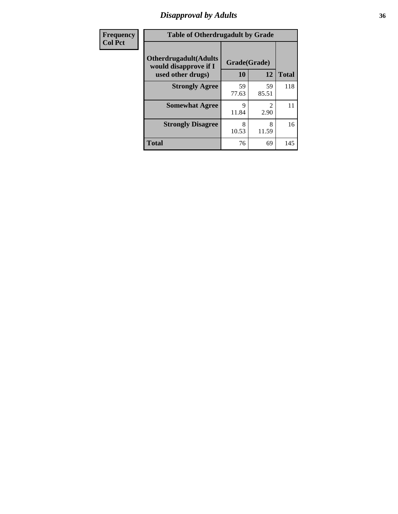## *Disapproval by Adults* **36**

| Frequency      | <b>Table of Otherdrugadult by Grade</b>                                     |                    |                                     |              |
|----------------|-----------------------------------------------------------------------------|--------------------|-------------------------------------|--------------|
| <b>Col Pct</b> | <b>Otherdrugadult</b> (Adults<br>would disapprove if I<br>used other drugs) | Grade(Grade)<br>10 | 12                                  | <b>Total</b> |
|                | <b>Strongly Agree</b>                                                       | 59<br>77.63        | 59<br>85.51                         | 118          |
|                | <b>Somewhat Agree</b>                                                       | q<br>11.84         | $\mathcal{D}_{\mathcal{L}}$<br>2.90 | 11           |
|                | <b>Strongly Disagree</b>                                                    | 8<br>10.53         | 8<br>11.59                          | 16           |
|                | <b>Total</b>                                                                | 76                 | 69                                  | 145          |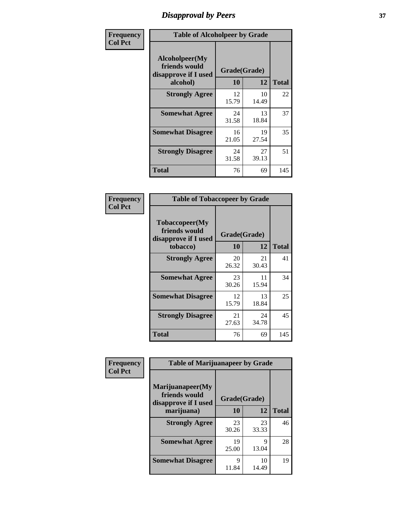# *Disapproval by Peers* **37**

| Frequency      | <b>Table of Alcoholpeer by Grade</b>                    |              |             |              |  |
|----------------|---------------------------------------------------------|--------------|-------------|--------------|--|
| <b>Col Pct</b> | Alcoholpeer(My<br>friends would<br>disapprove if I used | Grade(Grade) |             |              |  |
|                | alcohol)                                                | 10           | 12          | <b>Total</b> |  |
|                | <b>Strongly Agree</b>                                   | 12<br>15.79  | 10<br>14.49 | 22           |  |
|                | <b>Somewhat Agree</b>                                   | 24<br>31.58  | 13<br>18.84 | 37           |  |
|                | <b>Somewhat Disagree</b>                                | 16<br>21.05  | 19<br>27.54 | 35           |  |
|                | <b>Strongly Disagree</b>                                | 24<br>31.58  | 27<br>39.13 | 51           |  |
|                | Total                                                   | 76           | 69          | 145          |  |

| Frequency      | <b>Table of Tobaccopeer by Grade</b>                                |                    |             |              |
|----------------|---------------------------------------------------------------------|--------------------|-------------|--------------|
| <b>Col Pct</b> | Tobaccopeer(My<br>friends would<br>disapprove if I used<br>tobacco) | Grade(Grade)<br>10 | 12          | <b>Total</b> |
|                | <b>Strongly Agree</b>                                               | 20                 | 21          | 41           |
|                |                                                                     | 26.32              | 30.43       |              |
|                | <b>Somewhat Agree</b>                                               | 23<br>30.26        | 11<br>15.94 | 34           |
|                | <b>Somewhat Disagree</b>                                            | 12<br>15.79        | 13<br>18.84 | 25           |
|                | <b>Strongly Disagree</b>                                            | 21<br>27.63        | 24<br>34.78 | 45           |
|                | Total                                                               | 76                 | 69          | 145          |

| Frequency      | <b>Table of Marijuanapeer by Grade</b>                    |              |             |              |
|----------------|-----------------------------------------------------------|--------------|-------------|--------------|
| <b>Col Pct</b> | Marijuanapeer(My<br>friends would<br>disapprove if I used | Grade(Grade) |             |              |
|                | marijuana)                                                | 10           | 12          | <b>Total</b> |
|                | <b>Strongly Agree</b>                                     | 23<br>30.26  | 23<br>33.33 | 46           |
|                | <b>Somewhat Agree</b>                                     | 19<br>25.00  | Q<br>13.04  | 28           |
|                | <b>Somewhat Disagree</b>                                  | Q<br>11.84   | 10<br>14.49 | 19           |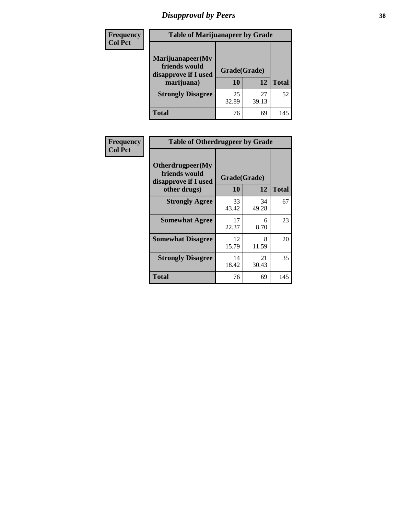# *Disapproval by Peers* **38**

| Frequency<br><b>Col Pct</b> | <b>Table of Marijuanapeer by Grade</b>                                  |                    |             |              |
|-----------------------------|-------------------------------------------------------------------------|--------------------|-------------|--------------|
|                             | Marijuanapeer(My<br>friends would<br>disapprove if I used<br>marijuana) | Grade(Grade)<br>10 | 12          | <b>Total</b> |
|                             | <b>Strongly Disagree</b>                                                | 25<br>32.89        | 27<br>39.13 | 52           |
|                             | Total                                                                   | 76                 | 69          | 145          |

| Frequency      | <b>Table of Otherdrugpeer by Grade</b>                                    |                    |             |              |
|----------------|---------------------------------------------------------------------------|--------------------|-------------|--------------|
| <b>Col Pct</b> | Otherdrugpeer(My<br>friends would<br>disapprove if I used<br>other drugs) | Grade(Grade)<br>10 | 12          | <b>Total</b> |
|                | <b>Strongly Agree</b>                                                     | 33<br>43.42        | 34<br>49.28 | 67           |
|                | <b>Somewhat Agree</b>                                                     | 17<br>22.37        | 6<br>8.70   | 23           |
|                | <b>Somewhat Disagree</b>                                                  | 12<br>15.79        | 8<br>11.59  | 20           |
|                | <b>Strongly Disagree</b>                                                  | 14<br>18.42        | 21<br>30.43 | 35           |
|                | Total                                                                     | 76                 | 69          | 145          |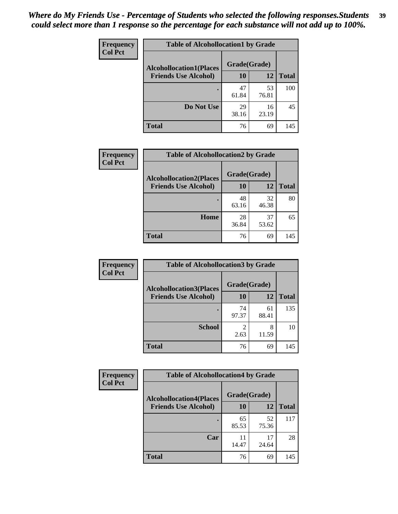| Frequency      | <b>Table of Alcohollocation1 by Grade</b> |              |             |              |
|----------------|-------------------------------------------|--------------|-------------|--------------|
| <b>Col Pct</b> | <b>Alcohollocation1(Places</b>            | Grade(Grade) |             |              |
|                | <b>Friends Use Alcohol)</b>               | 10           | 12          | <b>Total</b> |
|                |                                           | 47<br>61.84  | 53<br>76.81 | 100          |
|                | Do Not Use                                | 29<br>38.16  | 16<br>23.19 | 45           |
|                | <b>Total</b>                              | 76           | 69          | 145          |

| Frequency      | <b>Table of Alcohollocation2 by Grade</b>                     |                    |             |              |
|----------------|---------------------------------------------------------------|--------------------|-------------|--------------|
| <b>Col Pct</b> | <b>Alcohollocation2(Places</b><br><b>Friends Use Alcohol)</b> | Grade(Grade)<br>10 | <b>12</b>   | <b>Total</b> |
|                |                                                               | 48<br>63.16        | 32<br>46.38 | 80           |
|                | Home                                                          | 28<br>36.84        | 37<br>53.62 | 65           |
|                | <b>Total</b>                                                  | 76                 | 69          | 145          |

| Frequency<br><b>Col Pct</b> | <b>Table of Alcohollocation 3 by Grade</b>                    |                    |             |              |
|-----------------------------|---------------------------------------------------------------|--------------------|-------------|--------------|
|                             | <b>Alcohollocation3(Places</b><br><b>Friends Use Alcohol)</b> | Grade(Grade)<br>10 | 12          | <b>Total</b> |
|                             |                                                               | 74<br>97.37        | 61<br>88.41 | 135          |
|                             | <b>School</b>                                                 | 2<br>2.63          | 8<br>11.59  | 10           |
|                             | <b>Total</b>                                                  | 76                 | 69          | 145          |

| <b>Frequency</b> | <b>Table of Alcohollocation4 by Grade</b> |              |             |              |
|------------------|-------------------------------------------|--------------|-------------|--------------|
| <b>Col Pct</b>   | <b>Alcohollocation4(Places</b>            | Grade(Grade) |             |              |
|                  | <b>Friends Use Alcohol)</b>               | 10           | 12          | <b>Total</b> |
|                  |                                           | 65<br>85.53  | 52<br>75.36 | 117          |
|                  | Car                                       | 11<br>14.47  | 17<br>24.64 | 28           |
|                  | <b>Total</b>                              | 76           | 69          | 145          |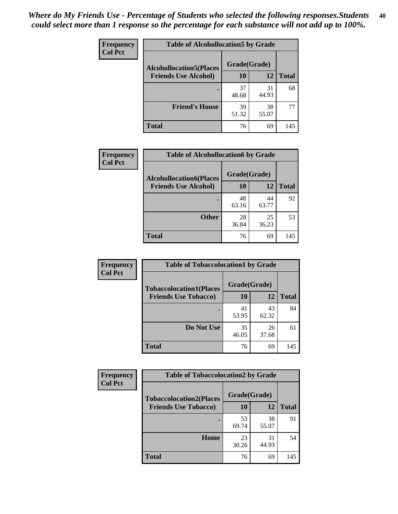| Frequency<br><b>Col Pct</b> | <b>Table of Alcohollocation5 by Grade</b> |              |             |              |
|-----------------------------|-------------------------------------------|--------------|-------------|--------------|
|                             | <b>Alcohollocation5(Places</b>            | Grade(Grade) |             |              |
|                             | <b>Friends Use Alcohol)</b>               | 10           | 12          | <b>Total</b> |
|                             |                                           | 37<br>48.68  | 31<br>44.93 | 68           |
|                             | <b>Friend's House</b>                     | 39<br>51.32  | 38<br>55.07 | 77           |
|                             | <b>Total</b>                              | 76           | 69          | 145          |

| Frequency      | <b>Table of Alcohollocation6 by Grade</b> |                    |             |              |
|----------------|-------------------------------------------|--------------------|-------------|--------------|
| <b>Col Pct</b> | <b>Alcohollocation6(Places</b>            | Grade(Grade)<br>10 |             |              |
|                | <b>Friends Use Alcohol)</b>               |                    | 12          | <b>Total</b> |
|                |                                           | 48<br>63.16        | 44<br>63.77 | 92           |
|                | <b>Other</b>                              | 28<br>36.84        | 25<br>36.23 | 53           |
|                | Total                                     | 76                 | 69          | 145          |

| Frequency      | <b>Table of Tobaccolocation1 by Grade</b> |              |             |              |
|----------------|-------------------------------------------|--------------|-------------|--------------|
| <b>Col Pct</b> | <b>Tobaccolocation1(Places</b>            | Grade(Grade) |             |              |
|                | <b>Friends Use Tobacco)</b>               | <b>10</b>    | 12          | <b>Total</b> |
|                |                                           | 41<br>53.95  | 43<br>62.32 | 84           |
|                | Do Not Use                                | 35<br>46.05  | 26<br>37.68 | 61           |
|                | <b>Total</b>                              | 76           | 69          | 145          |

| <b>Frequency</b> | <b>Table of Tobaccolocation2 by Grade</b> |              |             |              |  |
|------------------|-------------------------------------------|--------------|-------------|--------------|--|
| <b>Col Pct</b>   | <b>Tobaccolocation2(Places</b>            | Grade(Grade) |             |              |  |
|                  | <b>Friends Use Tobacco)</b>               | 10           | 12          | <b>Total</b> |  |
|                  |                                           | 53<br>69.74  | 38<br>55.07 | 91           |  |
|                  | Home                                      | 23<br>30.26  | 31<br>44.93 | 54           |  |
|                  | <b>Total</b>                              | 76           | 69          | 145          |  |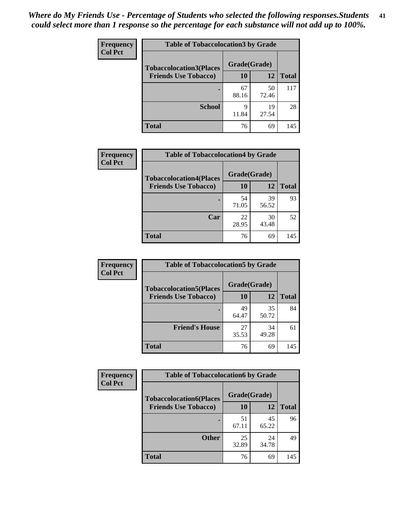| Frequency      | <b>Table of Tobaccolocation 3 by Grade</b> |              |             |              |
|----------------|--------------------------------------------|--------------|-------------|--------------|
| <b>Col Pct</b> | <b>Tobaccolocation3(Places</b>             | Grade(Grade) |             |              |
|                | <b>Friends Use Tobacco)</b>                | 10           | 12          | <b>Total</b> |
|                |                                            | 67<br>88.16  | 50<br>72.46 | 117          |
|                | <b>School</b>                              | q<br>11.84   | 19<br>27.54 | 28           |
|                | <b>Total</b>                               | 76           | 69          | 145          |

| Frequency      | <b>Table of Tobaccolocation4 by Grade</b>                     |                           |             |              |
|----------------|---------------------------------------------------------------|---------------------------|-------------|--------------|
| <b>Col Pct</b> | <b>Tobaccolocation4(Places</b><br><b>Friends Use Tobacco)</b> | Grade(Grade)<br><b>10</b> | 12          | <b>Total</b> |
|                |                                                               | 54<br>71.05               | 39<br>56.52 | 93           |
|                | Car                                                           | 22<br>28.95               | 30<br>43.48 | 52           |
|                | <b>Total</b>                                                  | 76                        | 69          | 145          |

| Frequency<br><b>Col Pct</b> | <b>Table of Tobaccolocation5 by Grade</b> |              |             |              |
|-----------------------------|-------------------------------------------|--------------|-------------|--------------|
|                             | <b>Tobaccolocation5(Places</b>            | Grade(Grade) |             |              |
|                             | <b>Friends Use Tobacco)</b>               | 10           | <b>12</b>   | <b>Total</b> |
|                             |                                           | 49<br>64.47  | 35<br>50.72 | 84           |
|                             | <b>Friend's House</b>                     | 27<br>35.53  | 34<br>49.28 | 61           |
|                             | <b>Total</b>                              | 76           | 69          | 145          |

| <b>Frequency</b> | <b>Table of Tobaccolocation6 by Grade</b> |              |             |              |  |
|------------------|-------------------------------------------|--------------|-------------|--------------|--|
| <b>Col Pct</b>   | <b>Tobaccolocation6(Places</b>            | Grade(Grade) |             |              |  |
|                  | <b>Friends Use Tobacco)</b>               | 10           | 12          | <b>Total</b> |  |
|                  |                                           | 51<br>67.11  | 45<br>65.22 | 96           |  |
|                  | <b>Other</b>                              | 25<br>32.89  | 24<br>34.78 | 49           |  |
|                  | <b>Total</b>                              | 76           | 69          | 145          |  |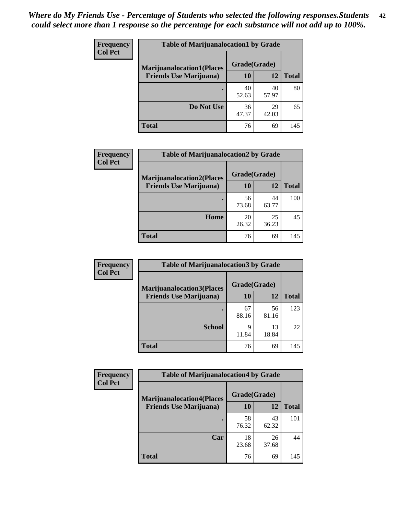| <b>Frequency</b> | <b>Table of Marijuanalocation1 by Grade</b> |              |             |              |
|------------------|---------------------------------------------|--------------|-------------|--------------|
| <b>Col Pct</b>   | <b>Marijuanalocation1(Places</b>            | Grade(Grade) |             |              |
|                  | <b>Friends Use Marijuana</b> )              | 10           | 12          | <b>Total</b> |
|                  |                                             | 40<br>52.63  | 40<br>57.97 | 80           |
|                  | Do Not Use                                  | 36<br>47.37  | 29<br>42.03 | 65           |
|                  | Total                                       | 76           | 69          | 145          |

| <b>Frequency</b> | <b>Table of Marijuanalocation2 by Grade</b> |              |             |              |
|------------------|---------------------------------------------|--------------|-------------|--------------|
| <b>Col Pct</b>   | <b>Marijuanalocation2(Places</b>            | Grade(Grade) |             |              |
|                  | <b>Friends Use Marijuana</b> )              | 10           | 12          | <b>Total</b> |
|                  |                                             | 56<br>73.68  | 44<br>63.77 | 100          |
|                  | Home                                        | 20<br>26.32  | 25<br>36.23 | 45           |
|                  | <b>Total</b>                                | 76           | 69          | 145          |

| Frequency<br><b>Col Pct</b> | <b>Table of Marijuanalocation3 by Grade</b> |              |       |       |
|-----------------------------|---------------------------------------------|--------------|-------|-------|
|                             | <b>Marijuanalocation3(Places</b>            | Grade(Grade) |       |       |
|                             | <b>Friends Use Marijuana</b> )              | 10           | 12    | Total |
|                             |                                             | 67           | 56    | 123   |
|                             |                                             | 88.16        | 81.16 |       |
|                             | <b>School</b>                               | q            | 13    | 22    |
|                             |                                             | 11.84        | 18.84 |       |
|                             | <b>Total</b>                                | 76           | 69    | 145   |

| <b>Frequency</b> | <b>Table of Marijuanalocation4 by Grade</b> |              |             |              |  |
|------------------|---------------------------------------------|--------------|-------------|--------------|--|
| <b>Col Pct</b>   | <b>Marijuanalocation4(Places</b>            | Grade(Grade) |             |              |  |
|                  | <b>Friends Use Marijuana</b> )              | <b>10</b>    | 12          | <b>Total</b> |  |
|                  |                                             | 58<br>76.32  | 43<br>62.32 | 101          |  |
|                  | Car                                         | 18<br>23.68  | 26<br>37.68 | 44           |  |
|                  | <b>Total</b>                                | 76           | 69          | 145          |  |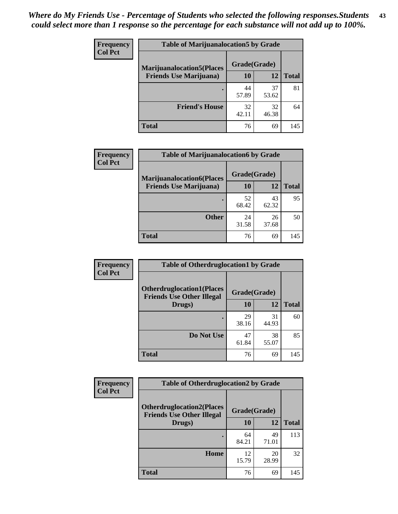| <b>Frequency</b> | <b>Table of Marijuanalocation5 by Grade</b> |              |             |              |
|------------------|---------------------------------------------|--------------|-------------|--------------|
| <b>Col Pct</b>   | <b>Marijuanalocation5(Places)</b>           | Grade(Grade) |             |              |
|                  | <b>Friends Use Marijuana</b> )              | 10           | 12          | <b>Total</b> |
|                  |                                             | 44<br>57.89  | 37<br>53.62 | 81           |
|                  | <b>Friend's House</b>                       | 32<br>42.11  | 32<br>46.38 | 64           |
|                  | <b>Total</b>                                | 76           | 69          | 145          |

| <b>Frequency</b> | <b>Table of Marijuanalocation6 by Grade</b>                        |                    |             |              |
|------------------|--------------------------------------------------------------------|--------------------|-------------|--------------|
| <b>Col Pct</b>   | <b>Marijuanalocation6(Places</b><br><b>Friends Use Marijuana</b> ) | Grade(Grade)<br>10 | 12          | <b>Total</b> |
|                  |                                                                    | 52<br>68.42        | 43<br>62.32 | 95           |
|                  | <b>Other</b>                                                       | 24<br>31.58        | 26<br>37.68 | 50           |
|                  | <b>Total</b>                                                       | 76                 | 69          | 145          |

| <b>Frequency</b> | <b>Table of Otherdruglocation1 by Grade</b>                          |              |             |              |
|------------------|----------------------------------------------------------------------|--------------|-------------|--------------|
| <b>Col Pct</b>   | <b>Otherdruglocation1(Places</b><br><b>Friends Use Other Illegal</b> | Grade(Grade) |             |              |
|                  | Drugs)                                                               | 10           | 12          | <b>Total</b> |
|                  |                                                                      | 29<br>38.16  | 31<br>44.93 | 60           |
|                  | Do Not Use                                                           | 47<br>61.84  | 38<br>55.07 | 85           |
|                  | <b>Total</b>                                                         | 76           | 69          | 145          |

| Frequency      | <b>Table of Otherdruglocation2 by Grade</b>                          |              |             |              |
|----------------|----------------------------------------------------------------------|--------------|-------------|--------------|
| <b>Col Pct</b> | <b>Otherdruglocation2(Places</b><br><b>Friends Use Other Illegal</b> | Grade(Grade) |             |              |
|                | Drugs)                                                               | 10           | 12          | <b>Total</b> |
|                |                                                                      | 64<br>84.21  | 49<br>71.01 | 113          |
|                | Home                                                                 | 12<br>15.79  | 20<br>28.99 | 32           |
|                | <b>Total</b>                                                         | 76           | 69          | 145          |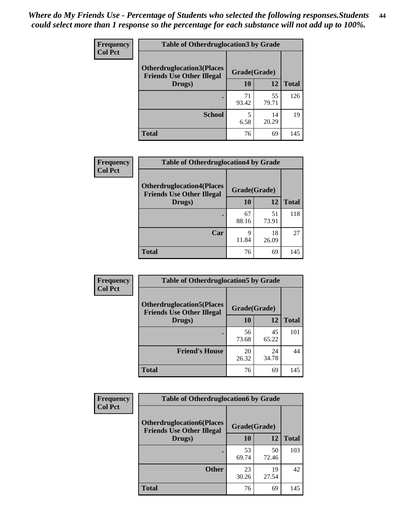| <b>Frequency</b> | <b>Table of Otherdruglocation3 by Grade</b>                          |              |             |              |
|------------------|----------------------------------------------------------------------|--------------|-------------|--------------|
| <b>Col Pct</b>   | <b>Otherdruglocation3(Places</b><br><b>Friends Use Other Illegal</b> | Grade(Grade) |             |              |
|                  | Drugs)                                                               | 10           | 12          | <b>Total</b> |
|                  |                                                                      | 71<br>93.42  | 55<br>79.71 | 126          |
|                  | <b>School</b>                                                        | 5<br>6.58    | 14<br>20.29 | 19           |
|                  | <b>Total</b>                                                         | 76           | 69          | 145          |

| Frequency      | <b>Table of Otherdruglocation4 by Grade</b>                          |              |             |              |
|----------------|----------------------------------------------------------------------|--------------|-------------|--------------|
| <b>Col Pct</b> | <b>Otherdruglocation4(Places</b><br><b>Friends Use Other Illegal</b> | Grade(Grade) |             |              |
|                | Drugs)                                                               | <b>10</b>    | 12          | <b>Total</b> |
|                |                                                                      | 67<br>88.16  | 51<br>73.91 | 118          |
|                | Car                                                                  | q<br>11.84   | 18<br>26.09 | 27           |
|                | <b>Total</b>                                                         | 76           | 69          | 145          |

| <b>Frequency</b> | <b>Table of Otherdruglocation5 by Grade</b>                          |              |             |              |
|------------------|----------------------------------------------------------------------|--------------|-------------|--------------|
| <b>Col Pct</b>   | <b>Otherdruglocation5(Places</b><br><b>Friends Use Other Illegal</b> | Grade(Grade) |             |              |
|                  | Drugs)                                                               | 10           | 12          | <b>Total</b> |
|                  |                                                                      | 56<br>73.68  | 45<br>65.22 | 101          |
|                  | <b>Friend's House</b>                                                | 20<br>26.32  | 24<br>34.78 | 44           |
|                  | <b>Total</b>                                                         | 76           | 69          | 145          |

| <b>Frequency</b> | <b>Table of Otherdruglocation6 by Grade</b>                          |              |             |              |
|------------------|----------------------------------------------------------------------|--------------|-------------|--------------|
| <b>Col Pct</b>   | <b>Otherdruglocation6(Places</b><br><b>Friends Use Other Illegal</b> | Grade(Grade) |             |              |
|                  | Drugs)                                                               | <b>10</b>    | 12          | <b>Total</b> |
|                  |                                                                      | 53<br>69.74  | 50<br>72.46 | 103          |
|                  | <b>Other</b>                                                         | 23<br>30.26  | 19<br>27.54 | 42           |
|                  | <b>Total</b>                                                         | 76           | 69          | 145          |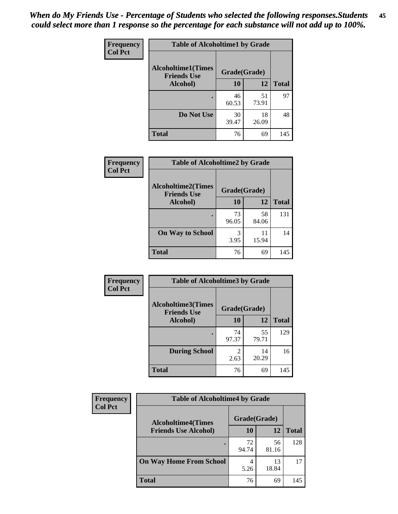| Frequency      | <b>Table of Alcoholtime1 by Grade</b>           |              |             |              |
|----------------|-------------------------------------------------|--------------|-------------|--------------|
| <b>Col Pct</b> | <b>Alcoholtime1(Times</b><br><b>Friends Use</b> | Grade(Grade) |             |              |
|                | Alcohol)                                        | 10           | 12          | <b>Total</b> |
|                |                                                 | 46<br>60.53  | 51<br>73.91 | 97           |
|                | Do Not Use                                      | 30<br>39.47  | 18<br>26.09 | 48           |
|                | <b>Total</b>                                    | 76           | 69          | 145          |

| Frequency      | <b>Table of Alcoholtime2 by Grade</b>           |              |             |              |
|----------------|-------------------------------------------------|--------------|-------------|--------------|
| <b>Col Pct</b> | <b>Alcoholtime2(Times</b><br><b>Friends Use</b> | Grade(Grade) |             |              |
|                | Alcohol)                                        | 10           | 12          | <b>Total</b> |
|                |                                                 | 73<br>96.05  | 58<br>84.06 | 131          |
|                | <b>On Way to School</b>                         | 3<br>3.95    | 11<br>15.94 | 14           |
|                | <b>Total</b>                                    | 76           | 69          | 145          |

| Frequency<br><b>Col Pct</b> | <b>Table of Alcoholtime3 by Grade</b>           |                        |             |              |
|-----------------------------|-------------------------------------------------|------------------------|-------------|--------------|
|                             | <b>Alcoholtime3(Times</b><br><b>Friends Use</b> | Grade(Grade)           |             |              |
|                             | Alcohol)                                        | 10                     | 12          | <b>Total</b> |
|                             |                                                 | 74<br>97.37            | 55<br>79.71 | 129          |
|                             | <b>During School</b>                            | $\mathfrak{D}$<br>2.63 | 14<br>20.29 | 16           |
|                             | <b>Total</b>                                    | 76                     | 69          | 145          |

| <b>Frequency</b><br><b>Col Pct</b> | <b>Table of Alcoholtime4 by Grade</b> |              |             |              |
|------------------------------------|---------------------------------------|--------------|-------------|--------------|
|                                    | <b>Alcoholtime4(Times</b>             | Grade(Grade) |             |              |
|                                    | <b>Friends Use Alcohol)</b>           | 10           | 12          | <b>Total</b> |
|                                    |                                       | 72<br>94.74  | 56<br>81.16 | 128          |
|                                    | <b>On Way Home From School</b>        | 5.26         | 13<br>18.84 | 17           |
|                                    | <b>Total</b>                          | 76           | 69          | 145          |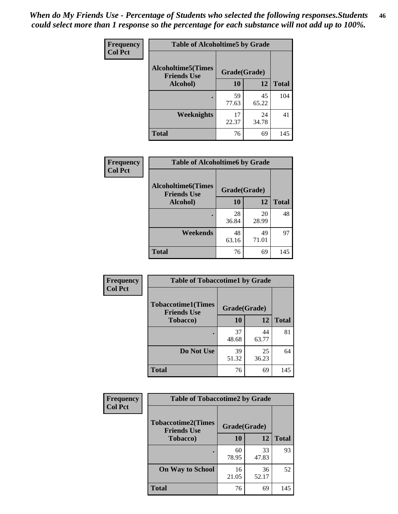*When do My Friends Use - Percentage of Students who selected the following responses.Students could select more than 1 response so the percentage for each substance will not add up to 100%.* **46**

| <b>Frequency</b> | <b>Table of Alcoholtime5 by Grade</b>           |              |             |              |
|------------------|-------------------------------------------------|--------------|-------------|--------------|
| <b>Col Pct</b>   | <b>Alcoholtime5(Times</b><br><b>Friends Use</b> | Grade(Grade) |             |              |
|                  | Alcohol)                                        | 10           | 12          | <b>Total</b> |
|                  |                                                 | 59<br>77.63  | 45<br>65.22 | 104          |
|                  | Weeknights                                      | 17<br>22.37  | 24<br>34.78 | 41           |
|                  | <b>Total</b>                                    | 76           | 69          | 145          |

| Frequency      | <b>Table of Alcoholtime6 by Grade</b>           |              |             |              |
|----------------|-------------------------------------------------|--------------|-------------|--------------|
| <b>Col Pct</b> | <b>Alcoholtime6(Times</b><br><b>Friends Use</b> | Grade(Grade) |             |              |
|                | Alcohol)                                        | 10           | 12          | <b>Total</b> |
|                |                                                 | 28<br>36.84  | 20<br>28.99 | 48           |
|                | Weekends                                        | 48<br>63.16  | 49<br>71.01 | 97           |
|                | <b>Total</b>                                    | 76           | 69          | 145          |

| <b>Frequency</b><br><b>Col Pct</b> | <b>Table of Tobaccotime1 by Grade</b>           |              |             |              |
|------------------------------------|-------------------------------------------------|--------------|-------------|--------------|
|                                    | <b>Tobaccotime1(Times</b><br><b>Friends Use</b> | Grade(Grade) |             |              |
|                                    | <b>Tobacco</b> )                                | 10           | 12          | <b>Total</b> |
|                                    |                                                 | 37<br>48.68  | 44<br>63.77 | 81           |
|                                    | Do Not Use                                      | 39<br>51.32  | 25<br>36.23 | 64           |
|                                    | <b>Total</b>                                    | 76           | 69          | 145          |

| <b>Frequency</b> |                                                 | <b>Table of Tobaccotime2 by Grade</b> |             |              |  |
|------------------|-------------------------------------------------|---------------------------------------|-------------|--------------|--|
| <b>Col Pct</b>   | <b>Tobaccotime2(Times</b><br><b>Friends Use</b> | Grade(Grade)                          |             |              |  |
|                  | <b>Tobacco</b> )                                | 10                                    | 12          | <b>Total</b> |  |
|                  |                                                 | 60<br>78.95                           | 33<br>47.83 | 93           |  |
|                  | <b>On Way to School</b>                         | 16<br>21.05                           | 36<br>52.17 | 52           |  |
|                  | <b>Total</b>                                    | 76                                    | 69          | 145          |  |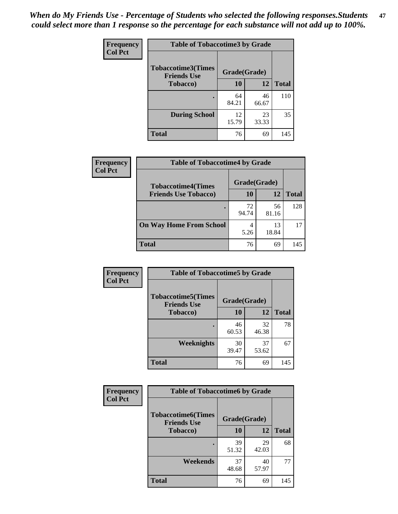*When do My Friends Use - Percentage of Students who selected the following responses.Students could select more than 1 response so the percentage for each substance will not add up to 100%.* **47**

| <b>Frequency</b> | <b>Table of Tobaccotime3 by Grade</b>           |              |             |              |  |
|------------------|-------------------------------------------------|--------------|-------------|--------------|--|
| <b>Col Pct</b>   | <b>Tobaccotime3(Times</b><br><b>Friends Use</b> | Grade(Grade) |             |              |  |
|                  | <b>Tobacco</b> )                                | 10           | 12          | <b>Total</b> |  |
|                  |                                                 | 64<br>84.21  | 46<br>66.67 | 110          |  |
|                  | <b>During School</b>                            | 12<br>15.79  | 23<br>33.33 | 35           |  |
|                  | <b>Total</b>                                    | 76           | 69          | 145          |  |

| <b>Frequency</b> | <b>Table of Tobaccotime4 by Grade</b>                    |              |             |              |
|------------------|----------------------------------------------------------|--------------|-------------|--------------|
| <b>Col Pct</b>   | <b>Tobaccotime4(Times</b><br><b>Friends Use Tobacco)</b> | Grade(Grade) |             |              |
|                  |                                                          | 10           | 12          | <b>Total</b> |
|                  |                                                          | 72<br>94.74  | 56<br>81.16 | 128          |
|                  | <b>On Way Home From School</b>                           | 4<br>5.26    | 13<br>18.84 | 17           |
|                  | <b>Total</b>                                             | 76           | 69          | 145          |

| Frequency      | <b>Table of Tobaccotime5 by Grade</b>           |              |             |              |
|----------------|-------------------------------------------------|--------------|-------------|--------------|
| <b>Col Pct</b> | <b>Tobaccotime5(Times</b><br><b>Friends Use</b> | Grade(Grade) |             |              |
|                | <b>Tobacco</b> )                                | 10           | 12          | <b>Total</b> |
|                |                                                 | 46<br>60.53  | 32<br>46.38 | 78           |
|                | <b>Weeknights</b>                               | 30<br>39.47  | 37<br>53.62 | 67           |
|                | <b>Total</b>                                    | 76           | 69          | 145          |

| Frequency<br><b>Col Pct</b> | <b>Table of Tobaccotime6 by Grade</b>           |              |             |              |
|-----------------------------|-------------------------------------------------|--------------|-------------|--------------|
|                             | <b>Tobaccotime6(Times</b><br><b>Friends Use</b> | Grade(Grade) |             |              |
|                             | <b>Tobacco</b> )                                | 10           | 12          | <b>Total</b> |
|                             | ٠                                               | 39<br>51.32  | 29<br>42.03 | 68           |
|                             | Weekends                                        | 37<br>48.68  | 40<br>57.97 | 77           |
|                             | <b>Total</b>                                    | 76           | 69          | 145          |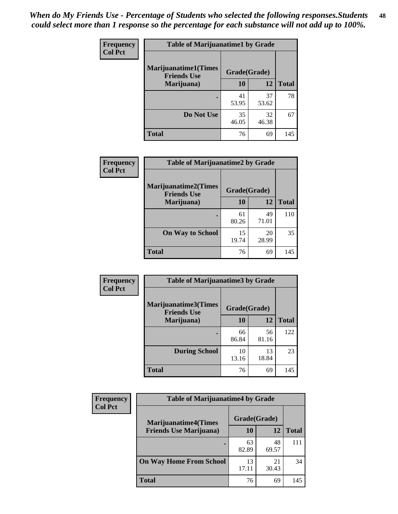| Frequency      | <b>Table of Marijuanatime1 by Grade</b>           |              |             |              |
|----------------|---------------------------------------------------|--------------|-------------|--------------|
| <b>Col Pct</b> | <b>Marijuanatime1(Times</b><br><b>Friends Use</b> | Grade(Grade) |             |              |
|                | Marijuana)                                        | 10           | 12          | <b>Total</b> |
|                |                                                   | 41<br>53.95  | 37<br>53.62 | 78           |
|                | Do Not Use                                        | 35<br>46.05  | 32<br>46.38 | 67           |
|                | <b>Total</b>                                      | 76           | 69          | 145          |

| Frequency      | <b>Table of Marijuanatime2 by Grade</b>           |              |             |              |
|----------------|---------------------------------------------------|--------------|-------------|--------------|
| <b>Col Pct</b> | <b>Marijuanatime2(Times</b><br><b>Friends Use</b> | Grade(Grade) |             |              |
|                | Marijuana)                                        | 10           | 12          | <b>Total</b> |
|                |                                                   | 61<br>80.26  | 49<br>71.01 | 110          |
|                | <b>On Way to School</b>                           | 15<br>19.74  | 20<br>28.99 | 35           |
|                | <b>Total</b>                                      | 76           | 69          | 145          |

| Frequency      | <b>Table of Marijuanatime3 by Grade</b>    |              |             |              |
|----------------|--------------------------------------------|--------------|-------------|--------------|
| <b>Col Pct</b> | Marijuanatime3(Times<br><b>Friends Use</b> | Grade(Grade) |             |              |
|                | Marijuana)                                 | 10           | 12          | <b>Total</b> |
|                |                                            | 66<br>86.84  | 56<br>81.16 | 122          |
|                | <b>During School</b>                       | 10<br>13.16  | 13<br>18.84 | 23           |
|                | <b>Total</b>                               | 76           | 69          | 145          |

| <b>Frequency</b> | <b>Table of Marijuanatime4 by Grade</b> |              |             |              |
|------------------|-----------------------------------------|--------------|-------------|--------------|
| <b>Col Pct</b>   | <b>Marijuanatime4(Times</b>             | Grade(Grade) |             |              |
|                  | <b>Friends Use Marijuana</b> )          | 10           | 12          | <b>Total</b> |
|                  |                                         | 63<br>82.89  | 48<br>69.57 | 111          |
|                  | <b>On Way Home From School</b>          | 13<br>17.11  | 21<br>30.43 | 34           |
|                  | <b>Total</b>                            | 76           | 69          | 145          |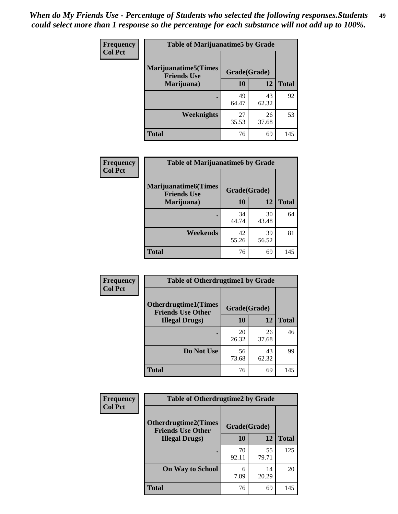| Frequency      | <b>Table of Marijuanatime5 by Grade</b>            |              |             |              |
|----------------|----------------------------------------------------|--------------|-------------|--------------|
| <b>Col Pct</b> | <b>Marijuanatime5</b> (Times<br><b>Friends Use</b> | Grade(Grade) |             |              |
|                | Marijuana)                                         | 10           | 12          | <b>Total</b> |
|                |                                                    | 49<br>64.47  | 43<br>62.32 | 92           |
|                | Weeknights                                         | 27<br>35.53  | 26<br>37.68 | 53           |
|                | <b>Total</b>                                       | 76           | 69          | 145          |

| <b>Frequency</b> | <b>Table of Marijuanatime6 by Grade</b>           |              |             |              |
|------------------|---------------------------------------------------|--------------|-------------|--------------|
| <b>Col Pct</b>   | <b>Marijuanatime6(Times</b><br><b>Friends Use</b> | Grade(Grade) |             |              |
|                  | Marijuana)                                        | 10           | 12          | <b>Total</b> |
|                  |                                                   | 34<br>44.74  | 30<br>43.48 | 64           |
|                  | Weekends                                          | 42<br>55.26  | 39<br>56.52 | 81           |
|                  | <b>Total</b>                                      | 76           | 69          | 145          |

| Frequency      | <b>Table of Otherdrugtime1 by Grade</b>                 |              |             |              |
|----------------|---------------------------------------------------------|--------------|-------------|--------------|
| <b>Col Pct</b> | <b>Otherdrugtime1(Times</b><br><b>Friends Use Other</b> | Grade(Grade) |             |              |
|                | <b>Illegal Drugs</b> )                                  | 10           | 12          | <b>Total</b> |
|                |                                                         | 20<br>26.32  | 26<br>37.68 | 46           |
|                | Do Not Use                                              | 56<br>73.68  | 43<br>62.32 | 99           |
|                | Total                                                   | 76           | 69          | 145          |

| <b>Frequency</b> | <b>Table of Otherdrugtime2 by Grade</b>                 |              |             |              |  |
|------------------|---------------------------------------------------------|--------------|-------------|--------------|--|
| <b>Col Pct</b>   | <b>Otherdrugtime2(Times</b><br><b>Friends Use Other</b> | Grade(Grade) |             |              |  |
|                  | <b>Illegal Drugs</b> )                                  | 10           | 12          | <b>Total</b> |  |
|                  |                                                         | 70<br>92.11  | 55<br>79.71 | 125          |  |
|                  | <b>On Way to School</b>                                 | 6<br>7.89    | 14<br>20.29 | 20           |  |
|                  | Total                                                   | 76           | 69          | 145          |  |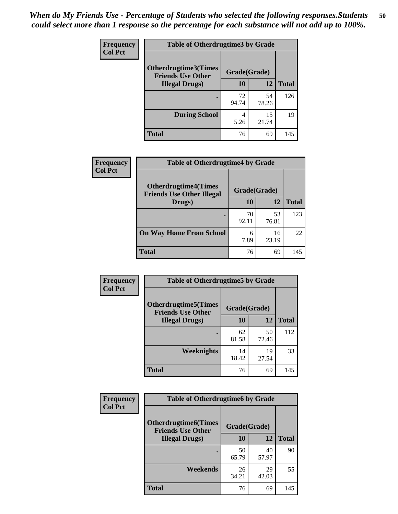| <b>Frequency</b> | <b>Table of Otherdrugtime3 by Grade</b>          |              |             |              |  |  |
|------------------|--------------------------------------------------|--------------|-------------|--------------|--|--|
| <b>Col Pct</b>   | Otherdrugtime3(Times<br><b>Friends Use Other</b> | Grade(Grade) |             |              |  |  |
|                  | <b>Illegal Drugs</b> )                           |              | 12          | <b>Total</b> |  |  |
|                  |                                                  | 72<br>94.74  | 54<br>78.26 | 126          |  |  |
|                  | <b>During School</b>                             | 4<br>5.26    | 15<br>21.74 | 19           |  |  |
|                  | <b>Total</b>                                     | 76           | 69          | 145          |  |  |

| <b>Frequency</b> | <b>Table of Otherdrugtime4 by Grade</b>                         |              |             |              |  |  |
|------------------|-----------------------------------------------------------------|--------------|-------------|--------------|--|--|
| <b>Col Pct</b>   | <b>Otherdrugtime4(Times</b><br><b>Friends Use Other Illegal</b> | Grade(Grade) |             |              |  |  |
|                  | Drugs)                                                          | 10           | 12          | <b>Total</b> |  |  |
|                  |                                                                 | 70<br>92.11  | 53<br>76.81 | 123          |  |  |
|                  | <b>On Way Home From School</b>                                  | 6<br>7.89    | 16<br>23.19 | 22           |  |  |
|                  | <b>Total</b>                                                    | 76           | 69          | 145          |  |  |

| <b>Frequency</b> | <b>Table of Otherdrugtime5 by Grade</b>                  |              |             |              |  |  |
|------------------|----------------------------------------------------------|--------------|-------------|--------------|--|--|
| <b>Col Pct</b>   | <b>Otherdrugtime5</b> (Times<br><b>Friends Use Other</b> | Grade(Grade) |             |              |  |  |
|                  | <b>Illegal Drugs</b> )                                   | 10           | 12          | <b>Total</b> |  |  |
|                  |                                                          | 62<br>81.58  | 50<br>72.46 | 112          |  |  |
|                  | <b>Weeknights</b>                                        | 14<br>18.42  | 19<br>27.54 | 33           |  |  |
|                  | <b>Total</b>                                             | 76           | 69          | 145          |  |  |

| <b>Frequency</b> | <b>Table of Otherdrugtime6 by Grade</b>                 |              |             |              |  |  |
|------------------|---------------------------------------------------------|--------------|-------------|--------------|--|--|
| <b>Col Pct</b>   | <b>Otherdrugtime6(Times</b><br><b>Friends Use Other</b> | Grade(Grade) |             |              |  |  |
|                  | <b>Illegal Drugs</b> )                                  | 10           | 12          | <b>Total</b> |  |  |
|                  |                                                         | 50<br>65.79  | 40<br>57.97 | 90           |  |  |
|                  | Weekends                                                | 26<br>34.21  | 29<br>42.03 | 55           |  |  |
|                  | Total                                                   | 76           | 69          | 145          |  |  |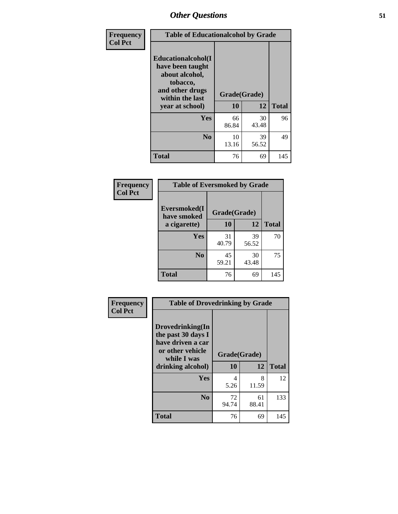| Frequency      | <b>Table of Educationalcohol by Grade</b>                                                                  |              |             |              |  |
|----------------|------------------------------------------------------------------------------------------------------------|--------------|-------------|--------------|--|
| <b>Col Pct</b> | Educationalcohol(I<br>have been taught<br>about alcohol,<br>tobacco,<br>and other drugs<br>within the last | Grade(Grade) |             |              |  |
|                | year at school)                                                                                            | 10           | 12          | <b>Total</b> |  |
|                | Yes                                                                                                        | 66<br>86.84  | 30<br>43.48 | 96           |  |
|                | N <sub>0</sub>                                                                                             | 10<br>13.16  | 39<br>56.52 | 49           |  |
|                | <b>Total</b>                                                                                               | 76           | 69          | 145          |  |

| Frequency      | <b>Table of Eversmoked by Grade</b>         |             |             |              |  |  |
|----------------|---------------------------------------------|-------------|-------------|--------------|--|--|
| <b>Col Pct</b> | Eversmoked(I<br>Grade(Grade)<br>have smoked |             |             |              |  |  |
|                | a cigarette)                                | 10          | 12          | <b>Total</b> |  |  |
|                | <b>Yes</b>                                  | 31<br>40.79 | 39<br>56.52 | 70           |  |  |
|                | N <sub>0</sub>                              | 45<br>59.21 | 30<br>43.48 | 75           |  |  |
|                | <b>Total</b>                                | 76          | 69          | 145          |  |  |

| Frequency<br><b>Col Pct</b> | <b>Table of Drovedrinking by Grade</b>                                                                              |                          |             |              |  |  |
|-----------------------------|---------------------------------------------------------------------------------------------------------------------|--------------------------|-------------|--------------|--|--|
|                             | Drovedrinking(In<br>the past 30 days I<br>have driven a car<br>or other vehicle<br>while I was<br>drinking alcohol) | Grade(Grade)<br>10<br>12 |             | <b>Total</b> |  |  |
|                             | <b>Yes</b>                                                                                                          | 4<br>5.26                | 8<br>11.59  | 12           |  |  |
|                             | N <sub>0</sub>                                                                                                      | 72<br>94.74              | 61<br>88.41 | 133          |  |  |
|                             | <b>Total</b>                                                                                                        | 76                       | 69          | 145          |  |  |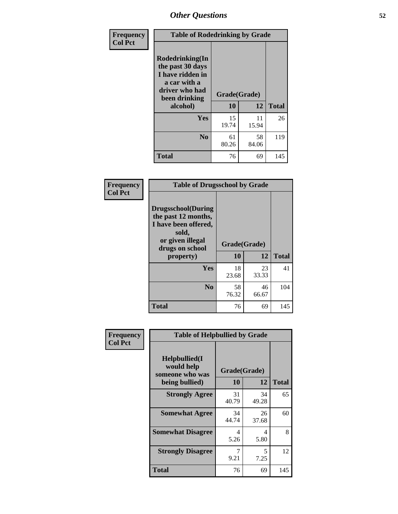| Frequency<br><b>Col Pct</b> | <b>Table of Rodedrinking by Grade</b>                                                                                  |                          |             |              |  |
|-----------------------------|------------------------------------------------------------------------------------------------------------------------|--------------------------|-------------|--------------|--|
|                             | Rodedrinking(In<br>the past 30 days<br>I have ridden in<br>a car with a<br>driver who had<br>been drinking<br>alcohol) | Grade(Grade)<br>10<br>12 |             | <b>Total</b> |  |
|                             | <b>Yes</b>                                                                                                             | 15<br>19.74              | 11<br>15.94 | 26           |  |
|                             | N <sub>0</sub>                                                                                                         | 61<br>80.26              | 58<br>84.06 | 119          |  |
|                             | <b>Total</b>                                                                                                           | 76                       | 69          | 145          |  |

#### **Frequency Col Pct**

| <b>Table of Drugsschool by Grade</b>                                                                                      |              |             |              |  |  |
|---------------------------------------------------------------------------------------------------------------------------|--------------|-------------|--------------|--|--|
| <b>Drugsschool</b> (During<br>the past 12 months,<br>I have been offered,<br>sold,<br>or given illegal<br>drugs on school | Grade(Grade) |             |              |  |  |
| property)                                                                                                                 | 10           | 12          | <b>Total</b> |  |  |
| Yes                                                                                                                       | 18<br>23.68  | 23<br>33.33 | 41           |  |  |
| N <sub>0</sub>                                                                                                            | 58<br>76.32  | 46<br>66.67 | 104          |  |  |
| <b>Total</b>                                                                                                              | 76           | 69          | 145          |  |  |

| Frequency      | <b>Table of Helpbullied by Grade</b>                                   |                          |             |              |  |
|----------------|------------------------------------------------------------------------|--------------------------|-------------|--------------|--|
| <b>Col Pct</b> | $Helpb$ ullied $(I$<br>would help<br>someone who was<br>being bullied) | Grade(Grade)<br>10<br>12 |             | <b>Total</b> |  |
|                |                                                                        |                          |             |              |  |
|                | <b>Strongly Agree</b>                                                  | 31<br>40.79              | 34<br>49.28 | 65           |  |
|                | <b>Somewhat Agree</b>                                                  | 34<br>44.74              | 26<br>37.68 | 60           |  |
|                | <b>Somewhat Disagree</b>                                               | 4<br>5.26                | 4<br>5.80   | 8            |  |
|                | <b>Strongly Disagree</b>                                               | 9.21                     | 5<br>7.25   | 12           |  |
|                | <b>Total</b>                                                           | 76                       | 69          | 145          |  |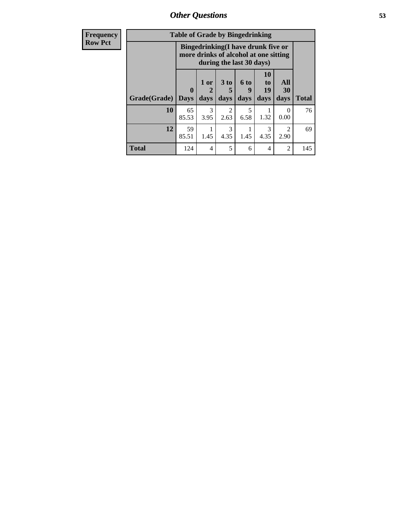*Other Questions* **53**

| <b>Frequency</b> | <b>Table of Grade by Bingedrinking</b> |                             |                |                     |                                                                                                         |                        |                   |              |
|------------------|----------------------------------------|-----------------------------|----------------|---------------------|---------------------------------------------------------------------------------------------------------|------------------------|-------------------|--------------|
| <b>Row Pct</b>   |                                        |                             |                |                     | Bingedrinking(I have drunk five or<br>more drinks of alcohol at one sitting<br>during the last 30 days) |                        |                   |              |
|                  | Grade(Grade)                           | $\mathbf{0}$<br><b>Days</b> | $1$ or<br>days | $3$ to<br>5<br>days | $6$ to<br>9<br>days                                                                                     | 10<br>to<br>19<br>days | All<br>30<br>days | <b>Total</b> |
|                  | 10                                     | 65<br>85.53                 | 3<br>3.95      | 2<br>2.63           | 5<br>6.58                                                                                               | 1.32                   | $\Omega$<br>0.00  | 76           |
|                  | 12                                     | 59<br>85.51                 | 1.45           | 3<br>4.35           | 1.45                                                                                                    | 3<br>4.35              | 2<br>2.90         | 69           |
|                  | <b>Total</b>                           | 124                         | 4              | 5                   | 6                                                                                                       | 4                      | $\overline{2}$    | 145          |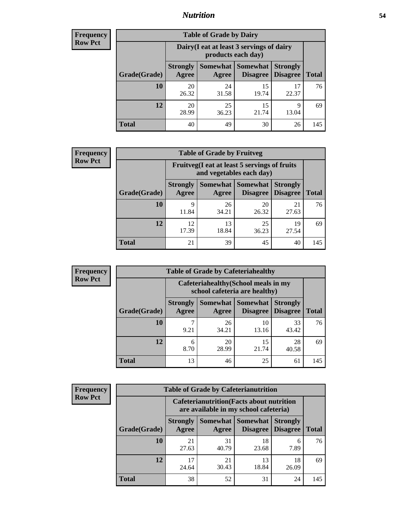### *Nutrition* **54**

| <b>Frequency</b><br>Row Pct |
|-----------------------------|
|                             |

| <b>Table of Grade by Dairy</b> |                                                                                                                                    |                                                                 |             |             |     |  |  |  |
|--------------------------------|------------------------------------------------------------------------------------------------------------------------------------|-----------------------------------------------------------------|-------------|-------------|-----|--|--|--|
|                                |                                                                                                                                    | Dairy (I eat at least 3 servings of dairy<br>products each day) |             |             |     |  |  |  |
| Grade(Grade)                   | Somewhat<br><b>Somewhat</b><br><b>Strongly</b><br><b>Strongly</b><br><b>Disagree</b><br>Disagree<br><b>Total</b><br>Agree<br>Agree |                                                                 |             |             |     |  |  |  |
| 10                             | 20<br>26.32                                                                                                                        | 24<br>31.58                                                     | 15<br>19.74 | 17<br>22.37 | 76  |  |  |  |
| 12                             | 20<br>28.99                                                                                                                        | 25<br>36.23                                                     | 15<br>21.74 | 9<br>13.04  | 69  |  |  |  |
| <b>Total</b>                   | 40                                                                                                                                 | 49                                                              | 30          | 26          | 145 |  |  |  |

| <b>Frequency</b> |  |
|------------------|--|
| <b>Row Pct</b>   |  |

| 2V | <b>Table of Grade by Fruitveg</b> |                          |                                                                          |                      |                                    |              |  |  |
|----|-----------------------------------|--------------------------|--------------------------------------------------------------------------|----------------------|------------------------------------|--------------|--|--|
|    |                                   |                          | Fruitveg(I eat at least 5 servings of fruits<br>and vegetables each day) |                      |                                    |              |  |  |
|    | Grade(Grade)                      | <b>Strongly</b><br>Agree | Somewhat  <br>Agree                                                      | Somewhat<br>Disagree | <b>Strongly</b><br><b>Disagree</b> | <b>Total</b> |  |  |
|    | 10                                | 9<br>11.84               | 26<br>34.21                                                              | 20<br>26.32          | 21<br>27.63                        | 76           |  |  |
|    | 12                                | 12<br>17.39              | 13<br>18.84                                                              | 25<br>36.23          | 19<br>27.54                        | 69           |  |  |
|    | Total                             | 21                       | 39                                                                       | 45                   | 40                                 | 145          |  |  |

| <b>Frequency</b> | <b>Table of Grade by Cafeteriahealthy</b> |                                                                       |             |                                          |                                    |              |
|------------------|-------------------------------------------|-----------------------------------------------------------------------|-------------|------------------------------------------|------------------------------------|--------------|
| <b>Row Pct</b>   |                                           | Cafeteriahealthy (School meals in my<br>school cafeteria are healthy) |             |                                          |                                    |              |
|                  | Grade(Grade)                              | <b>Strongly</b><br>Agree                                              | Agree       | Somewhat   Somewhat  <br><b>Disagree</b> | <b>Strongly</b><br><b>Disagree</b> | <b>Total</b> |
|                  | 10                                        | 9.21                                                                  | 26<br>34.21 | 10<br>13.16                              | 33<br>43.42                        | 76           |
|                  | 12                                        | 6<br>8.70                                                             | 20<br>28.99 | 15<br>21.74                              | 28<br>40.58                        | 69           |
|                  | Total                                     | 13                                                                    | 46          | 25                                       | 61                                 | 145          |

| <b>Frequency</b> |
|------------------|
| <b>Row Pct</b>   |

| <b>Table of Grade by Cafeterianutrition</b> |                                                                                           |                   |                             |                                    |              |  |  |
|---------------------------------------------|-------------------------------------------------------------------------------------------|-------------------|-----------------------------|------------------------------------|--------------|--|--|
|                                             | <b>Cafeterianutrition</b> (Facts about nutrition<br>are available in my school cafeteria) |                   |                             |                                    |              |  |  |
| Grade(Grade)                                | <b>Strongly</b><br>Agree                                                                  | Somewhat<br>Agree | <b>Somewhat</b><br>Disagree | <b>Strongly</b><br><b>Disagree</b> | <b>Total</b> |  |  |
| 10                                          | 21<br>27.63                                                                               | 31<br>40.79       | 18<br>23.68                 | 6<br>7.89                          | 76           |  |  |
| 12                                          | 17<br>24.64                                                                               | 21<br>30.43       | 13<br>18.84                 | 18<br>26.09                        | 69           |  |  |
| <b>Total</b>                                | 38                                                                                        | 52                | 31                          | 24                                 | 145          |  |  |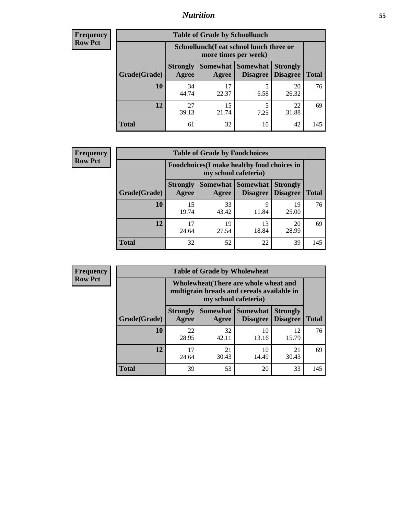### *Nutrition* **55**

| <b>Frequency</b> |
|------------------|
| Row Pct          |

| <b>Table of Grade by Schoollunch</b> |                          |                                                                                                |           |             |     |  |  |  |
|--------------------------------------|--------------------------|------------------------------------------------------------------------------------------------|-----------|-------------|-----|--|--|--|
|                                      |                          | Schoollunch(I eat school lunch three or<br>more times per week)                                |           |             |     |  |  |  |
| Grade(Grade)                         | <b>Strongly</b><br>Agree | Somewhat   Somewhat<br><b>Strongly</b><br><b>Disagree</b><br>Disagree<br><b>Total</b><br>Agree |           |             |     |  |  |  |
| 10                                   | 34<br>44.74              | 17<br>22.37                                                                                    | 5<br>6.58 | 20<br>26.32 | 76  |  |  |  |
| 12                                   | 27<br>39.13              | 15<br>21.74                                                                                    | 5<br>7.25 | 22<br>31.88 | 69  |  |  |  |
| <b>Total</b>                         | 61                       | 32                                                                                             | 10        | 42          | 145 |  |  |  |

| <b>Frequency</b> |  |
|------------------|--|
| <b>Row Pct</b>   |  |

| <b>Table of Grade by Foodchoices</b> |                          |                                                                            |                                      |                                    |              |  |  |  |
|--------------------------------------|--------------------------|----------------------------------------------------------------------------|--------------------------------------|------------------------------------|--------------|--|--|--|
|                                      |                          | <b>Foodchoices</b> (I make healthy food choices in<br>my school cafeteria) |                                      |                                    |              |  |  |  |
| Grade(Grade)                         | <b>Strongly</b><br>Agree | Agree                                                                      | <b>Somewhat Somewhat</b><br>Disagree | <b>Strongly</b><br><b>Disagree</b> | <b>Total</b> |  |  |  |
| 10                                   | 15<br>19.74              | 33<br>43.42                                                                | q<br>11.84                           | 19<br>25.00                        | 76           |  |  |  |
| 12                                   | 24.64                    | 19<br>27.54                                                                | 13<br>18.84                          | 20<br>28.99                        | 69           |  |  |  |
| <b>Total</b>                         | 32                       | 52                                                                         | 22                                   | 39                                 | 145          |  |  |  |

| <b>Frequency</b> | <b>Table of Grade by Wholewheat</b> |                                                                                                             |                     |                                    |                             |              |  |  |
|------------------|-------------------------------------|-------------------------------------------------------------------------------------------------------------|---------------------|------------------------------------|-----------------------------|--------------|--|--|
| <b>Row Pct</b>   |                                     | Wholewheat (There are whole wheat and<br>multigrain breads and cereals available in<br>my school cafeteria) |                     |                                    |                             |              |  |  |
|                  | Grade(Grade)                        | <b>Strongly</b><br>Agree                                                                                    | Somewhat  <br>Agree | <b>Somewhat</b><br><b>Disagree</b> | <b>Strongly</b><br>Disagree | <b>Total</b> |  |  |
|                  | 10                                  | 22<br>28.95                                                                                                 | 32<br>42.11         | 10<br>13.16                        | 12<br>15.79                 | 76           |  |  |
|                  | 12                                  | 17<br>24.64                                                                                                 | 21<br>30.43         | 10<br>14.49                        | 21<br>30.43                 | 69           |  |  |

**Total** 39 53 20 33 145

76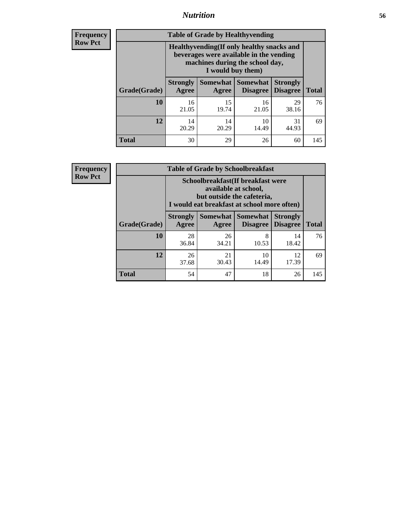### *Nutrition* **56**

**Frequency Row Pct**

| <b>Table of Grade by Healthyvending</b> |                                                                                                                                               |                     |                                    |                                    |              |  |
|-----------------------------------------|-----------------------------------------------------------------------------------------------------------------------------------------------|---------------------|------------------------------------|------------------------------------|--------------|--|
|                                         | Healthyvending (If only healthy snacks and<br>beverages were available in the vending<br>machines during the school day,<br>I would buy them) |                     |                                    |                                    |              |  |
| Grade(Grade)                            | <b>Strongly</b><br>Agree                                                                                                                      | Somewhat  <br>Agree | <b>Somewhat</b><br><b>Disagree</b> | <b>Strongly</b><br><b>Disagree</b> | <b>Total</b> |  |
| 10                                      | 16<br>21.05                                                                                                                                   | 15<br>19.74         | 16<br>21.05                        | 29<br>38.16                        | 76           |  |
| 12                                      | 14<br>20.29                                                                                                                                   | 14<br>20.29         | 10<br>14.49                        | 31<br>44.93                        | 69           |  |
| <b>Total</b>                            | 30                                                                                                                                            | 29                  | 26                                 | 60                                 | 145          |  |

**Frequency Row Pct**

| <b>Table of Grade by Schoolbreakfast</b> |                                                                                                                                         |                                           |                                        |                                    |              |  |  |
|------------------------------------------|-----------------------------------------------------------------------------------------------------------------------------------------|-------------------------------------------|----------------------------------------|------------------------------------|--------------|--|--|
|                                          | Schoolbreakfast (If breakfast were<br>available at school,<br>but outside the cafeteria,<br>I would eat breakfast at school more often) |                                           |                                        |                                    |              |  |  |
| Grade(Grade)                             | <b>Strongly</b><br>Agree                                                                                                                | Agree                                     | Somewhat   Somewhat<br><b>Disagree</b> | <b>Strongly</b><br><b>Disagree</b> | <b>Total</b> |  |  |
| 10                                       | 28<br>36.84                                                                                                                             | 26<br>34.21                               | 8<br>10.53                             | 14<br>18.42                        | 76           |  |  |
| 12                                       | 26<br>37.68                                                                                                                             | 21<br>10<br>12<br>30.43<br>17.39<br>14.49 |                                        |                                    |              |  |  |
| <b>Total</b>                             | 54                                                                                                                                      | 47                                        | 18                                     | 26                                 | 145          |  |  |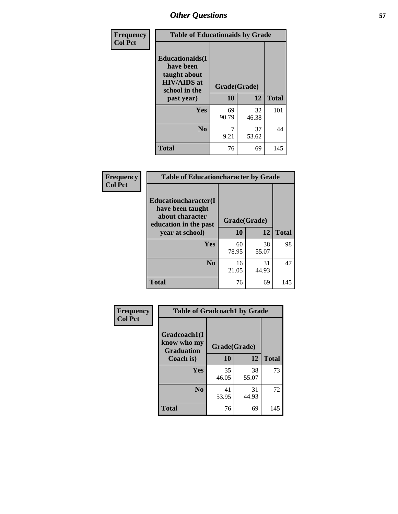| Frequency<br><b>Col Pct</b> | <b>Table of Educationaids by Grade</b>                                                                    |                    |             |              |
|-----------------------------|-----------------------------------------------------------------------------------------------------------|--------------------|-------------|--------------|
|                             | <b>Educationaids</b> (I<br>have been<br>taught about<br><b>HIV/AIDS</b> at<br>school in the<br>past year) | Grade(Grade)<br>10 | 12          | <b>Total</b> |
|                             | <b>Yes</b>                                                                                                | 69<br>90.79        | 32<br>46.38 | 101          |
|                             | N <sub>0</sub>                                                                                            | 9.21               | 37<br>53.62 | 44           |
|                             | <b>Total</b>                                                                                              | 76                 | 69          | 145          |

| <b>Frequency</b> | <b>Table of Educationcharacter by Grade</b>                                          |              |             |              |
|------------------|--------------------------------------------------------------------------------------|--------------|-------------|--------------|
| <b>Col Pct</b>   | Educationcharacter(I<br>have been taught<br>about character<br>education in the past | Grade(Grade) |             |              |
|                  | year at school)                                                                      | 10           | 12          | <b>Total</b> |
|                  | <b>Yes</b>                                                                           | 60<br>78.95  | 38<br>55.07 | 98           |
|                  | N <sub>0</sub>                                                                       | 16<br>21.05  | 31<br>44.93 | 47           |
|                  | <b>Total</b>                                                                         | 76           | 69          | 145          |

| <b>Frequency</b><br><b>Col Pct</b> | <b>Table of Gradcoach1 by Grade</b>              |              |             |              |
|------------------------------------|--------------------------------------------------|--------------|-------------|--------------|
|                                    | Gradcoach1(I<br>know who my<br><b>Graduation</b> | Grade(Grade) |             |              |
|                                    | Coach is)                                        | 10           | 12          | <b>Total</b> |
|                                    | Yes                                              | 35<br>46.05  | 38<br>55.07 | 73           |
|                                    | N <sub>0</sub>                                   | 41<br>53.95  | 31<br>44.93 | 72           |
|                                    | <b>Total</b>                                     | 76           | 69          | 145          |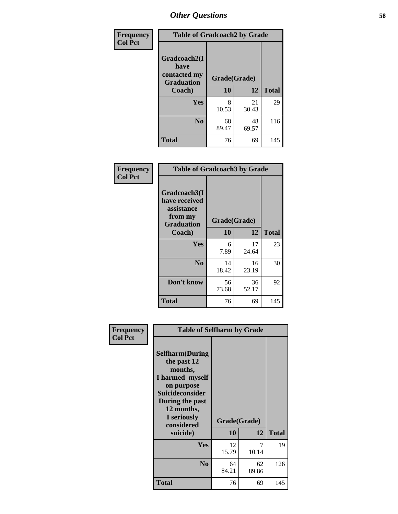| Frequency      | <b>Table of Gradcoach2 by Grade</b> |              |             |              |
|----------------|-------------------------------------|--------------|-------------|--------------|
| <b>Col Pct</b> | Gradcoach2(I<br>have                |              |             |              |
|                | contacted my<br><b>Graduation</b>   | Grade(Grade) |             |              |
|                | Coach)                              | 10           | 12          | <b>Total</b> |
|                | Yes                                 | 8<br>10.53   | 21<br>30.43 | 29           |
|                | N <sub>0</sub>                      | 68<br>89.47  | 48<br>69.57 | 116          |
|                | <b>Total</b>                        | 76           | 69          | 145          |

| <b>Frequency</b><br><b>Col Pct</b> | <b>Table of Gradcoach3 by Grade</b>                                         |              |             |              |
|------------------------------------|-----------------------------------------------------------------------------|--------------|-------------|--------------|
|                                    | Gradcoach3(I<br>have received<br>assistance<br>from my<br><b>Graduation</b> | Grade(Grade) |             |              |
|                                    | Coach)                                                                      | 10           | 12          | <b>Total</b> |
|                                    | Yes                                                                         | 6<br>7.89    | 17<br>24.64 | 23           |
|                                    | N <sub>0</sub>                                                              | 14<br>18.42  | 16<br>23.19 | 30           |
|                                    | Don't know                                                                  | 56<br>73.68  | 36<br>52.17 | 92           |
|                                    | <b>Total</b>                                                                | 76           | 69          | 145          |

| Frequency      | <b>Table of Selfharm by Grade</b>                                                                                                             |              |             |              |
|----------------|-----------------------------------------------------------------------------------------------------------------------------------------------|--------------|-------------|--------------|
| <b>Col Pct</b> | <b>Selfharm</b> (During<br>the past 12<br>months,<br>I harmed myself<br>on purpose<br><b>Suicideconsider</b><br>During the past<br>12 months, |              |             |              |
|                | I seriously<br>considered                                                                                                                     | Grade(Grade) |             |              |
|                | suicide)                                                                                                                                      | 10           | 12          | <b>Total</b> |
|                | <b>Yes</b>                                                                                                                                    | 12<br>15.79  | 7<br>10.14  | 19           |
|                | N <sub>0</sub>                                                                                                                                | 64<br>84.21  | 62<br>89.86 | 126          |
|                | <b>Total</b>                                                                                                                                  | 76           | 69          | 145          |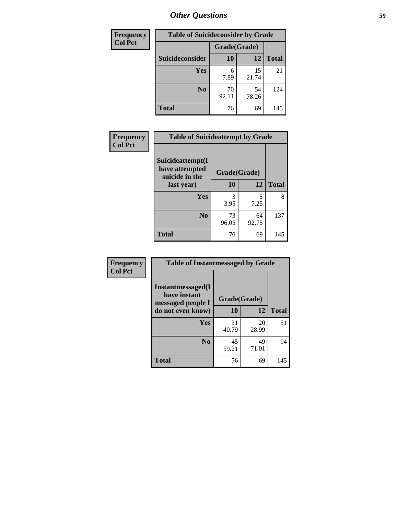| <b>Frequency</b> | <b>Table of Suicideconsider by Grade</b> |              |             |              |
|------------------|------------------------------------------|--------------|-------------|--------------|
| <b>Col Pct</b>   |                                          | Grade(Grade) |             |              |
|                  | Suicideconsider                          | <b>10</b>    | 12          | <b>Total</b> |
|                  | Yes                                      | 6<br>7.89    | 15<br>21.74 | 21           |
|                  | N <sub>0</sub>                           | 70<br>92.11  | 54<br>78.26 | 124          |
|                  | <b>Total</b>                             | 76           | 69          | 145          |

| Frequency      | <b>Table of Suicideattempt by Grade</b>              |              |             |              |
|----------------|------------------------------------------------------|--------------|-------------|--------------|
| <b>Col Pct</b> | Suicideattempt(I<br>have attempted<br>suicide in the | Grade(Grade) |             |              |
|                | last year)                                           | 10           | 12          | <b>Total</b> |
|                | Yes                                                  | 3<br>3.95    | 5<br>7.25   | 8            |
|                | N <sub>0</sub>                                       | 73<br>96.05  | 64<br>92.75 | 137          |
|                | <b>Total</b>                                         | 76           | 69          | 145          |

| <b>Frequency</b> | <b>Table of Instantmessaged by Grade</b>               |              |             |              |
|------------------|--------------------------------------------------------|--------------|-------------|--------------|
| <b>Col Pct</b>   | Instantmessaged(I<br>have instant<br>messaged people I | Grade(Grade) |             |              |
|                  | do not even know)                                      | 10           | 12          | <b>Total</b> |
|                  | Yes                                                    | 31<br>40.79  | 20<br>28.99 | 51           |
|                  | N <sub>0</sub>                                         | 45<br>59.21  | 49<br>71.01 | 94           |
|                  | <b>Total</b>                                           | 76           | 69          | 145          |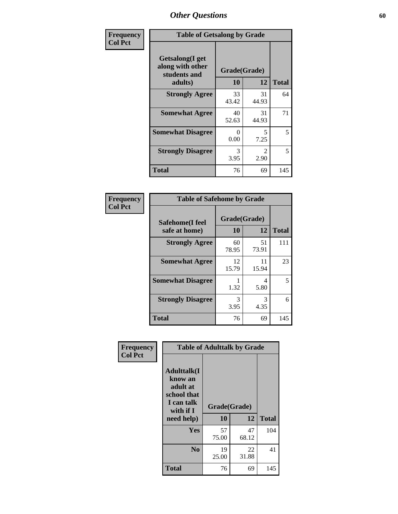| Frequency      | <b>Table of Getsalong by Grade</b>                                     |                    |                        |              |
|----------------|------------------------------------------------------------------------|--------------------|------------------------|--------------|
| <b>Col Pct</b> | <b>Getsalong</b> (I get<br>along with other<br>students and<br>adults) | Grade(Grade)<br>10 | 12                     | <b>Total</b> |
|                | <b>Strongly Agree</b>                                                  | 33<br>43.42        | 31<br>44.93            | 64           |
|                | <b>Somewhat Agree</b>                                                  | 40<br>52.63        | 31<br>44.93            | 71           |
|                | <b>Somewhat Disagree</b>                                               | $\Omega$<br>0.00   | 5<br>7.25              | 5            |
|                | <b>Strongly Disagree</b>                                               | 3<br>3.95          | $\mathfrak{D}$<br>2.90 | 5            |
|                | <b>Total</b>                                                           | 76                 | 69                     | 145          |

| Frequency      | <b>Table of Safehome by Grade</b> |                    |             |              |
|----------------|-----------------------------------|--------------------|-------------|--------------|
| <b>Col Pct</b> | Safehome(I feel<br>safe at home)  | Grade(Grade)<br>10 | 12          | <b>Total</b> |
|                | <b>Strongly Agree</b>             | 60<br>78.95        | 51<br>73.91 | 111          |
|                | <b>Somewhat Agree</b>             | 12<br>15.79        | 11<br>15.94 | 23           |
|                | <b>Somewhat Disagree</b>          | 1.32               | 4<br>5.80   | 5            |
|                | <b>Strongly Disagree</b>          | 3<br>3.95          | 3<br>4.35   | 6            |
|                | <b>Total</b>                      | 76                 | 69          | 145          |

| Frequency      |                                                                                                   | <b>Table of Adulttalk by Grade</b> |             |              |  |  |  |  |
|----------------|---------------------------------------------------------------------------------------------------|------------------------------------|-------------|--------------|--|--|--|--|
| <b>Col Pct</b> | <b>Adulttalk(I</b><br>know an<br>adult at<br>school that<br>I can talk<br>with if I<br>need help) | Grade(Grade)<br>10                 | 12          | <b>Total</b> |  |  |  |  |
|                | <b>Yes</b>                                                                                        | 57<br>75.00                        | 47<br>68.12 | 104          |  |  |  |  |
|                | N <sub>0</sub>                                                                                    | 19<br>25.00                        | 22<br>31.88 | 41           |  |  |  |  |
|                | <b>Total</b>                                                                                      | 76                                 | 69          | 145          |  |  |  |  |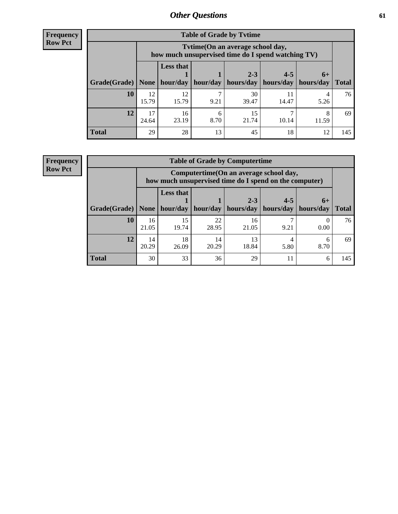**Frequency Row Pct**

| <b>Table of Grade by Tvtime</b> |             |                                                                                        |                     |                      |                                    |           |              |  |  |
|---------------------------------|-------------|----------------------------------------------------------------------------------------|---------------------|----------------------|------------------------------------|-----------|--------------|--|--|
|                                 |             | Tvtime(On an average school day,<br>how much unsupervised time do I spend watching TV) |                     |                      |                                    |           |              |  |  |
| Grade(Grade)   None             |             | <b>Less that</b>                                                                       | hour/day   hour/day | $2 - 3$<br>hours/day | $4 - 5$<br>  hours/day   hours/day | $6+$      | <b>Total</b> |  |  |
| <b>10</b>                       | 12<br>15.79 | 12<br>15.79                                                                            | 9.21                | 30<br>39.47          | 14.47                              | 4<br>5.26 | 76           |  |  |
| 12                              | 17<br>24.64 | 16<br>23.19                                                                            | 6<br>8.70           | 15<br>21.74          | 10.14                              | 11.59     | 69           |  |  |
| <b>Total</b>                    | 29          | 28                                                                                     | 13                  | 45                   | 18                                 | 12        | 145          |  |  |

**Frequency Row Pct**

| <b>Table of Grade by Computertime</b> |             |                                                                                                   |             |                      |                      |                   |              |  |  |
|---------------------------------------|-------------|---------------------------------------------------------------------------------------------------|-------------|----------------------|----------------------|-------------------|--------------|--|--|
|                                       |             | Computertime (On an average school day,<br>how much unsupervised time do I spend on the computer) |             |                      |                      |                   |              |  |  |
| Grade(Grade)                          | None        | <b>Less that</b><br>hour/day                                                                      | hour/day    | $2 - 3$<br>hours/day | $4 - 5$<br>hours/day | $6+$<br>hours/day | <b>Total</b> |  |  |
| 10                                    | 16<br>21.05 | 15<br>19.74                                                                                       | 22<br>28.95 | 16<br>21.05          | 9.21                 | 0.00              | 76           |  |  |
| 12                                    | 14<br>20.29 | 18<br>26.09                                                                                       | 14<br>20.29 | 13<br>18.84          | 5.80                 | 6<br>8.70         | 69           |  |  |
| <b>Total</b>                          | 30          | 33                                                                                                | 36          | 29                   | 11                   | 6                 | 145          |  |  |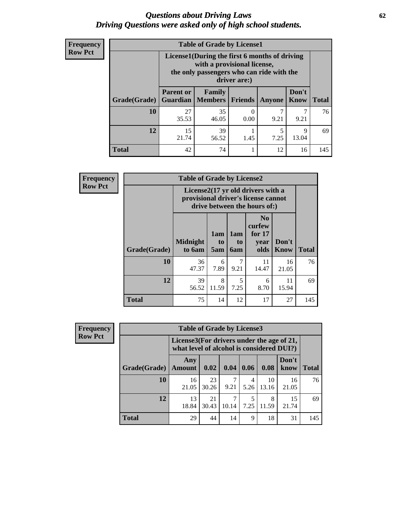#### *Questions about Driving Laws* **62** *Driving Questions were asked only of high school students.*

| <b>Frequency</b> |
|------------------|
| <b>Row Pct</b>   |

| <b>Table of Grade by License1</b> |                                     |                                                                                                                                           |         |           |               |              |  |  |  |
|-----------------------------------|-------------------------------------|-------------------------------------------------------------------------------------------------------------------------------------------|---------|-----------|---------------|--------------|--|--|--|
|                                   |                                     | License1(During the first 6 months of driving<br>with a provisional license,<br>the only passengers who can ride with the<br>driver are:) |         |           |               |              |  |  |  |
| Grade(Grade)                      | <b>Parent or</b><br><b>Guardian</b> | Family<br>  Members                                                                                                                       | Friends | Anyone    | Don't<br>Know | <b>Total</b> |  |  |  |
| 10                                | 27<br>35.53                         | 35<br>46.05                                                                                                                               | 0.00    | 9.21      | 9.21          | 76           |  |  |  |
| 12                                | 15<br>21.74                         | 39<br>56.52                                                                                                                               | 1.45    | 5<br>7.25 | 9<br>13.04    | 69           |  |  |  |
| <b>Total</b>                      | 42                                  | 74                                                                                                                                        |         | 12        | 16            | 145          |  |  |  |

| <b>Frequency</b> | <b>Table of Grade by License2</b> |                                                                                                          |                  |                         |                                                      |                      |              |  |
|------------------|-----------------------------------|----------------------------------------------------------------------------------------------------------|------------------|-------------------------|------------------------------------------------------|----------------------|--------------|--|
| <b>Row Pct</b>   |                                   | License2(17 yr old drivers with a<br>provisional driver's license cannot<br>drive between the hours of:) |                  |                         |                                                      |                      |              |  |
|                  | Grade(Grade)                      | <b>Midnight</b><br>to 6am                                                                                | 1am<br>to<br>5am | 1am<br>to<br><b>6am</b> | N <sub>0</sub><br>curfew<br>for $17$<br>year<br>olds | Don't<br><b>Know</b> | <b>Total</b> |  |
|                  | 10                                | 36<br>47.37                                                                                              | 6<br>7.89        | 7<br>9.21               | 11<br>14.47                                          | 16<br>21.05          | 76           |  |
|                  | 12                                | 39<br>56.52                                                                                              | 8<br>11.59       | 5<br>7.25               | 6<br>8.70                                            | 11<br>15.94          | 69           |  |
|                  | <b>Total</b>                      | 75                                                                                                       | 14               | 12                      | 17                                                   | 27                   | 145          |  |

| Frequency      |              | <b>Table of Grade by License3</b>                                                      |             |       |           |             |               |              |
|----------------|--------------|----------------------------------------------------------------------------------------|-------------|-------|-----------|-------------|---------------|--------------|
| <b>Row Pct</b> |              | License3(For drivers under the age of 21,<br>what level of alcohol is considered DUI?) |             |       |           |             |               |              |
|                | Grade(Grade) | Any<br><b>Amount</b>                                                                   | 0.02        | 0.04  | 0.06      | 0.08        | Don't<br>know | <b>Total</b> |
|                | <b>10</b>    | 16<br>21.05                                                                            | 23<br>30.26 | 9.21  | 4<br>5.26 | 10<br>13.16 | 16<br>21.05   | 76           |
|                | 12           | 13<br>18.84                                                                            | 21<br>30.43 | 10.14 | 7.25      | 8<br>11.59  | 15<br>21.74   | 69           |
|                | <b>Total</b> | 29                                                                                     | 44          | 14    | 9         | 18          | 31            | 145          |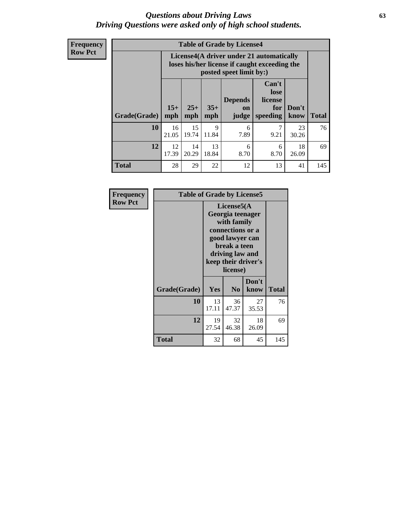#### *Questions about Driving Laws* **63** *Driving Questions were asked only of high school students.*

**Frequency Row Pct**

| <b>Table of Grade by License4</b> |             |                                                                                                                                                                                                                                                                                |             |           |           |             |     |  |
|-----------------------------------|-------------|--------------------------------------------------------------------------------------------------------------------------------------------------------------------------------------------------------------------------------------------------------------------------------|-------------|-----------|-----------|-------------|-----|--|
|                                   |             | License4(A driver under 21 automatically<br>loses his/her license if caught exceeding the<br>posted speet limit by:)<br>Can't<br>lose<br><b>Depends</b><br>license<br>$15+$<br>$25+$<br>$35+$<br>Don't<br>for<br>on<br><b>Total</b><br>speeding<br>mph<br>mph<br>know<br>judge |             |           |           |             |     |  |
| Grade(Grade)                      | mph         |                                                                                                                                                                                                                                                                                |             |           |           |             |     |  |
| 10                                | 16<br>21.05 | 15<br>19.74                                                                                                                                                                                                                                                                    | 9<br>11.84  | 6<br>7.89 | 7<br>9.21 | 23<br>30.26 | 76  |  |
| 12                                | 12<br>17.39 | 14<br>20.29                                                                                                                                                                                                                                                                    | 13<br>18.84 | 6<br>8.70 | 6<br>8.70 | 18<br>26.09 | 69  |  |
| <b>Total</b>                      | 28          | 29                                                                                                                                                                                                                                                                             | 22          | 12        | 13        | 41          | 145 |  |

| Frequency      | <b>Table of Grade by License5</b> |             |                                                                                                                                      |                     |              |  |
|----------------|-----------------------------------|-------------|--------------------------------------------------------------------------------------------------------------------------------------|---------------------|--------------|--|
| <b>Row Pct</b> |                                   |             | License5(A)<br>Georgia teenager<br>with family<br>connections or a<br>good lawyer can<br>break a teen<br>driving law and<br>license) | keep their driver's |              |  |
|                | Grade(Grade)                      | Yes         | N <sub>0</sub>                                                                                                                       | Don't<br>know       | <b>Total</b> |  |
|                | 10                                | 13<br>17.11 | 36<br>47.37                                                                                                                          | 27<br>35.53         | 76           |  |
|                | 12                                | 19<br>27.54 | 32<br>46.38                                                                                                                          | 18<br>26.09         | 69           |  |
|                | <b>Total</b>                      | 32          | 68                                                                                                                                   | 45                  | 145          |  |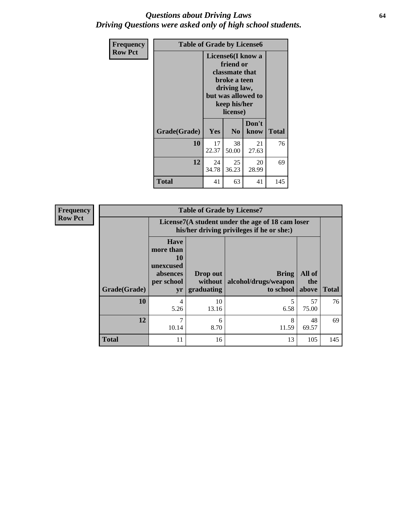#### *Questions about Driving Laws* **64** *Driving Questions were asked only of high school students.*

| <b>Frequency</b> | <b>Table of Grade by License6</b> |             |                                                                                                                           |                    |              |  |  |
|------------------|-----------------------------------|-------------|---------------------------------------------------------------------------------------------------------------------------|--------------------|--------------|--|--|
| <b>Row Pct</b>   |                                   |             | License <sub>6</sub> (I know a<br>friend or<br>classmate that<br>broke a teen<br>driving law,<br>keep his/her<br>license) | but was allowed to |              |  |  |
|                  | Grade(Grade)                      | Yes         | N <sub>0</sub>                                                                                                            | Don't<br>know      | <b>Total</b> |  |  |
|                  | 10                                | 17<br>22.37 | 38<br>50.00                                                                                                               | 21<br>27.63        | 76           |  |  |
|                  | 12                                | 24<br>34.78 | 25<br>36.23                                                                                                               | 20<br>28.99        | 69           |  |  |
|                  | <b>Total</b>                      | 41          | 63                                                                                                                        | 41                 | 145          |  |  |

| <b>Frequency</b> | <b>Table of Grade by License7</b> |                                                                             |                                     |                                                                                               |                        |              |  |  |
|------------------|-----------------------------------|-----------------------------------------------------------------------------|-------------------------------------|-----------------------------------------------------------------------------------------------|------------------------|--------------|--|--|
| <b>Row Pct</b>   |                                   |                                                                             |                                     | License7(A student under the age of 18 cam loser<br>his/her driving privileges if he or she:) |                        |              |  |  |
|                  | Grade(Grade)                      | <b>Have</b><br>more than<br>10<br>unexcused<br>absences<br>per school<br>yr | Drop out<br>without  <br>graduating | <b>Bring</b><br>alcohol/drugs/weapon<br>to school                                             | All of<br>the<br>above | <b>Total</b> |  |  |
|                  | 10                                | 4<br>5.26                                                                   | 10<br>13.16                         | 6.58                                                                                          | 57<br>75.00            | 76           |  |  |
|                  | 12                                | 7<br>10.14                                                                  | 6<br>8.70                           | 8<br>11.59                                                                                    | 48<br>69.57            | 69           |  |  |
|                  | <b>Total</b>                      | 11                                                                          | 16                                  | 13                                                                                            | 105                    | 145          |  |  |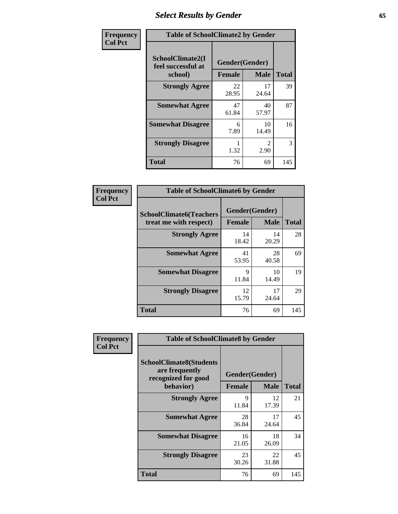# *Select Results by Gender* **65**

| Frequency      | <b>Table of SchoolClimate2 by Gender</b>          |                                 |                                     |              |  |
|----------------|---------------------------------------------------|---------------------------------|-------------------------------------|--------------|--|
| <b>Col Pct</b> | SchoolClimate2(I<br>feel successful at<br>school) | Gender(Gender)<br><b>Female</b> | <b>Male</b>                         | <b>Total</b> |  |
|                | <b>Strongly Agree</b>                             | 22<br>28.95                     | 17<br>24.64                         | 39           |  |
|                | <b>Somewhat Agree</b>                             | 47<br>61.84                     | 40<br>57.97                         | 87           |  |
|                | <b>Somewhat Disagree</b>                          | 6<br>7.89                       | 10<br>14.49                         | 16           |  |
|                | <b>Strongly Disagree</b>                          | 1.32                            | $\mathcal{D}_{\mathcal{L}}$<br>2.90 | 3            |  |
|                | <b>Total</b>                                      | 76                              | 69                                  | 145          |  |

| Frequency | <b>Table of SchoolClimate6 by Gender</b>                 |               |                               |              |  |
|-----------|----------------------------------------------------------|---------------|-------------------------------|--------------|--|
| Col Pct   | <b>SchoolClimate6(Teachers</b><br>treat me with respect) | <b>Female</b> | Gender(Gender)<br><b>Male</b> | <b>Total</b> |  |
|           | <b>Strongly Agree</b>                                    | 14<br>18.42   | 14<br>20.29                   | 28           |  |
|           | <b>Somewhat Agree</b>                                    | 41<br>53.95   | 28<br>40.58                   | 69           |  |
|           | <b>Somewhat Disagree</b>                                 | 9<br>11.84    | 10<br>14.49                   | 19           |  |
|           | <b>Strongly Disagree</b>                                 | 12<br>15.79   | 17<br>24.64                   | 29           |  |
|           | <b>Total</b>                                             | 76            | 69                            | 145          |  |

| <b>Frequency</b> | <b>Table of SchoolClimate8 by Gender</b>                                             |               |                               |              |
|------------------|--------------------------------------------------------------------------------------|---------------|-------------------------------|--------------|
| <b>Col Pct</b>   | <b>SchoolClimate8(Students</b><br>are frequently<br>recognized for good<br>behavior) | <b>Female</b> | Gender(Gender)<br><b>Male</b> | <b>Total</b> |
|                  | <b>Strongly Agree</b>                                                                | 9<br>11.84    | 12<br>17.39                   | 21           |
|                  | <b>Somewhat Agree</b>                                                                | 28<br>36.84   | 17<br>24.64                   | 45           |
|                  | <b>Somewhat Disagree</b>                                                             | 16<br>21.05   | 18<br>26.09                   | 34           |
|                  | <b>Strongly Disagree</b>                                                             | 23<br>30.26   | 22<br>31.88                   | 45           |
|                  | Total                                                                                | 76            | 69                            | 145          |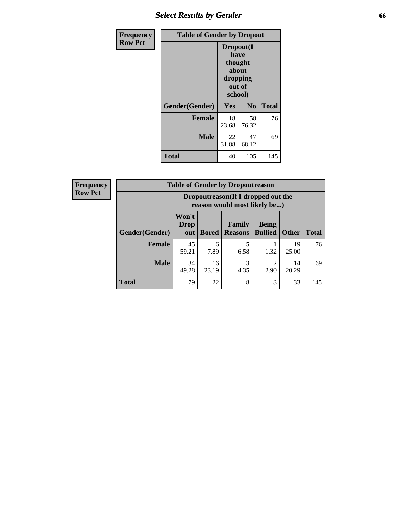# *Select Results by Gender* **66**

| Frequency      | <b>Table of Gender by Dropout</b> |                                                                        |                |              |
|----------------|-----------------------------------|------------------------------------------------------------------------|----------------|--------------|
| <b>Row Pct</b> |                                   | Dropout(I<br>have<br>thought<br>about<br>dropping<br>out of<br>school) |                |              |
|                | Gender(Gender)                    | Yes                                                                    | N <sub>0</sub> | <b>Total</b> |
|                | <b>Female</b>                     | 18<br>23.68                                                            | 58<br>76.32    | 76           |
|                | <b>Male</b>                       | 22<br>31.88                                                            | 47<br>68.12    | 69           |
|                | <b>Total</b>                      | 40                                                                     | 105            | 145          |

| <b>Frequency</b> | <b>Table of Gender by Dropoutreason</b> |                                                                     |              |                                 |                                |              |              |
|------------------|-----------------------------------------|---------------------------------------------------------------------|--------------|---------------------------------|--------------------------------|--------------|--------------|
| <b>Row Pct</b>   |                                         | Dropoutreason (If I dropped out the<br>reason would most likely be) |              |                                 |                                |              |              |
|                  | Gender(Gender)                          | Won't<br><b>Drop</b><br>out                                         | <b>Bored</b> | <b>Family</b><br><b>Reasons</b> | <b>Being</b><br><b>Bullied</b> | <b>Other</b> | <b>Total</b> |
|                  | <b>Female</b>                           | 45<br>59.21                                                         | 6<br>7.89    | 6.58                            | 1.32                           | 19<br>25.00  | 76           |
|                  | <b>Male</b>                             | 34<br>49.28                                                         | 16<br>23.19  | 3<br>4.35                       | 2.90                           | 14<br>20.29  | 69           |
|                  | <b>Total</b>                            | 79                                                                  | 22           | 8                               | 3                              | 33           | 145          |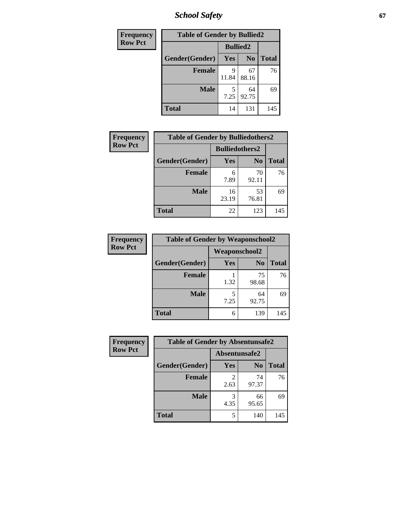*School Safety* **67**

| Frequency      | <b>Table of Gender by Bullied2</b> |                 |                |              |
|----------------|------------------------------------|-----------------|----------------|--------------|
| <b>Row Pct</b> |                                    | <b>Bullied2</b> |                |              |
|                | Gender(Gender)                     | <b>Yes</b>      | N <sub>0</sub> | <b>Total</b> |
|                | <b>Female</b>                      | Q<br>11.84      | 67<br>88.16    | 76           |
|                | <b>Male</b>                        | 5<br>7.25       | 64<br>92.75    | 69           |
|                | <b>Total</b>                       | 14              | 131            | 145          |

| Frequency      | <b>Table of Gender by Bulliedothers2</b> |                       |                |              |
|----------------|------------------------------------------|-----------------------|----------------|--------------|
| <b>Row Pct</b> |                                          | <b>Bulliedothers2</b> |                |              |
|                | Gender(Gender)                           | Yes                   | N <sub>0</sub> | <b>Total</b> |
|                | <b>Female</b>                            | 6<br>7.89             | 70<br>92.11    | 76           |
|                | <b>Male</b>                              | 16<br>23.19           | 53<br>76.81    | 69           |
|                | <b>Total</b>                             | 22                    | 123            | 145          |

| Frequency      | <b>Table of Gender by Weaponschool2</b> |                      |                |              |
|----------------|-----------------------------------------|----------------------|----------------|--------------|
| <b>Row Pct</b> |                                         | <b>Weaponschool2</b> |                |              |
|                | Gender(Gender)                          | Yes                  | N <sub>0</sub> | <b>Total</b> |
|                | <b>Female</b>                           | 1.32                 | 75<br>98.68    | 76           |
|                | <b>Male</b>                             | 5<br>7.25            | 64<br>92.75    | 69           |
|                | <b>Total</b>                            | 6                    | 139            | 145          |

| Frequency      | <b>Table of Gender by Absentunsafe2</b> |               |                |              |
|----------------|-----------------------------------------|---------------|----------------|--------------|
| <b>Row Pct</b> |                                         | Absentunsafe2 |                |              |
|                | Gender(Gender)                          | <b>Yes</b>    | N <sub>0</sub> | <b>Total</b> |
|                | <b>Female</b>                           | 2.63          | 74<br>97.37    | 76           |
|                | <b>Male</b>                             | 4.35          | 66<br>95.65    | 69           |
|                | <b>Total</b>                            | 5             | 140            | 145          |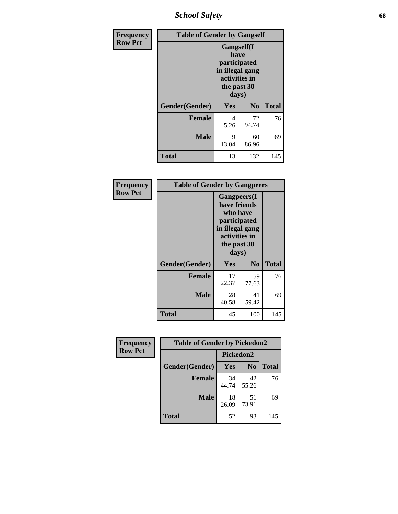*School Safety* **68**

| Frequency      | <b>Table of Gender by Gangself</b> |                                                                                                |                |              |
|----------------|------------------------------------|------------------------------------------------------------------------------------------------|----------------|--------------|
| <b>Row Pct</b> |                                    | Gangself(I<br>have<br>participated<br>in illegal gang<br>activities in<br>the past 30<br>days) |                |              |
|                | Gender(Gender)                     | Yes                                                                                            | N <sub>0</sub> | <b>Total</b> |
|                | <b>Female</b>                      | 4<br>5.26                                                                                      | 72<br>94.74    | 76           |
|                | <b>Male</b>                        | 9<br>13.04                                                                                     | 60<br>86.96    | 69           |
|                | <b>Total</b>                       | 13                                                                                             | 132            | 145          |

| Frequency      |                | <b>Table of Gender by Gangpeers</b>                                                                                         |                |              |
|----------------|----------------|-----------------------------------------------------------------------------------------------------------------------------|----------------|--------------|
| <b>Row Pct</b> |                | <b>Gangpeers</b> (I<br>have friends<br>who have<br>participated<br>in illegal gang<br>activities in<br>the past 30<br>days) |                |              |
|                | Gender(Gender) | Yes                                                                                                                         | N <sub>0</sub> | <b>Total</b> |
|                | <b>Female</b>  | 17<br>22.37                                                                                                                 | 59<br>77.63    | 76           |
|                | <b>Male</b>    | 28<br>40.58                                                                                                                 | 41<br>59.42    | 69           |
|                | <b>Total</b>   | 45                                                                                                                          | 100            | 145          |

| Frequency      | <b>Table of Gender by Pickedon2</b> |             |                |              |
|----------------|-------------------------------------|-------------|----------------|--------------|
| <b>Row Pct</b> |                                     | Pickedon2   |                |              |
|                | Gender(Gender)                      | Yes         | N <sub>0</sub> | <b>Total</b> |
|                | <b>Female</b>                       | 34<br>44.74 | 42<br>55.26    | 76           |
|                | <b>Male</b>                         | 18<br>26.09 | 51<br>73.91    | 69           |
|                | <b>Total</b>                        | 52          | 93             | 145          |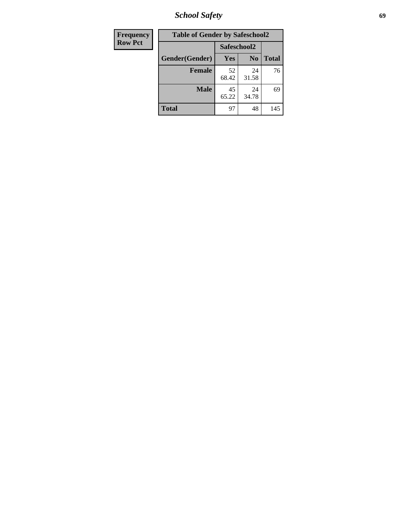*School Safety* **69**

| Frequency      | <b>Table of Gender by Safeschool2</b> |             |                |              |  |
|----------------|---------------------------------------|-------------|----------------|--------------|--|
| <b>Row Pct</b> |                                       | Safeschool2 |                |              |  |
|                | Gender(Gender)                        | Yes         | N <sub>0</sub> | <b>Total</b> |  |
|                | <b>Female</b>                         | 52<br>68.42 | 24<br>31.58    | 76           |  |
|                | <b>Male</b>                           | 45<br>65.22 | 24<br>34.78    | 69           |  |
|                | <b>Total</b>                          | 97          | 48             | 145          |  |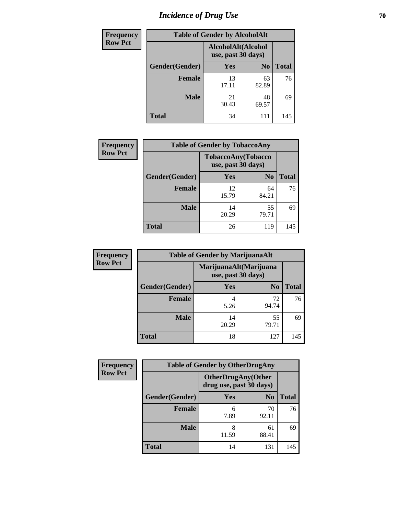# *Incidence of Drug Use* **70**

| <b>Frequency</b> |                | <b>Table of Gender by AlcoholAlt</b>     |                |              |
|------------------|----------------|------------------------------------------|----------------|--------------|
| <b>Row Pct</b>   |                | AlcoholAlt(Alcohol<br>use, past 30 days) |                |              |
|                  | Gender(Gender) | <b>Yes</b>                               | N <sub>0</sub> | <b>Total</b> |
|                  | <b>Female</b>  | 13<br>17.11                              | 63<br>82.89    | 76           |
|                  | <b>Male</b>    | 21<br>30.43                              | 48<br>69.57    | 69           |
|                  | <b>Total</b>   | 34                                       | 111            | 145          |

| <b>Frequency</b> | <b>Table of Gender by TobaccoAny</b> |             |                                          |              |
|------------------|--------------------------------------|-------------|------------------------------------------|--------------|
| <b>Row Pct</b>   |                                      |             | TobaccoAny(Tobacco<br>use, past 30 days) |              |
|                  | Gender(Gender)                       | <b>Yes</b>  | N <sub>0</sub>                           | <b>Total</b> |
|                  | <b>Female</b>                        | 12<br>15.79 | 64<br>84.21                              | 76           |
|                  | <b>Male</b>                          | 14<br>20.29 | 55<br>79.71                              | 69           |
|                  | <b>Total</b>                         | 26          | 119                                      | 145          |

| <b>Frequency</b> | <b>Table of Gender by MarijuanaAlt</b> |             |                                              |       |
|------------------|----------------------------------------|-------------|----------------------------------------------|-------|
| <b>Row Pct</b>   |                                        |             | MarijuanaAlt(Marijuana<br>use, past 30 days) |       |
|                  | Gender(Gender)                         | <b>Yes</b>  | N <sub>0</sub>                               | Total |
|                  | Female                                 | 4<br>5.26   | 72<br>94.74                                  | 76    |
|                  | <b>Male</b>                            | 14<br>20.29 | 55<br>79.71                                  | 69    |
|                  | <b>Total</b>                           | 18          | 127                                          | 145   |

| <b>Frequency</b> | <b>Table of Gender by OtherDrugAny</b> |            |                                                      |              |
|------------------|----------------------------------------|------------|------------------------------------------------------|--------------|
| <b>Row Pct</b>   |                                        |            | <b>OtherDrugAny(Other</b><br>drug use, past 30 days) |              |
|                  | Gender(Gender)                         | <b>Yes</b> | N <sub>0</sub>                                       | <b>Total</b> |
|                  | <b>Female</b>                          | 6<br>7.89  | 70<br>92.11                                          | 76           |
|                  | <b>Male</b>                            | 8<br>11.59 | 61<br>88.41                                          | 69           |
|                  | <b>Total</b>                           | 14         | 131                                                  | 145          |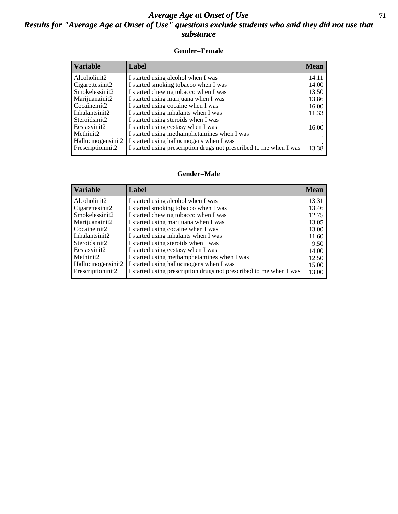#### *Average Age at Onset of Use* **71** *Results for "Average Age at Onset of Use" questions exclude students who said they did not use that substance*

#### **Gender=Female**

| <b>Variable</b>    | <b>Label</b>                                                       | <b>Mean</b> |
|--------------------|--------------------------------------------------------------------|-------------|
| Alcoholinit2       | I started using alcohol when I was                                 | 14.11       |
| Cigarettesinit2    | I started smoking tobacco when I was                               | 14.00       |
| Smokelessinit2     | I started chewing tobacco when I was                               | 13.50       |
| Marijuanainit2     | I started using marijuana when I was                               | 13.86       |
| Cocaineinit2       | I started using cocaine when I was                                 | 16.00       |
| Inhalantsinit2     | I started using inhalants when I was                               | 11.33       |
| Steroidsinit2      | I started using steroids when I was                                |             |
| Ecstasyinit2       | I started using ecstasy when I was                                 | 16.00       |
| Methinit2          | I started using methamphetamines when I was                        |             |
| Hallucinogensinit2 | I started using hallucinogens when I was                           |             |
| Prescription in t2 | I started using prescription drugs not prescribed to me when I was | 13.38       |

#### **Gender=Male**

| <b>Variable</b>    | Label                                                              | <b>Mean</b> |
|--------------------|--------------------------------------------------------------------|-------------|
| Alcoholinit2       | I started using alcohol when I was                                 | 13.31       |
| Cigarettesinit2    | I started smoking tobacco when I was                               | 13.46       |
| Smokelessinit2     | I started chewing tobacco when I was                               | 12.75       |
| Marijuanainit2     | I started using marijuana when I was                               | 13.05       |
| Cocaineinit2       | I started using cocaine when I was                                 | 13.00       |
| Inhalantsinit2     | I started using inhalants when I was                               | 11.60       |
| Steroidsinit2      | I started using steroids when I was                                | 9.50        |
| Ecstasyinit2       | I started using ecstasy when I was                                 | 14.00       |
| Methinit2          | I started using methamphetamines when I was                        | 12.50       |
| Hallucinogensinit2 | I started using hallucinogens when I was                           | 15.00       |
| Prescriptioninit2  | I started using prescription drugs not prescribed to me when I was | 13.00       |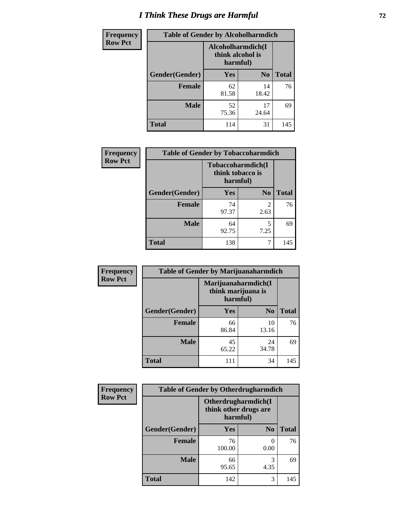# *I Think These Drugs are Harmful* **72**

| Frequency      | <b>Table of Gender by Alcoholharmdich</b> |                                                   |                |              |  |
|----------------|-------------------------------------------|---------------------------------------------------|----------------|--------------|--|
| <b>Row Pct</b> |                                           | Alcoholharmdich(I<br>think alcohol is<br>harmful) |                |              |  |
|                | Gender(Gender)                            | <b>Yes</b>                                        | N <sub>0</sub> | <b>Total</b> |  |
|                | <b>Female</b>                             | 62<br>81.58                                       | 14<br>18.42    | 76           |  |
|                | <b>Male</b>                               | 52<br>75.36                                       | 17<br>24.64    | 69           |  |
|                | <b>Total</b>                              | 114                                               | 31             | 145          |  |

| Frequency      | <b>Table of Gender by Tobaccoharmdich</b> |                                       |                |              |  |
|----------------|-------------------------------------------|---------------------------------------|----------------|--------------|--|
| <b>Row Pct</b> |                                           | Tobaccoharmdich(I<br>think tobacco is | harmful)       |              |  |
|                | Gender(Gender)                            | Yes                                   | N <sub>0</sub> | <b>Total</b> |  |
|                | <b>Female</b>                             | 74<br>97.37                           | 2<br>2.63      | 76           |  |
|                | <b>Male</b>                               | 64<br>92.75                           | 5<br>7.25      | 69           |  |
|                | <b>Total</b>                              | 138                                   | 7              | 145          |  |

| Frequency      | <b>Table of Gender by Marijuanaharmdich</b> |                                                       |                |              |  |
|----------------|---------------------------------------------|-------------------------------------------------------|----------------|--------------|--|
| <b>Row Pct</b> |                                             | Marijuanaharmdich(I<br>think marijuana is<br>harmful) |                |              |  |
|                | Gender(Gender)                              | <b>Yes</b>                                            | N <sub>0</sub> | <b>Total</b> |  |
|                | <b>Female</b>                               | 66<br>86.84                                           | 10<br>13.16    | 76           |  |
|                | <b>Male</b>                                 | 45<br>65.22                                           | 24<br>34.78    | 69           |  |
|                | <b>Total</b>                                | 111                                                   | 34             | 145          |  |

| Frequency      | <b>Table of Gender by Otherdrugharmdich</b> |                                   |                     |              |  |
|----------------|---------------------------------------------|-----------------------------------|---------------------|--------------|--|
| <b>Row Pct</b> |                                             | think other drugs are<br>harmful) | Otherdrugharmdich(I |              |  |
|                | Gender(Gender)                              | <b>Yes</b>                        | N <sub>0</sub>      | <b>Total</b> |  |
|                | <b>Female</b>                               | 76<br>100.00                      | 0.00                | 76           |  |
|                | <b>Male</b>                                 | 66<br>95.65                       | 3<br>4.35           | 69           |  |
|                | <b>Total</b>                                | 142                               | 3                   | 145          |  |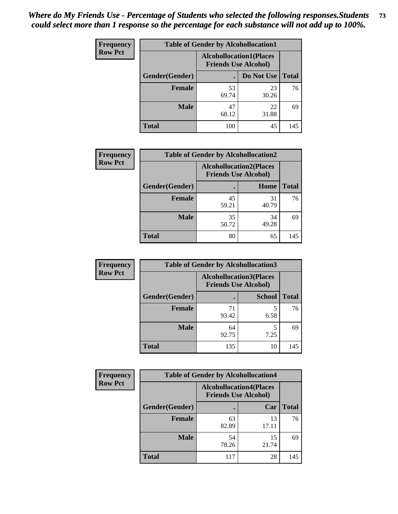| <b>Frequency</b> | <b>Table of Gender by Alcohollocation1</b> |                                                               |             |              |
|------------------|--------------------------------------------|---------------------------------------------------------------|-------------|--------------|
| <b>Row Pct</b>   |                                            | <b>Alcohollocation1(Places</b><br><b>Friends Use Alcohol)</b> |             |              |
|                  | Gender(Gender)                             |                                                               | Do Not Use  | <b>Total</b> |
|                  | <b>Female</b>                              | 53<br>69.74                                                   | 23<br>30.26 | 76           |
|                  | <b>Male</b>                                | 47<br>68.12                                                   | 22<br>31.88 | 69           |
|                  | <b>Total</b>                               | 100                                                           | 45          | 145          |

| <b>Frequency</b> | <b>Table of Gender by Alcohollocation2</b> |             |                                                               |              |
|------------------|--------------------------------------------|-------------|---------------------------------------------------------------|--------------|
| <b>Row Pct</b>   |                                            |             | <b>Alcohollocation2(Places</b><br><b>Friends Use Alcohol)</b> |              |
|                  | Gender(Gender)                             |             | Home                                                          | <b>Total</b> |
|                  | <b>Female</b>                              | 45<br>59.21 | 31<br>40.79                                                   | 76           |
|                  | <b>Male</b>                                | 35<br>50.72 | 34<br>49.28                                                   | 69           |
|                  | <b>Total</b>                               | 80          | 65                                                            | 145          |

| Frequency      | <b>Table of Gender by Alcohollocation3</b> |                                                               |               |              |
|----------------|--------------------------------------------|---------------------------------------------------------------|---------------|--------------|
| <b>Row Pct</b> |                                            | <b>Alcohollocation3(Places</b><br><b>Friends Use Alcohol)</b> |               |              |
|                | Gender(Gender)                             |                                                               | <b>School</b> | <b>Total</b> |
|                | <b>Female</b>                              | 71<br>93.42                                                   | 6.58          | 76           |
|                | <b>Male</b>                                | 64<br>92.75                                                   | 7.25          | 69           |
|                | <b>Total</b>                               | 135                                                           | 10            | 145          |

| <b>Frequency</b> | <b>Table of Gender by Alcohollocation4</b> |                                                               |             |              |  |
|------------------|--------------------------------------------|---------------------------------------------------------------|-------------|--------------|--|
| <b>Row Pct</b>   |                                            | <b>Alcohollocation4(Places</b><br><b>Friends Use Alcohol)</b> |             |              |  |
|                  | Gender(Gender)                             |                                                               | Car         | <b>Total</b> |  |
|                  | <b>Female</b>                              | 63<br>82.89                                                   | 13<br>17.11 | 76           |  |
|                  | <b>Male</b>                                | 54<br>78.26                                                   | 15<br>21.74 | 69           |  |
|                  | <b>Total</b>                               | 117                                                           | 28          | 145          |  |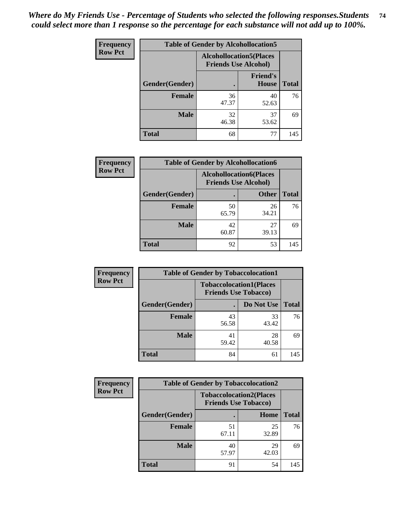| <b>Frequency</b> | <b>Table of Gender by Alcohollocation5</b> |                                                                |                                 |              |
|------------------|--------------------------------------------|----------------------------------------------------------------|---------------------------------|--------------|
| <b>Row Pct</b>   |                                            | <b>Alcohollocation5</b> (Places<br><b>Friends Use Alcohol)</b> |                                 |              |
|                  | Gender(Gender)                             |                                                                | <b>Friend's</b><br><b>House</b> | <b>Total</b> |
|                  | <b>Female</b>                              | 36<br>47.37                                                    | 40<br>52.63                     | 76           |
|                  | <b>Male</b>                                | 32<br>46.38                                                    | 37<br>53.62                     | 69           |
|                  | <b>Total</b>                               | 68                                                             | 77                              | 145          |

| <b>Frequency</b> | <b>Table of Gender by Alcohollocation6</b> |                                                               |              |              |
|------------------|--------------------------------------------|---------------------------------------------------------------|--------------|--------------|
| <b>Row Pct</b>   |                                            | <b>Alcohollocation6(Places</b><br><b>Friends Use Alcohol)</b> |              |              |
|                  | <b>Gender</b> (Gender)                     |                                                               | <b>Other</b> | <b>Total</b> |
|                  | <b>Female</b>                              | 50<br>65.79                                                   | 26<br>34.21  | 76           |
|                  | <b>Male</b>                                | 42<br>60.87                                                   | 27<br>39.13  | 69           |
|                  | <b>Total</b>                               | 92                                                            | 53           | 145          |

| Frequency      | <b>Table of Gender by Tobaccolocation1</b> |                                                               |             |              |  |
|----------------|--------------------------------------------|---------------------------------------------------------------|-------------|--------------|--|
| <b>Row Pct</b> |                                            | <b>Tobaccolocation1(Places</b><br><b>Friends Use Tobacco)</b> |             |              |  |
|                | Gender(Gender)                             |                                                               | Do Not Use  | <b>Total</b> |  |
|                | <b>Female</b>                              | 43<br>56.58                                                   | 33<br>43.42 | 76           |  |
|                | <b>Male</b>                                | 41<br>59.42                                                   | 28<br>40.58 | 69           |  |
|                | <b>Total</b>                               | 84                                                            | 61          | 145          |  |

| <b>Frequency</b> | <b>Table of Gender by Tobaccolocation2</b> |                                                               |             |              |  |
|------------------|--------------------------------------------|---------------------------------------------------------------|-------------|--------------|--|
| <b>Row Pct</b>   |                                            | <b>Tobaccolocation2(Places</b><br><b>Friends Use Tobacco)</b> |             |              |  |
|                  | Gender(Gender)                             |                                                               | Home        | <b>Total</b> |  |
|                  | Female                                     | 51<br>67.11                                                   | 25<br>32.89 | 76           |  |
|                  | <b>Male</b>                                | 40<br>57.97                                                   | 29<br>42.03 | 69           |  |
|                  | <b>Total</b>                               | 91                                                            | 54          | 145          |  |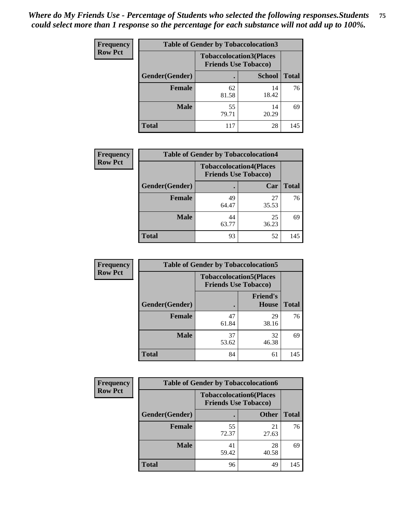| <b>Frequency</b> | <b>Table of Gender by Tobaccolocation3</b> |                             |                                |              |
|------------------|--------------------------------------------|-----------------------------|--------------------------------|--------------|
| <b>Row Pct</b>   |                                            | <b>Friends Use Tobacco)</b> | <b>Tobaccolocation3(Places</b> |              |
|                  | Gender(Gender)                             |                             | <b>School</b>                  | <b>Total</b> |
|                  | Female                                     | 62<br>81.58                 | 14<br>18.42                    | 76           |
|                  | <b>Male</b>                                | 55<br>79.71                 | 14<br>20.29                    | 69           |
|                  | Total                                      | 117                         | 28                             | 145          |

| <b>Frequency</b> | <b>Table of Gender by Tobaccolocation4</b> |                                                               |             |              |
|------------------|--------------------------------------------|---------------------------------------------------------------|-------------|--------------|
| <b>Row Pct</b>   |                                            | <b>Tobaccolocation4(Places</b><br><b>Friends Use Tobacco)</b> |             |              |
|                  | Gender(Gender)                             |                                                               | Car         | <b>Total</b> |
|                  | <b>Female</b>                              | 49<br>64.47                                                   | 27<br>35.53 | 76           |
|                  | <b>Male</b>                                | 44<br>63.77                                                   | 25<br>36.23 | 69           |
|                  | <b>Total</b>                               | 93                                                            | 52          | 145          |

| <b>Frequency</b> | <b>Table of Gender by Tobaccolocation5</b> |                                                               |                                 |              |
|------------------|--------------------------------------------|---------------------------------------------------------------|---------------------------------|--------------|
| <b>Row Pct</b>   |                                            | <b>Tobaccolocation5(Places</b><br><b>Friends Use Tobacco)</b> |                                 |              |
|                  | Gender(Gender)                             |                                                               | <b>Friend's</b><br><b>House</b> | <b>Total</b> |
|                  | Female                                     | 47<br>61.84                                                   | 29<br>38.16                     | 76           |
|                  | <b>Male</b>                                | 37<br>53.62                                                   | 32<br>46.38                     | 69           |
|                  | <b>Total</b>                               | 84                                                            | 61                              | 145          |

| <b>Frequency</b> | <b>Table of Gender by Tobaccolocation6</b> |                                                               |              |              |
|------------------|--------------------------------------------|---------------------------------------------------------------|--------------|--------------|
| <b>Row Pct</b>   |                                            | <b>Tobaccolocation6(Places</b><br><b>Friends Use Tobacco)</b> |              |              |
|                  | Gender(Gender)                             |                                                               | <b>Other</b> | <b>Total</b> |
|                  | Female                                     | 55<br>72.37                                                   | 21<br>27.63  | 76           |
|                  | <b>Male</b>                                | 41<br>59.42                                                   | 28<br>40.58  | 69           |
|                  | <b>Total</b>                               | 96                                                            | 49           | 145          |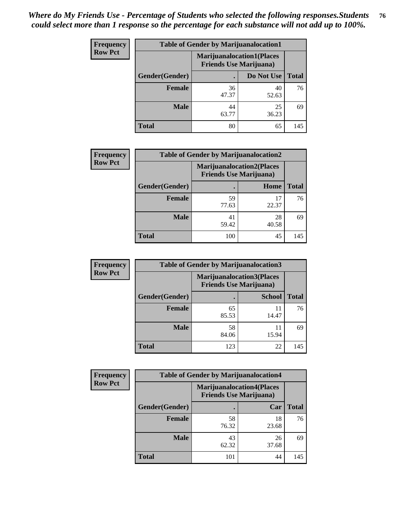| <b>Frequency</b> | <b>Table of Gender by Marijuanalocation1</b> |                                                                    |             |              |
|------------------|----------------------------------------------|--------------------------------------------------------------------|-------------|--------------|
| <b>Row Pct</b>   |                                              | <b>Marijuanalocation1(Places</b><br><b>Friends Use Marijuana</b> ) |             |              |
|                  | Gender(Gender)                               |                                                                    | Do Not Use  | <b>Total</b> |
|                  | <b>Female</b>                                | 36<br>47.37                                                        | 40<br>52.63 | 76           |
|                  | <b>Male</b>                                  | 44<br>63.77                                                        | 25<br>36.23 | 69           |
|                  | Total                                        | 80                                                                 | 65          | 145          |

| <b>Frequency</b> | <b>Table of Gender by Marijuanalocation2</b> |                                                                    |             |              |
|------------------|----------------------------------------------|--------------------------------------------------------------------|-------------|--------------|
| <b>Row Pct</b>   |                                              | <b>Marijuanalocation2(Places</b><br><b>Friends Use Marijuana</b> ) |             |              |
|                  | Gender(Gender)                               |                                                                    | Home        | <b>Total</b> |
|                  | Female                                       | 59<br>77.63                                                        | 22.37       | 76           |
|                  | <b>Male</b>                                  | 41<br>59.42                                                        | 28<br>40.58 | 69           |
|                  | <b>Total</b>                                 | 100                                                                | 45          | 145          |

| Frequency      | <b>Table of Gender by Marijuanalocation3</b> |                                                                    |               |              |
|----------------|----------------------------------------------|--------------------------------------------------------------------|---------------|--------------|
| <b>Row Pct</b> |                                              | <b>Marijuanalocation3(Places</b><br><b>Friends Use Marijuana</b> ) |               |              |
|                | Gender(Gender)                               |                                                                    | <b>School</b> | <b>Total</b> |
|                | Female                                       | 65<br>85.53                                                        | 11<br>14.47   | 76           |
|                | <b>Male</b>                                  | 58<br>84.06                                                        | 11<br>15.94   | 69           |
|                | <b>Total</b>                                 | 123                                                                | 22            | 145          |

| <b>Frequency</b> | <b>Table of Gender by Marijuanalocation4</b> |                                                                    |             |              |
|------------------|----------------------------------------------|--------------------------------------------------------------------|-------------|--------------|
| <b>Row Pct</b>   |                                              | <b>Marijuanalocation4(Places</b><br><b>Friends Use Marijuana</b> ) |             |              |
|                  | Gender(Gender)                               |                                                                    | Car         | <b>Total</b> |
|                  | <b>Female</b>                                | 58<br>76.32                                                        | 18<br>23.68 | 76           |
|                  | <b>Male</b>                                  | 43<br>62.32                                                        | 26<br>37.68 | 69           |
|                  | <b>Total</b>                                 | 101                                                                | 44          | 145          |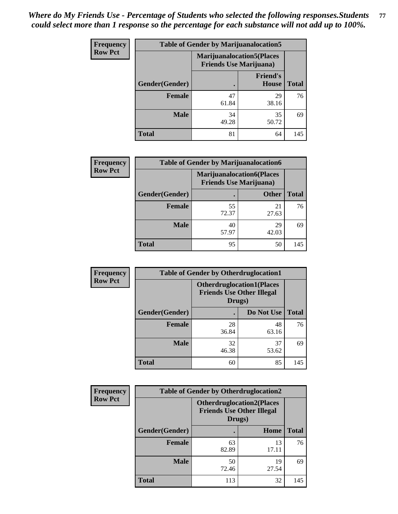| <b>Frequency</b> | <b>Table of Gender by Marijuanalocation5</b> |                                                                    |                          |              |
|------------------|----------------------------------------------|--------------------------------------------------------------------|--------------------------|--------------|
| <b>Row Pct</b>   |                                              | <b>Marijuanalocation5(Places</b><br><b>Friends Use Marijuana</b> ) |                          |              |
|                  | Gender(Gender)                               |                                                                    | <b>Friend's</b><br>House | <b>Total</b> |
|                  | <b>Female</b>                                | 47<br>61.84                                                        | 29<br>38.16              | 76           |
|                  | <b>Male</b>                                  | 34<br>49.28                                                        | 35<br>50.72              | 69           |
|                  | <b>Total</b>                                 | 81                                                                 | 64                       | 145          |

| <b>Frequency</b> | <b>Table of Gender by Marijuanalocation6</b> |                                                                    |              |              |  |
|------------------|----------------------------------------------|--------------------------------------------------------------------|--------------|--------------|--|
| <b>Row Pct</b>   |                                              | <b>Marijuanalocation6(Places</b><br><b>Friends Use Marijuana</b> ) |              |              |  |
|                  | <b>Gender</b> (Gender)                       |                                                                    | <b>Other</b> | <b>Total</b> |  |
|                  | <b>Female</b>                                | 55<br>72.37                                                        | 21<br>27.63  | 76           |  |
|                  | <b>Male</b>                                  | 40<br>57.97                                                        | 29<br>42.03  | 69           |  |
|                  | <b>Total</b>                                 | 95                                                                 | 50           | 145          |  |

| <b>Frequency</b> | <b>Table of Gender by Otherdruglocation1</b> |                                                                                |             |              |
|------------------|----------------------------------------------|--------------------------------------------------------------------------------|-------------|--------------|
| <b>Row Pct</b>   |                                              | <b>Otherdruglocation1(Places</b><br><b>Friends Use Other Illegal</b><br>Drugs) |             |              |
|                  | Gender(Gender)                               |                                                                                | Do Not Use  | <b>Total</b> |
|                  | <b>Female</b>                                | 28<br>36.84                                                                    | 48<br>63.16 | 76           |
|                  | <b>Male</b>                                  | 32<br>46.38                                                                    | 37<br>53.62 | 69           |
|                  | <b>Total</b>                                 | 60                                                                             | 85          | 145          |

| <b>Frequency</b> | <b>Table of Gender by Otherdruglocation2</b> |                                            |                                  |              |
|------------------|----------------------------------------------|--------------------------------------------|----------------------------------|--------------|
| <b>Row Pct</b>   |                                              | <b>Friends Use Other Illegal</b><br>Drugs) | <b>Otherdruglocation2(Places</b> |              |
|                  | Gender(Gender)                               |                                            | Home                             | <b>Total</b> |
|                  | <b>Female</b>                                | 63<br>82.89                                | 13<br>17.11                      | 76           |
|                  | <b>Male</b>                                  | 50<br>72.46                                | 19<br>27.54                      | 69           |
|                  | <b>Total</b>                                 | 113                                        | 32                               | 145          |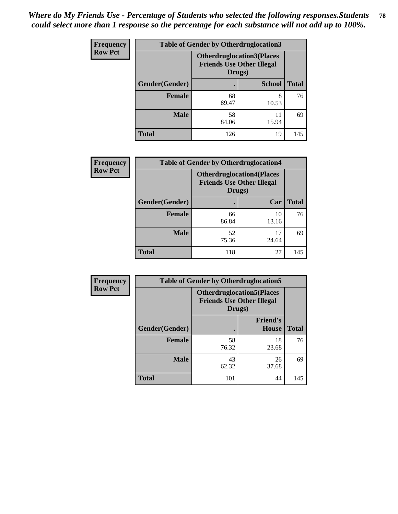| Frequency      | <b>Table of Gender by Otherdruglocation3</b> |                                                                                |               |              |
|----------------|----------------------------------------------|--------------------------------------------------------------------------------|---------------|--------------|
| <b>Row Pct</b> |                                              | <b>Otherdruglocation3(Places</b><br><b>Friends Use Other Illegal</b><br>Drugs) |               |              |
|                | Gender(Gender)                               |                                                                                | <b>School</b> | <b>Total</b> |
|                | Female                                       | 68<br>89.47                                                                    | 8<br>10.53    | 76           |
|                | <b>Male</b>                                  | 58<br>84.06                                                                    | 11<br>15.94   | 69           |
|                | <b>Total</b>                                 | 126                                                                            | 19            | 145          |

| Frequency      | <b>Table of Gender by Otherdruglocation4</b> |                                                                                |             |              |
|----------------|----------------------------------------------|--------------------------------------------------------------------------------|-------------|--------------|
| <b>Row Pct</b> |                                              | <b>Otherdruglocation4(Places</b><br><b>Friends Use Other Illegal</b><br>Drugs) |             |              |
|                | Gender(Gender)                               |                                                                                | Car         | <b>Total</b> |
|                | <b>Female</b>                                | 66<br>86.84                                                                    | 10<br>13.16 | 76           |
|                | <b>Male</b>                                  | 52<br>75.36                                                                    | 17<br>24.64 | 69           |
|                | <b>Total</b>                                 | 118                                                                            | 27          | 145          |

| <b>Frequency</b> | <b>Table of Gender by Otherdruglocation5</b> |             |                                                                      |              |
|------------------|----------------------------------------------|-------------|----------------------------------------------------------------------|--------------|
| <b>Row Pct</b>   |                                              | Drugs)      | <b>Otherdruglocation5(Places</b><br><b>Friends Use Other Illegal</b> |              |
|                  | Gender(Gender)                               |             | <b>Friend's</b><br><b>House</b>                                      | <b>Total</b> |
|                  | <b>Female</b>                                | 58<br>76.32 | 18<br>23.68                                                          | 76           |
|                  | <b>Male</b>                                  | 43<br>62.32 | 26<br>37.68                                                          | 69           |
|                  | <b>Total</b>                                 | 101         | 44                                                                   | 145          |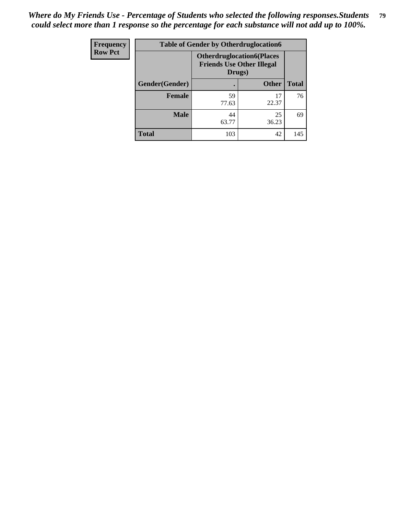| <b>Frequency</b> | <b>Table of Gender by Otherdruglocation6</b> |                                            |                                  |              |
|------------------|----------------------------------------------|--------------------------------------------|----------------------------------|--------------|
| <b>Row Pct</b>   |                                              | <b>Friends Use Other Illegal</b><br>Drugs) | <b>Otherdruglocation6(Places</b> |              |
|                  | Gender(Gender)                               |                                            | <b>Other</b>                     | <b>Total</b> |
|                  | <b>Female</b>                                | 59<br>77.63                                | 17<br>22.37                      | 76           |
|                  | <b>Male</b>                                  | 44<br>63.77                                | 25<br>36.23                      | 69           |
|                  | <b>Total</b>                                 | 103                                        | 42                               | 145          |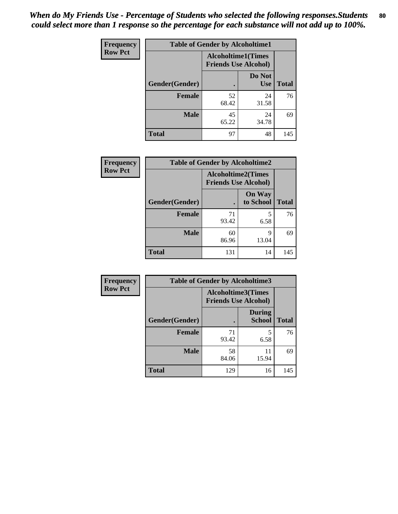| Frequency      | <b>Table of Gender by Alcoholtime1</b> |                                                          |                      |              |
|----------------|----------------------------------------|----------------------------------------------------------|----------------------|--------------|
| <b>Row Pct</b> |                                        | <b>Alcoholtime1(Times</b><br><b>Friends Use Alcohol)</b> |                      |              |
|                | Gender(Gender)                         | ٠                                                        | Do Not<br><b>Use</b> | <b>Total</b> |
|                | <b>Female</b>                          | 52<br>68.42                                              | 24<br>31.58          | 76           |
|                | <b>Male</b>                            | 45<br>65.22                                              | 24<br>34.78          | 69           |
|                | <b>Total</b>                           | 97                                                       | 48                   | 145          |

| <b>Frequency</b> | <b>Table of Gender by Alcoholtime2</b> |                                                          |                            |              |
|------------------|----------------------------------------|----------------------------------------------------------|----------------------------|--------------|
| <b>Row Pct</b>   |                                        | <b>Alcoholtime2(Times</b><br><b>Friends Use Alcohol)</b> |                            |              |
|                  | Gender(Gender)                         |                                                          | <b>On Way</b><br>to School | <b>Total</b> |
|                  | <b>Female</b>                          | 71<br>93.42                                              | 5<br>6.58                  | 76           |
|                  | <b>Male</b>                            | 60<br>86.96                                              | 9<br>13.04                 | 69           |
|                  | <b>Total</b>                           | 131                                                      | 14                         | 145          |

| Frequency      | <b>Table of Gender by Alcoholtime3</b> |                                                   |                                |              |
|----------------|----------------------------------------|---------------------------------------------------|--------------------------------|--------------|
| <b>Row Pct</b> |                                        | Alcoholtime3(Times<br><b>Friends Use Alcohol)</b> |                                |              |
|                | Gender(Gender)                         |                                                   | <b>During</b><br><b>School</b> | <b>Total</b> |
|                | Female                                 | 71<br>93.42                                       | 5<br>6.58                      | 76           |
|                | <b>Male</b>                            | 58<br>84.06                                       | 11<br>15.94                    | 69           |
|                | <b>Total</b>                           | 129                                               | 16                             | 145          |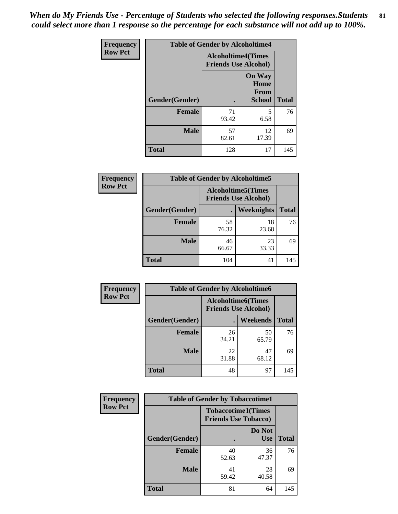*When do My Friends Use - Percentage of Students who selected the following responses.Students could select more than 1 response so the percentage for each substance will not add up to 100%.* **81**

| <b>Frequency</b> | <b>Table of Gender by Alcoholtime4</b> |                                                          |                                                |              |
|------------------|----------------------------------------|----------------------------------------------------------|------------------------------------------------|--------------|
| <b>Row Pct</b>   |                                        | <b>Alcoholtime4(Times</b><br><b>Friends Use Alcohol)</b> |                                                |              |
|                  | Gender(Gender)                         | $\bullet$                                                | <b>On Way</b><br>Home<br>From<br><b>School</b> | <b>Total</b> |
|                  | <b>Female</b>                          | 71<br>93.42                                              | 5<br>6.58                                      | 76           |
|                  | <b>Male</b>                            | 57<br>82.61                                              | 12<br>17.39                                    | 69           |
|                  | <b>Total</b>                           | 128                                                      | 17                                             | 145          |

| <b>Frequency</b> | <b>Table of Gender by Alcoholtime5</b> |                                                           |             |              |
|------------------|----------------------------------------|-----------------------------------------------------------|-------------|--------------|
| <b>Row Pct</b>   |                                        | <b>Alcoholtime5</b> (Times<br><b>Friends Use Alcohol)</b> |             |              |
|                  | Gender(Gender)                         |                                                           | Weeknights  | <b>Total</b> |
|                  | <b>Female</b>                          | 58<br>76.32                                               | 18<br>23.68 | 76           |
|                  | <b>Male</b>                            | 46<br>66.67                                               | 23<br>33.33 | 69           |
|                  | <b>Total</b>                           | 104                                                       | 41          | 145          |

| <b>Frequency</b> | <b>Table of Gender by Alcoholtime6</b> |             |                                                          |              |  |
|------------------|----------------------------------------|-------------|----------------------------------------------------------|--------------|--|
| <b>Row Pct</b>   |                                        |             | <b>Alcoholtime6(Times</b><br><b>Friends Use Alcohol)</b> |              |  |
|                  | Gender(Gender)                         |             | <b>Weekends</b>                                          | <b>Total</b> |  |
|                  | Female                                 | 26<br>34.21 | 50<br>65.79                                              | 76           |  |
|                  | <b>Male</b>                            | 22<br>31.88 | 47<br>68.12                                              | 69           |  |
|                  | <b>Total</b>                           | 48          | 97                                                       | 145          |  |

| Frequency      | <b>Table of Gender by Tobaccotime1</b> |                                                          |                      |              |
|----------------|----------------------------------------|----------------------------------------------------------|----------------------|--------------|
| <b>Row Pct</b> |                                        | <b>Tobaccotime1(Times</b><br><b>Friends Use Tobacco)</b> |                      |              |
|                | Gender(Gender)                         |                                                          | Do Not<br><b>Use</b> | <b>Total</b> |
|                | <b>Female</b>                          | 40<br>52.63                                              | 36<br>47.37          | 76           |
|                | <b>Male</b>                            | 41<br>59.42                                              | 28<br>40.58          | 69           |
|                | <b>Total</b>                           | 81                                                       | 64                   | 145          |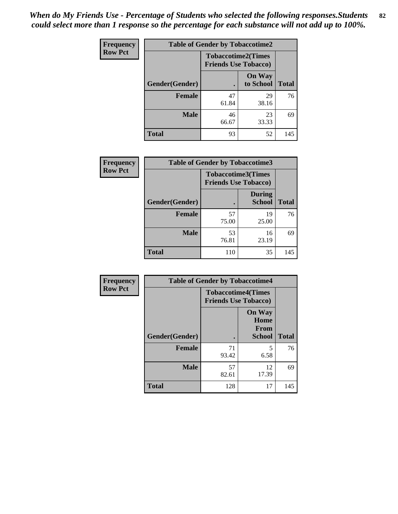| Frequency      | <b>Table of Gender by Tobaccotime2</b> |                                                          |                            |              |
|----------------|----------------------------------------|----------------------------------------------------------|----------------------------|--------------|
| <b>Row Pct</b> |                                        | <b>Tobaccotime2(Times</b><br><b>Friends Use Tobacco)</b> |                            |              |
|                | Gender(Gender)                         | $\bullet$                                                | <b>On Way</b><br>to School | <b>Total</b> |
|                | Female                                 | 47<br>61.84                                              | 29<br>38.16                | 76           |
|                | <b>Male</b>                            | 46<br>66.67                                              | 23<br>33.33                | 69           |
|                | <b>Total</b>                           | 93                                                       | 52                         | 145          |

| Frequency      | <b>Table of Gender by Tobaccotime3</b> |                                                          |                                |              |
|----------------|----------------------------------------|----------------------------------------------------------|--------------------------------|--------------|
| <b>Row Pct</b> |                                        | <b>Tobaccotime3(Times</b><br><b>Friends Use Tobacco)</b> |                                |              |
|                | Gender(Gender)                         |                                                          | <b>During</b><br><b>School</b> | <b>Total</b> |
|                | <b>Female</b>                          | 57<br>75.00                                              | 19<br>25.00                    | 76           |
|                | <b>Male</b>                            | 53<br>76.81                                              | 16<br>23.19                    | 69           |
|                | <b>Total</b>                           | 110                                                      | 35                             | 145          |

| Frequency      | <b>Table of Gender by Tobaccotime4</b> |                                                          |                                                |              |
|----------------|----------------------------------------|----------------------------------------------------------|------------------------------------------------|--------------|
| <b>Row Pct</b> |                                        | <b>Tobaccotime4(Times</b><br><b>Friends Use Tobacco)</b> |                                                |              |
|                | Gender(Gender)                         |                                                          | <b>On Way</b><br>Home<br>From<br><b>School</b> | <b>Total</b> |
|                | <b>Female</b>                          | 71<br>93.42                                              | 5<br>6.58                                      | 76           |
|                | <b>Male</b>                            | 57<br>82.61                                              | 12<br>17.39                                    | 69           |
|                | <b>Total</b>                           | 128                                                      | 17                                             | 145          |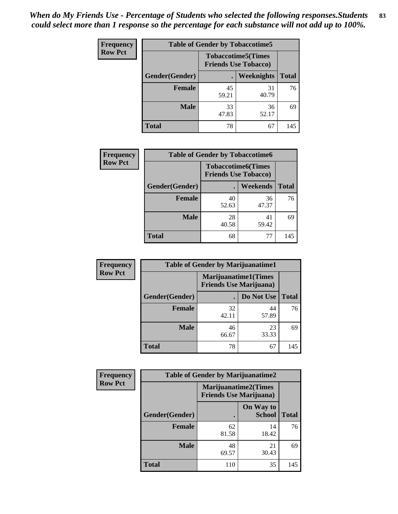| Frequency      | <b>Table of Gender by Tobaccotime5</b> |             |                                                           |              |  |
|----------------|----------------------------------------|-------------|-----------------------------------------------------------|--------------|--|
| <b>Row Pct</b> |                                        |             | <b>Tobaccotime5</b> (Times<br><b>Friends Use Tobacco)</b> |              |  |
|                | Gender(Gender)                         |             | Weeknights                                                | <b>Total</b> |  |
|                | Female                                 | 45<br>59.21 | 31<br>40.79                                               | 76           |  |
|                | <b>Male</b>                            | 33<br>47.83 | 36<br>52.17                                               | 69           |  |
|                | <b>Total</b>                           | 78          | 67                                                        | 145          |  |

| <b>Frequency</b> | <b>Table of Gender by Tobaccotime6</b> |                             |                           |              |
|------------------|----------------------------------------|-----------------------------|---------------------------|--------------|
| <b>Row Pct</b>   |                                        | <b>Friends Use Tobacco)</b> | <b>Tobaccotime6(Times</b> |              |
|                  | Gender(Gender)                         |                             | <b>Weekends</b>           | <b>Total</b> |
|                  | Female                                 | 40<br>52.63                 | 36<br>47.37               | 76           |
|                  | <b>Male</b>                            | 28<br>40.58                 | 41<br>59.42               | 69           |
|                  | <b>Total</b>                           | 68                          | 77                        | 145          |

| <b>Frequency</b> | <b>Table of Gender by Marijuanatime1</b> |                                                               |             |              |
|------------------|------------------------------------------|---------------------------------------------------------------|-------------|--------------|
| <b>Row Pct</b>   |                                          | <b>Marijuanatime1(Times</b><br><b>Friends Use Marijuana</b> ) |             |              |
|                  | Gender(Gender)                           |                                                               | Do Not Use  | <b>Total</b> |
|                  | <b>Female</b>                            | 32<br>42.11                                                   | 44<br>57.89 | 76           |
|                  | <b>Male</b>                              | 46<br>66.67                                                   | 23<br>33.33 | 69           |
|                  | <b>Total</b>                             | 78                                                            | 67          | 145          |

| <b>Frequency</b> | <b>Table of Gender by Marijuanatime2</b> |                                                               |                            |              |
|------------------|------------------------------------------|---------------------------------------------------------------|----------------------------|--------------|
| <b>Row Pct</b>   |                                          | <b>Marijuanatime2(Times</b><br><b>Friends Use Marijuana</b> ) |                            |              |
|                  | Gender(Gender)                           |                                                               | On Way to<br><b>School</b> | <b>Total</b> |
|                  | <b>Female</b>                            | 62<br>81.58                                                   | 14<br>18.42                | 76           |
|                  | <b>Male</b>                              | 48<br>69.57                                                   | 21<br>30.43                | 69           |
|                  | <b>Total</b>                             | 110                                                           | 35                         | 145          |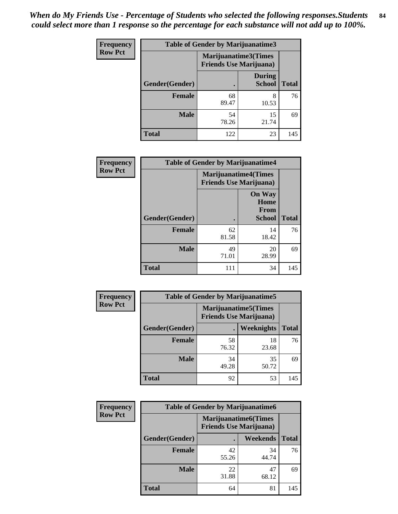| <b>Frequency</b> | <b>Table of Gender by Marijuanatime3</b> |                                                        |                         |              |
|------------------|------------------------------------------|--------------------------------------------------------|-------------------------|--------------|
| <b>Row Pct</b>   |                                          | Marijuanatime3(Times<br><b>Friends Use Marijuana</b> ) |                         |              |
|                  | Gender(Gender)                           |                                                        | During<br><b>School</b> | <b>Total</b> |
|                  | <b>Female</b>                            | 68<br>89.47                                            | 8<br>10.53              | 76           |
|                  | <b>Male</b>                              | 54<br>78.26                                            | 15<br>21.74             | 69           |
|                  | <b>Total</b>                             | 122                                                    | 23                      | 145          |

| Frequency      | <b>Table of Gender by Marijuanatime4</b> |                                                                |                                                |              |
|----------------|------------------------------------------|----------------------------------------------------------------|------------------------------------------------|--------------|
| <b>Row Pct</b> |                                          | <b>Marijuanatime4</b> (Times<br><b>Friends Use Marijuana</b> ) |                                                |              |
|                | Gender(Gender)                           |                                                                | <b>On Way</b><br>Home<br>From<br><b>School</b> | <b>Total</b> |
|                | <b>Female</b>                            | 62<br>81.58                                                    | 14<br>18.42                                    | 76           |
|                | <b>Male</b>                              | 49<br>71.01                                                    | 20<br>28.99                                    | 69           |
|                | <b>Total</b>                             | 111                                                            | 34                                             | 145          |

| Frequency      | <b>Table of Gender by Marijuanatime5</b> |             |                                                                |              |  |
|----------------|------------------------------------------|-------------|----------------------------------------------------------------|--------------|--|
| <b>Row Pct</b> |                                          |             | <b>Marijuanatime5</b> (Times<br><b>Friends Use Marijuana</b> ) |              |  |
|                | Gender(Gender)                           |             | <b>Weeknights</b>                                              | <b>Total</b> |  |
|                | <b>Female</b>                            | 58<br>76.32 | 18<br>23.68                                                    | 76           |  |
|                | <b>Male</b>                              | 34<br>49.28 | 35<br>50.72                                                    | 69           |  |
|                | <b>Total</b>                             | 92          | 53                                                             | 145          |  |

| Frequency      | <b>Table of Gender by Marijuanatime6</b> |                                                               |                 |              |
|----------------|------------------------------------------|---------------------------------------------------------------|-----------------|--------------|
| <b>Row Pct</b> |                                          | <b>Marijuanatime6(Times</b><br><b>Friends Use Marijuana</b> ) |                 |              |
|                | Gender(Gender)                           |                                                               | <b>Weekends</b> | <b>Total</b> |
|                | <b>Female</b>                            | 42<br>55.26                                                   | 34<br>44.74     | 76           |
|                | <b>Male</b>                              | 22<br>31.88                                                   | 47<br>68.12     | 69           |
|                | <b>Total</b>                             | 64                                                            | 81              | 145          |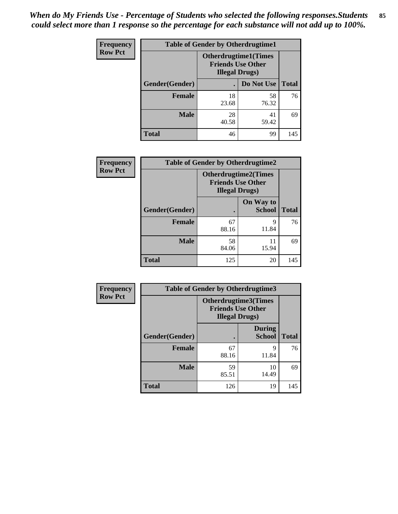| <b>Frequency</b> | <b>Table of Gender by Otherdrugtime1</b> |                                                    |                              |     |  |
|------------------|------------------------------------------|----------------------------------------------------|------------------------------|-----|--|
| <b>Row Pct</b>   |                                          | <b>Friends Use Other</b><br><b>Illegal Drugs</b> ) | <b>Otherdrugtime1</b> (Times |     |  |
|                  | Gender(Gender)                           |                                                    | Do Not Use   Total           |     |  |
|                  | <b>Female</b>                            | 18<br>23.68                                        | 58<br>76.32                  | 76  |  |
|                  | <b>Male</b>                              | 28<br>40.58                                        | 41<br>59.42                  | 69  |  |
|                  | <b>Total</b>                             | 46                                                 | 99                           | 145 |  |

| Frequency      | <b>Table of Gender by Otherdrugtime2</b> |                                                                                   |                            |              |
|----------------|------------------------------------------|-----------------------------------------------------------------------------------|----------------------------|--------------|
| <b>Row Pct</b> |                                          | <b>Otherdrugtime2(Times</b><br><b>Friends Use Other</b><br><b>Illegal Drugs</b> ) |                            |              |
|                | Gender(Gender)                           |                                                                                   | On Way to<br><b>School</b> | <b>Total</b> |
|                | <b>Female</b>                            | 67<br>88.16                                                                       | 9<br>11.84                 | 76           |
|                | <b>Male</b>                              | 58<br>84.06                                                                       | 11<br>15.94                | 69           |
|                | <b>Total</b>                             | 125                                                                               | 20                         | 145          |

| Frequency      |                | <b>Table of Gender by Otherdrugtime3</b> |                                                  |              |  |
|----------------|----------------|------------------------------------------|--------------------------------------------------|--------------|--|
| <b>Row Pct</b> |                | <b>Illegal Drugs</b> )                   | Otherdrugtime3(Times<br><b>Friends Use Other</b> |              |  |
|                | Gender(Gender) |                                          | <b>During</b><br><b>School</b>                   | <b>Total</b> |  |
|                | <b>Female</b>  | 67<br>88.16                              | 9<br>11.84                                       | 76           |  |
|                | <b>Male</b>    | 59<br>85.51                              | 10<br>14.49                                      | 69           |  |
|                | <b>Total</b>   | 126                                      | 19                                               | 145          |  |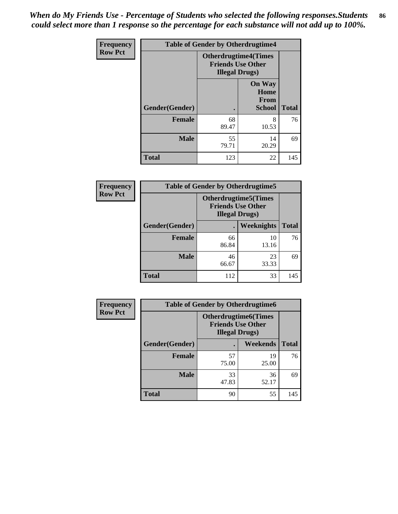*When do My Friends Use - Percentage of Students who selected the following responses.Students could select more than 1 response so the percentage for each substance will not add up to 100%.* **86**

| <b>Frequency</b> | <b>Table of Gender by Otherdrugtime4</b> |                                                    |                                                |              |
|------------------|------------------------------------------|----------------------------------------------------|------------------------------------------------|--------------|
| <b>Row Pct</b>   |                                          | <b>Friends Use Other</b><br><b>Illegal Drugs</b> ) | <b>Otherdrugtime4(Times</b>                    |              |
|                  | Gender(Gender)                           |                                                    | <b>On Way</b><br>Home<br>From<br><b>School</b> | <b>Total</b> |
|                  | <b>Female</b>                            | 68<br>89.47                                        | 8<br>10.53                                     | 76           |
|                  | <b>Male</b>                              | 55<br>79.71                                        | 14<br>20.29                                    | 69           |
|                  | <b>Total</b>                             | 123                                                | 22                                             | 145          |

| <b>Frequency</b> | <b>Table of Gender by Otherdrugtime5</b> |                                                                                    |             |              |
|------------------|------------------------------------------|------------------------------------------------------------------------------------|-------------|--------------|
| <b>Row Pct</b>   |                                          | <b>Otherdrugtime5</b> (Times<br><b>Friends Use Other</b><br><b>Illegal Drugs</b> ) |             |              |
|                  | Gender(Gender)                           |                                                                                    | Weeknights  | <b>Total</b> |
|                  | <b>Female</b>                            | 66<br>86.84                                                                        | 10<br>13.16 | 76           |
|                  | <b>Male</b>                              | 46<br>66.67                                                                        | 23<br>33.33 | 69           |
|                  | <b>Total</b>                             | 112                                                                                | 33          | 145          |

| <b>Frequency</b> | <b>Table of Gender by Otherdrugtime6</b> |                                                                                   |             |              |
|------------------|------------------------------------------|-----------------------------------------------------------------------------------|-------------|--------------|
| <b>Row Pct</b>   |                                          | <b>Otherdrugtime6(Times</b><br><b>Friends Use Other</b><br><b>Illegal Drugs</b> ) |             |              |
|                  | Gender(Gender)                           |                                                                                   | Weekends    | <b>Total</b> |
|                  | <b>Female</b>                            | 57<br>75.00                                                                       | 19<br>25.00 | 76           |
|                  | <b>Male</b>                              | 33<br>47.83                                                                       | 36<br>52.17 | 69           |
|                  | <b>Total</b>                             | 90                                                                                | 55          | 145          |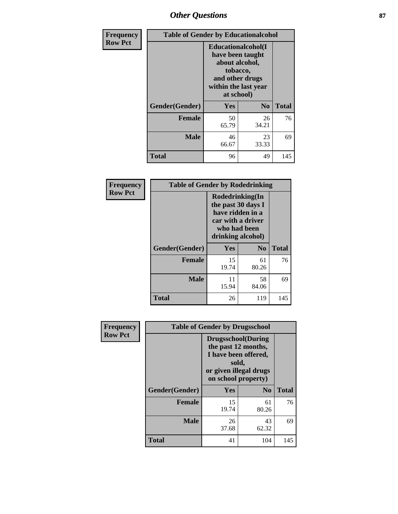# *Other Questions* **87**

| Frequency      | <b>Table of Gender by Educationalcohol</b> |                                                                                                                               |                |              |
|----------------|--------------------------------------------|-------------------------------------------------------------------------------------------------------------------------------|----------------|--------------|
| <b>Row Pct</b> |                                            | Educationalcohol(I<br>have been taught<br>about alcohol,<br>tobacco,<br>and other drugs<br>within the last year<br>at school) |                |              |
|                | Gender(Gender)                             | Yes                                                                                                                           | N <sub>0</sub> | <b>Total</b> |
|                | <b>Female</b>                              | 50<br>65.79                                                                                                                   | 26<br>34.21    | 76           |
|                | <b>Male</b>                                | 46<br>66.67                                                                                                                   | 23<br>33.33    | 69           |
|                | <b>Total</b>                               | 96                                                                                                                            | 49             | 145          |

| Frequency      | <b>Table of Gender by Rodedrinking</b> |                                                                                                                     |                |              |  |
|----------------|----------------------------------------|---------------------------------------------------------------------------------------------------------------------|----------------|--------------|--|
| <b>Row Pct</b> |                                        | Rodedrinking(In<br>the past 30 days I<br>have ridden in a<br>car with a driver<br>who had been<br>drinking alcohol) |                |              |  |
|                | Gender(Gender)                         | Yes                                                                                                                 | N <sub>0</sub> | <b>Total</b> |  |
|                | <b>Female</b>                          | 15<br>19.74                                                                                                         | 61<br>80.26    | 76           |  |
|                | <b>Male</b>                            | 11<br>15.94                                                                                                         | 58<br>84.06    | 69           |  |
|                | <b>Total</b>                           | 26                                                                                                                  | 119            | 145          |  |

| Frequency      | <b>Table of Gender by Drugsschool</b> |                                                                                                                                     |                |              |  |
|----------------|---------------------------------------|-------------------------------------------------------------------------------------------------------------------------------------|----------------|--------------|--|
| <b>Row Pct</b> |                                       | <b>Drugsschool</b> (During<br>the past 12 months,<br>I have been offered,<br>sold,<br>or given illegal drugs<br>on school property) |                |              |  |
|                | Gender(Gender)                        | <b>Yes</b>                                                                                                                          | N <sub>0</sub> | <b>Total</b> |  |
|                | <b>Female</b>                         | 15<br>19.74                                                                                                                         | 61<br>80.26    | 76           |  |
|                | <b>Male</b>                           | 26<br>37.68                                                                                                                         | 43<br>62.32    | 69           |  |
|                | <b>Total</b>                          | 41                                                                                                                                  | 104            | 145          |  |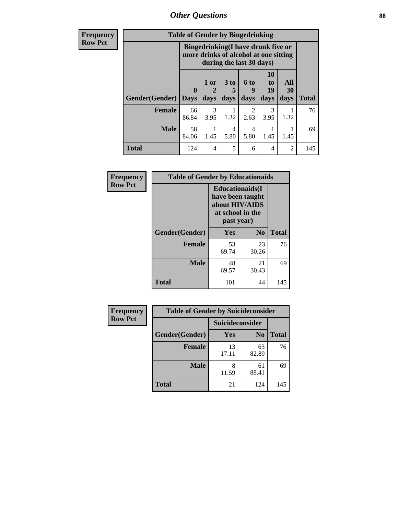*Other Questions* **88**

**Frequency Row Pct**

| <b>Table of Gender by Bingedrinking</b> |                             |                                                                                                                 |                   |                          |                        |                   |              |
|-----------------------------------------|-----------------------------|-----------------------------------------------------------------------------------------------------------------|-------------------|--------------------------|------------------------|-------------------|--------------|
|                                         |                             | <b>Bingedrinking</b> (I have drunk five or<br>more drinks of alcohol at one sitting<br>during the last 30 days) |                   |                          |                        |                   |              |
| Gender(Gender)                          | $\mathbf{0}$<br><b>Days</b> | 1 or<br>days                                                                                                    | 3 to<br>5<br>days | <b>6 to</b><br>9<br>days | 10<br>to<br>19<br>days | All<br>30<br>days | <b>Total</b> |
| <b>Female</b>                           | 66                          | 3                                                                                                               |                   | 2                        | 3                      |                   |              |
|                                         | 86.84                       | 3.95                                                                                                            | 1.32              | 2.63                     | 3.95                   | 1.32              | 76           |
| <b>Male</b>                             | 58<br>84.06                 | 1.45                                                                                                            | 4<br>5.80         | 4<br>5.80                | 1.45                   | 1.45              | 69           |

| Frequency      | <b>Table of Gender by Educationaids</b> |                                                                                                 |             |              |  |
|----------------|-----------------------------------------|-------------------------------------------------------------------------------------------------|-------------|--------------|--|
| <b>Row Pct</b> |                                         | <b>Educationaids</b> (I<br>have been taught<br>about HIV/AIDS<br>at school in the<br>past year) |             |              |  |
|                | Gender(Gender)                          | Yes                                                                                             | $\bf N_0$   | <b>Total</b> |  |
|                | <b>Female</b>                           | 53<br>69.74                                                                                     | 23<br>30.26 | 76           |  |
|                | <b>Male</b>                             | 48<br>69.57                                                                                     | 21<br>30.43 | 69           |  |
|                | <b>Total</b>                            | 101                                                                                             | 44          | 145          |  |

| <b>Frequency</b> | <b>Table of Gender by Suicideconsider</b> |                 |                |              |  |
|------------------|-------------------------------------------|-----------------|----------------|--------------|--|
| <b>Row Pct</b>   |                                           | Suicideconsider |                |              |  |
|                  | Gender(Gender)                            | Yes             | N <sub>0</sub> | <b>Total</b> |  |
|                  | <b>Female</b>                             | 13<br>17.11     | 63<br>82.89    | 76           |  |
|                  | <b>Male</b>                               | 11.59           | 61<br>88.41    | 69           |  |
|                  | <b>Total</b>                              | 21              | 124            | 145          |  |